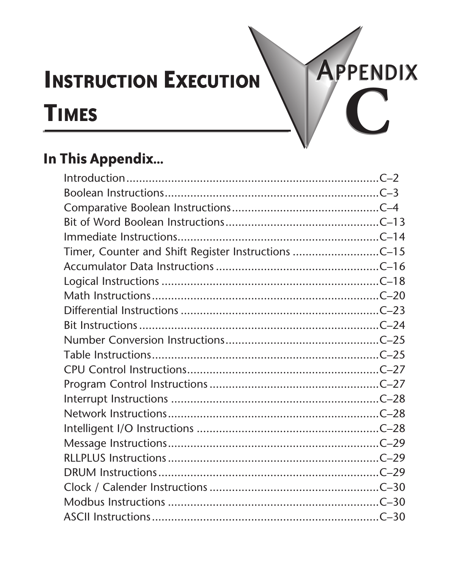# **INSTRUCTION EXECUTION** TIMES **CONSTRUCTION**

# **In This Appendix...**

| Timer, Counter and Shift Register Instructions C-15 |  |
|-----------------------------------------------------|--|
|                                                     |  |
|                                                     |  |
|                                                     |  |
|                                                     |  |
|                                                     |  |
|                                                     |  |
|                                                     |  |
|                                                     |  |
|                                                     |  |
|                                                     |  |
|                                                     |  |
|                                                     |  |
|                                                     |  |
|                                                     |  |
|                                                     |  |
|                                                     |  |
|                                                     |  |
|                                                     |  |
|                                                     |  |

**APPENDIX**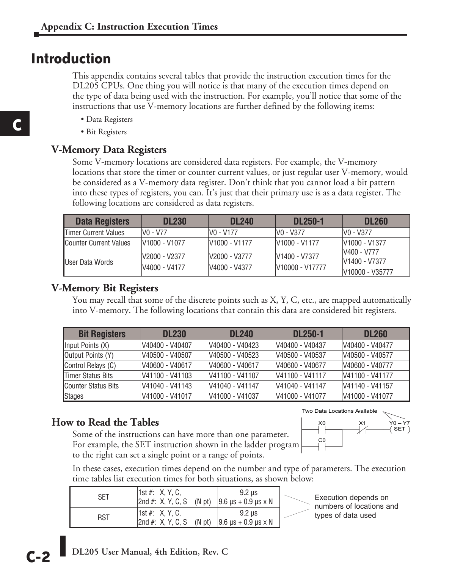#### **Introduction**

This appendix contains several tables that provide the instruction execution times for the DL205 CPUs. One thing you will notice is that many of the execution times depend on the type of data being used with the instruction. For example, you'll notice that some of the instructions that use V-memory locations are further defined by the following items:

- Data Registers
- Bit Registers

#### **V-Memory Data Registers**

Some V-memory locations are considered data registers. For example, the V-memory locations that store the timer or counter current values, or just regular user V-memory, would be considered as a V-memory data register. Don't think that you cannot load a bit pattern into these types of registers, you can. It's just that their primary use is as a data register. The following locations are considered as data registers.

| Data Registers                | <b>DL230</b>                          | <b>DL240</b>                          | <b>DL250-1</b>                                           | <b>DL260</b>                                    |
|-------------------------------|---------------------------------------|---------------------------------------|----------------------------------------------------------|-------------------------------------------------|
| <b>Timer Current Values</b>   | V <sub>0</sub> - V <sub>77</sub>      | IVO - V177                            | IVO - V377                                               | V0 - V377                                       |
| <b>Counter Current Values</b> | V <sub>1000</sub> - V <sub>1077</sub> | V <sub>1000</sub> - V <sub>1177</sub> | V <sub>1000</sub> - V <sub>1177</sub>                    | V <sub>1000</sub> - V <sub>1377</sub>           |
| User Data Words               | V2000 - V2377<br>V4000 - V4177        | V2000 - V3777<br>V4000 - V4377        | V <sub>1400</sub> - V <sub>7377</sub><br>V10000 - V17777 | V400 - V777<br>V1400 - V7377<br>V10000 - V35777 |

#### **V-Memory Bit Registers**

You may recall that some of the discrete points such as X, Y, C, etc., are mapped automatically into V-memory. The following locations that contain this data are considered bit registers.

| <b>Bit Registers</b>        | <b>DL230</b>    | <b>DL240</b>     | <b>DL250-1</b>   | <b>DL260</b>     |
|-----------------------------|-----------------|------------------|------------------|------------------|
| (X) Input Points (X)        | V40400 - V40407 | IV40400 - V40423 | V40400 - V40437  | V40400 - V40477  |
| <b>Output Points (Y)</b>    | V40500 - V40507 | V40500 - V40523  | V40500 - V40537  | V40500 - V40577  |
| Control Relays (C)          | V40600 - V40617 | V40600 - V40617  | IV40600 - V40677 | V40600 - V40777  |
| <b>ITimer Status Bits</b>   | V41100 - V41103 | V41100 - V41107  | V41100 - V41117  | IV41100 - V41177 |
| <b>ICounter Status Bits</b> | V41040 - V41143 | V41040 - V41147  | V41040 - V41147  | V41140 - V41157  |
| Stages                      | V41000 - V41017 | V41000 - V41037  | IV41000 - V41077 | V41000 - V41077  |

#### **How to Read the Tables**

Some of the instructions can have more than one parameter. For example, the SET instruction shown in the ladder program to the right can set a single point or a range of points.



In these cases, execution times depend on the number and type of parameters. The execution time tables list execution times for both situations, as shown below:

| SET | 1st #: X, Y, C,<br>$ 2nd \#: X, Y, C, S \quad (N pt)$ | $9.2$ us<br>$9.6 \mu s + 0.9 \mu s \times N$                          |  |
|-----|-------------------------------------------------------|-----------------------------------------------------------------------|--|
| RST | $ 1st \#: X, Y, C$                                    | 9.2 us<br> 2nd #: X, Y, C, S (N pt) $ 9.6 \mu s + 0.9 \mu s \times N$ |  |

Execution depends on numbers of locations and types of data used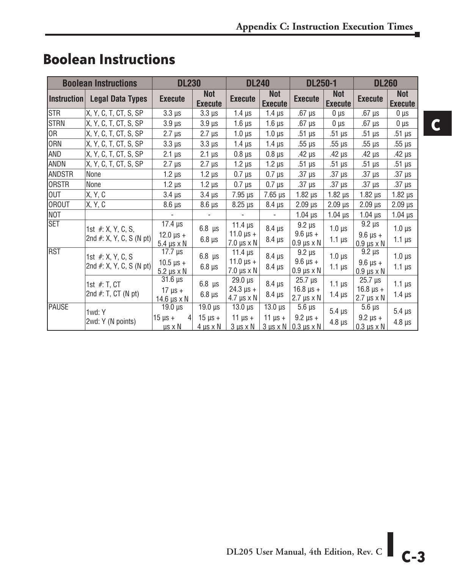|                 | <b>Boolean Instructions</b>                      | <b>DL230</b>                                                               |                                                      | <b>DL240</b>                                                 |                                                      | <b>DL250-1</b>                                                       |                              | <b>DL260</b>                                                 |                                |
|-----------------|--------------------------------------------------|----------------------------------------------------------------------------|------------------------------------------------------|--------------------------------------------------------------|------------------------------------------------------|----------------------------------------------------------------------|------------------------------|--------------------------------------------------------------|--------------------------------|
| Instruction     | <b>Legal Data Types</b>                          | <b>Execute</b>                                                             | <b>Not</b><br><b>Execute</b>                         | <b>Execute</b>                                               | <b>Not</b><br><b>Execute</b>                         | <b>Execute</b>                                                       | <b>Not</b><br><b>Execute</b> | <b>Execute</b>                                               | <b>Not</b><br><b>Execute</b>   |
| <b>STR</b>      | X, Y, C, T, CT, S, SP                            | $3.3 \mu s$                                                                | $3.3 \mu s$                                          | $1.4 \mu s$                                                  | 1.4 $\mu$ s                                          | $.67 \mu s$                                                          | 0 µs                         | $.67 \mu s$                                                  | $0 \mu s$                      |
| <b>STRN</b>     | X, Y, C, T, CT, S, SP                            | $3.9 \,\mu s$                                                              | $3.9 \,\mu s$                                        | $1.6 \mu s$                                                  | $1.6 \,\mu s$                                        | $.67 \,\mu s$                                                        | $0 \mu s$                    | $.67 \mu s$                                                  | 0 µs                           |
| OR <sub>1</sub> | X, Y, C, T, CT, S, SP                            | $2.7 \mu s$                                                                | $2.7 \mu s$                                          | $1.0 \,\mu s$                                                | $1.0 \mu s$                                          | $.51 \mu s$                                                          | $.51 \mu s$                  | $.51 \mu s$                                                  | $.51 \mu s$                    |
| ORN             | X, Y, C, T, CT, S, SP                            | $3.3 \mu s$                                                                | $3.3 \ \mu s$                                        | $1.4 \mu s$                                                  | $1.4 \mu s$                                          | $.55 \mu s$                                                          | $.55 \ \mu s$                | $.55 \ \mu s$                                                | $.55 \mu s$                    |
| AND             | X, Y, C, T, CT, S, SP                            | $2.1 \,\mu s$                                                              | $2.1 \,\mu s$                                        | $0.8 \ \mu s$                                                | $0.8 \ \mu s$                                        | $.42 \mu s$                                                          | $.42 \mu s$                  | .42 $\mu$ s                                                  | .42 $\mu$ s                    |
| <b>ANDN</b>     | X, Y, C, T, CT, S, SP                            | $2.7 \,\mu s$                                                              | $2.7 \,\mu s$                                        | $1.2 \mu s$                                                  | $1.2 \mu s$                                          | $.51 \mu s$                                                          | $.51 \mu s$                  | $.51 \mu s$                                                  | $.51 \mu s$                    |
| <b>ANDSTR</b>   | None                                             | $1.2 \mu s$                                                                | $1.2 \mu s$                                          | $0.7 \mu s$                                                  | $0.7 \ \mu s$                                        | $.37 \mu s$                                                          | $.37 \mu s$                  | $.37 \mu s$                                                  | $.37 \mu s$                    |
| <b>ORSTR</b>    | None                                             | $1.2 \mu s$                                                                | $1.2 \mu s$                                          | $0.7 \,\mu s$                                                | $0.7 \ \mu s$                                        | $.37 \mu s$                                                          | $.37 \mu s$                  | $.37 \ \mu s$                                                | $.37 \mu s$                    |
| OUT             | X, Y, C                                          | $3.4 \mu s$                                                                | $3.4 \,\mu s$                                        | $7.95 \,\mu s$                                               | $7.65 \,\mu s$                                       | $1.82 \,\mu s$                                                       | $1.82 \mu s$                 | $1.82 \,\mu s$                                               | $1.82 \,\mu s$                 |
| OROUT           | X, Y, C                                          | $8.6 \,\mu s$                                                              | $8.6 \,\mu s$                                        | $8.25 \,\mu s$                                               | $8.4 \mu s$                                          | $2.09$ $\mu s$                                                       | $2.09$ $\mu$ s               | $2.09$ $\mu$ s                                               | $2.09$ $\mu s$                 |
| NOT             |                                                  |                                                                            |                                                      |                                                              |                                                      | $1.04 \mu s$                                                         | $1.04 \,\mu s$               | $1.04 \,\mu s$                                               | $1.04 \,\mu s$                 |
| <b>SET</b>      | 1st #: X, Y, C, S,<br>2nd $#: X, Y, C, S (N pt)$ | $17.4 \mu s$<br>$12.0 \text{ }\mu\text{s} +$<br>$5.4 \,\mu s \times N$     | $6.8 \text{ }\mu\text{s}$<br>$6.8 \,\mu s$           | 11.4 $\mu$ s<br>$11.0 \,\mu s +$<br>$7.0 \,\mu s \times N$   | $8.4 \,\mu s$<br>$8.4 \ \mu s$                       | $9.2 \mu s$<br>$9.6 \text{ }\mu\text{s}$ +<br>$0.9 \,\mu s \times N$ | $1.0 \mu s$<br>$1.1 \mu s$   | $9.2 \mu s$<br>$9.6 \,\mu s +$<br>$0.9 \,\mu s \times N$     | $1.0 \mu s$<br>$1.1 \,\mu s$   |
| <b>RST</b>      | 1st #: X, Y, C, S<br>2nd #: X, Y, C, S (N pt)    | 17.7 $\mu$ s<br>$10.5 \,\text{µs} +$<br>$5.2 \mu s \times N$               | $6.8$ $\mu s$<br>$6.8 \,\mu s$                       | 11.4 $\mu$ s<br>$11.0 \,\mu s +$<br>$7.0 \,\mu s \times N$   | $8.4 \,\mu s$<br>$8.4 \ \mu s$                       | $9.2 \mu s$<br>$9.6 \,\mu s +$<br>$0.9 \,\mu s \times N$             | $1.0 \mu s$<br>$1.1 \mu s$   | $9.2 \mu s$<br>$9.6 \,\mu s +$<br>$0.9 \mu s \times N$       | $1.0 \mu s$<br>1.1 $\mu$ s     |
|                 | 1st #: T, CT<br>2nd $#: T, CT (N pt)$            | $31.6 \,\mu s$<br>$17 \mu s +$<br>14.6 $\mu$ s x N                         | $6.8 \text{ }\mu\text{s}$<br>$6.8 \,\mu s$           | $29.0 \ \mu s$<br>$24.3 \,\mu s +$<br>$4.7 \,\mu s \times N$ | $8.4 \,\mu s$<br>$8.4 \,\mu s$                       | $25.7 \ \mu s$<br>$16.8 \,\mu s +$<br>$2.7 \mu s \times N$           | $1.1 \mu s$<br>$1.4 \mu s$   | $25.7 \,\mu s$<br>$16.8 \,\mu s +$<br>$2.7 \,\mu s \times N$ | $1.1 \,\mu s$<br>$1.4 \mu s$   |
| <b>PAUSE</b>    | 1wd: Y<br>2wd: Y (N points)                      | $\overline{19.0}$ µs<br>15 $\mu$ s +<br>$\overline{4}$<br>$\mu s \times N$ | $19.0 \,\mu s$<br>$15 \mu s +$<br>$4 \mu s \times N$ | $\overline{13.0}$ µs<br>11 $\mu$ s +<br>$3 \mu s \times N$   | $13.0 \,\mu s$<br>11 $\mu$ s +<br>$3 \mu s \times N$ | $5.6 \,\mu s$<br>$9.2 \mu s +$<br>$0.3 \mu s \times N$               | $5.4 \mu s$<br>$4.8 \,\mu s$ | $5.6 \,\mu s$<br>$9.2 \,\mu s +$<br>$0.3 \mu s \times N$     | $5.4 \ \mu s$<br>$4.8 \,\mu s$ |

## **Boolean Instructions**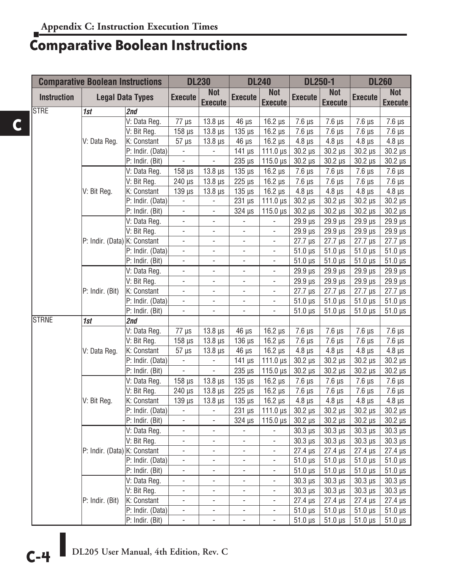## **Comparative Boolean Instructions**

|                    | <b>Comparative Boolean Instructions</b> |                         |                          | <b>DL230</b>                 |                           | <b>DL240</b>                 | <b>DL250-1</b>             |                              | <b>DL260</b>               |                              |
|--------------------|-----------------------------------------|-------------------------|--------------------------|------------------------------|---------------------------|------------------------------|----------------------------|------------------------------|----------------------------|------------------------------|
| <b>Instruction</b> |                                         | <b>Legal Data Types</b> | <b>Execute</b>           | <b>Not</b><br><b>Execute</b> | <b>Execute</b>            | <b>Not</b><br><b>Execute</b> | <b>Execute</b>             | <b>Not</b><br><b>Execute</b> | <b>Execute</b>             | <b>Not</b><br><b>Execute</b> |
| <b>STRE</b>        | 1st                                     | 2nd                     |                          |                              |                           |                              |                            |                              |                            |                              |
|                    |                                         | V: Data Reg.            | $\overline{77}$ µs       | $13.8 \,\mu s$               | $46 \mu s$                | $16.2 \,\mu s$               | $7.6 \mu s$                | $7.6 \,\mu s$                | $7.6 \mu s$                | $7.6 \,\mu s$                |
|                    |                                         | V: Bit Reg.             | $158 \,\mu s$            | $13.8 \,\mu s$               | $135 \mu s$               | $16.2 \,\mu s$               | $7.6 \mu s$                | $7.6 \mu s$                  | $7.6 \mu s$                | $7.6 \,\mu s$                |
|                    | V: Data Reg.                            | K: Constant             | $57 \mu s$               | $13.8 \,\mu s$               | 46 µs                     | $16.2 \,\mu s$               | $4.8 \,\mu s$              | $4.8 \,\mu s$                | $4.8 \,\mu s$              | $4.8 \,\mu s$                |
|                    |                                         | P: Indir. (Data)        |                          |                              | $141 \mu s$               | 111.0 $\mu$ s                | $30.2 \,\mu s$             | $30.2 \,\mu s$               | $30.2 \,\mu s$             | $30.2 \,\mu s$               |
|                    |                                         | P: Indir. (Bit)         | $\blacksquare$           | $\overline{\phantom{a}}$     | $235 \text{ }\mu\text{s}$ | 115.0 $\mu$ s                | $30.2 \,\mu s$             | $30.2 \,\mu s$               | $30.2 \,\mu s$             | $30.2 \,\mu s$               |
|                    |                                         | V: Data Reg.            | $158$ $\mu$ s            | $13.8 \,\mu s$               | $135 \mu s$               | $16.2 \,\mu s$               | $7.6 \mu s$                | $7.6 \,\mu s$                | $7.6 \,\mu s$              | $7.6 \,\mu s$                |
|                    |                                         | V: Bit Reg.             | $240 \mu s$              | $13.8 \,\mu s$               | $225 \mu s$               | $16.2 \,\mu s$               | $7.6 \,\mu s$              | $7.6 \,\mu s$                | $7.6 \,\mu s$              | $7.6 \,\mu s$                |
|                    | V: Bit Reg.                             | K: Constant             | $139 \mu s$              | $13.8 \,\mu s$               | $135 \mu s$               | $16.2 \,\mu s$               | $4.8 \,\mu s$              | $4.8 \,\mu s$                | $4.8 \,\mu s$              | $4.8 \,\mu s$                |
|                    |                                         | P: Indir. (Data)        | $\overline{\phantom{a}}$ | $\blacksquare$               | $231 \,\mu s$             | 111.0 $\mu$ s                | $30.2 \,\mu s$             | $30.2 \,\mu s$               | $30.2 \,\mu s$             | $30.2 \,\mu s$               |
|                    |                                         | P: Indir. (Bit)         | $\overline{\phantom{a}}$ | $\overline{\phantom{a}}$     | 324 µs                    | $115.0 \,\mu s$              | $30.2 \,\mu s$             | $30.2 \,\mu s$               | $30.2 \,\mu s$             | $30.2 \,\mu s$               |
|                    |                                         | V: Data Reg.            | $\blacksquare$           | $\blacksquare$               | $\qquad \qquad -$         | ÷,                           | 29.9 µs                    | 29.9 µs                      | 29.9 µs                    | $29.9$ $\mu s$               |
|                    |                                         | V: Bit Reg.             | $\overline{\phantom{a}}$ | $\overline{\phantom{a}}$     | $\overline{\phantom{a}}$  | ÷,                           | $29.9 \,\mu s$             | 29.9 µs                      | 29.9 µs                    | 29.9 µs                      |
|                    | P: Indir. (Data) K: Constant            |                         | ÷,                       | $\overline{a}$               | $\blacksquare$            | L.                           | $27.7 \,\mu s$             | $27.7 \,\mu s$               | $27.7 \,\mu s$             | 27.7 µs                      |
|                    |                                         | P: Indir. (Data)        | $\blacksquare$           | $\blacksquare$               | $\blacksquare$            | ÷,                           | $51.0 \,\mu s$             | $51.0 \,\mu s$               | $51.0 \,\mu s$             | $51.0 \,\mu s$               |
|                    |                                         | P: Indir. (Bit)         | $\overline{\phantom{a}}$ | $\overline{\phantom{a}}$     | $\overline{\phantom{a}}$  | ÷,                           | $51.0 \,\mu s$             | $51.0 \,\mu s$               | $51.0 \,\mu s$             | $51.0 \,\mu s$               |
|                    |                                         | V: Data Reg.            | ÷,                       | $\overline{\phantom{a}}$     | $\overline{\phantom{a}}$  | ÷,                           | $29.9 \,\mu s$             | $29.9 \,\mu s$               | 29.9 µs                    | 29.9 µs                      |
|                    |                                         | V: Bit Reg.             | $\overline{\phantom{a}}$ | $\overline{\phantom{a}}$     | $\overline{\phantom{a}}$  | $\overline{\phantom{0}}$     | $29.9 \,\mu s$             | $29.9 \,\mu s$               | $29.9 \,\mu s$             | 29.9 µs                      |
|                    | P: Indir. (Bit)                         | K: Constant             | $\overline{\phantom{a}}$ | $\overline{\phantom{a}}$     | $\overline{\phantom{a}}$  | $\frac{1}{2}$                | $27.7 \,\mu s$             | $27.7 \,\mu s$               | $27.7 \,\mu s$             | 27.7 µs                      |
|                    |                                         | P: Indir. (Data)        | $\overline{\phantom{a}}$ | $\frac{1}{2}$                | $\overline{\phantom{a}}$  | ÷,                           | $51.0 \,\mu s$             | $51.0 \,\mu s$               | $51.0 \,\mu s$             | $51.0 \,\mu s$               |
|                    |                                         | P: Indir. (Bit)         | $\overline{\phantom{a}}$ | $\overline{\phantom{a}}$     | $\blacksquare$            | ÷,                           | $51.0 \,\mu s$             | $51.0 \,\mu s$               | $51.0 \,\mu s$             | $51.0 \,\mu s$               |
| <b>STRNE</b>       | 1st                                     | 2nd                     |                          |                              |                           |                              |                            |                              |                            |                              |
|                    |                                         | V: Data Reg.            | $77 \mu s$               | $13.8 \,\mu s$               | $46 \mu s$                | $16.2 \,\mu s$               | $\overline{7.6}$ µs        | $7.6 \,\mu s$                | $\overline{7.6}$ µs        | $\overline{7.6} \mu s$       |
|                    |                                         | V: Bit Reg.             | $158 \,\mu s$            | $13.8 \,\mu s$               | $136 \mu s$               | $16.2 \,\mu s$               | $7.6 \mu s$                | $7.6 \,\mu s$                | $7.6 \,\mu s$              | $7.6 \,\mu s$                |
|                    | V: Data Reg.                            | K: Constant             | $57 \mu s$               | $13.8 \,\mu s$               | $46 \mu s$                | $16.2 \,\mu s$               | $4.8 \,\mu s$              | $4.8 \,\mu s$                | $4.8 \,\mu s$              | $4.8 \,\mu s$                |
|                    |                                         | P: Indir. (Data)        | ä,                       | $\Box$                       | $141 \mu s$               | 111.0 $\mu$ s                | $30.2 \,\mu s$             | $30.2 \,\mu s$               | $30.2 \,\mu s$             | $30.2 \,\mu s$               |
|                    |                                         | P: Indir. (Bit)         | -                        | $\overline{\phantom{a}}$     | $235 \text{ }\mu\text{s}$ | $115.0 \,\mu s$              | $30.2 \,\mu s$             | $30.2 \,\mu s$               | $30.2 \,\mu s$             | $30.2 \,\mu s$               |
|                    |                                         | V: Data Reg.            | $158 \,\mu s$            | $13.8 \,\mu s$               | $135 \mu s$               | $16.2 \,\mu s$               | $7.6 \mu s$                | $7.6 \,\mu s$                | $7.6 \,\mu s$              | $7.6 \,\mu s$                |
|                    |                                         | V: Bit Reg.             | $240 \mu s$              | $13.8 \,\mu s$               | $225 \text{ }\mu\text{s}$ | $16.2 \,\mu s$               | $7.6 \mu s$                | $7.6 \,\mu s$                | $7.6 \,\mu s$              | $7.6 \mu s$                  |
|                    | V: Bit Reg.                             | K: Constant             | $139 \,\mu s$            | $13.8 \,\mu s$               | $135 \mu s$               | $16.2 \,\mu s$               | $4.8 \,\mu s$              | $4.8 \mu s$                  | $4.8 \,\mu s$              | $4.8 \,\mu s$                |
|                    |                                         | P: Indir. (Data)        | $\overline{\phantom{a}}$ | $\overline{\phantom{a}}$     | $231 \,\mu s$             | 111.0 $\mu$ s                | $30.2 \,\mu s$             | $30.2 \,\mu s$               | $30.2 \,\mu s$             | $30.2 \,\mu s$               |
|                    |                                         | P: Indir. (Bit)         | ÷,                       | $\overline{\phantom{a}}$     | 324 µs                    | $115.0 \text{ }\mu\text{s}$  | $30.2 \,\mu s$             | $30.2 \,\mu s$               | $30.2 \,\mu s$             | $30.2 \,\mu s$               |
|                    |                                         | V: Data Reg.            | $\blacksquare$           | $\overline{\phantom{a}}$     | $\overline{\phantom{a}}$  |                              | $30.3 \text{ }\mu\text{s}$ | $30.3 \,\mu s$               | $30.3 \text{ }\mu\text{s}$ | $30.3 \,\mu s$               |
|                    |                                         | V: Bit Reg.             | $\blacksquare$           | $\overline{\phantom{a}}$     | $\overline{\phantom{a}}$  | ÷,                           | $30.3 \,\mu s$             | $30.3 \,\mu s$               | $30.3 \,\mu s$             | $30.3 \,\mu s$               |
|                    | P: Indir. (Data) K: Constant            |                         | $\overline{\phantom{a}}$ | $\blacksquare$               | $\Box$                    | ÷,                           | $27.4 \,\mu s$             | $27.4 \,\mu s$               | $27.4 \,\mu s$             | $27.4 \,\mu s$               |
|                    |                                         | P: Indir. (Data)        | $\blacksquare$           | $\overline{\phantom{a}}$     | $\overline{\phantom{a}}$  | ÷,                           | $51.0 \,\mu s$             | $51.0 \,\mu s$               | $51.0 \,\mu s$             | $51.0 \,\mu s$               |
|                    |                                         | P: Indir. (Bit)         | ÷,                       | $\overline{\phantom{0}}$     | ÷,                        |                              | $51.0 \,\mu s$             | $51.0 \,\mu s$               | $51.0 \,\mu s$             | $51.0 \,\mu s$               |
|                    |                                         | V: Data Reg.            | $\blacksquare$           | $\overline{\phantom{a}}$     | $\blacksquare$            | ÷,                           | $30.3 \,\mu s$             | $30.3 \,\mu s$               | $30.3 \,\mu s$             | $30.3 \,\mu s$               |
|                    |                                         | V: Bit Reg.             | $\blacksquare$           | $\overline{\phantom{a}}$     | $\blacksquare$            | ÷,                           | $30.3 \mu s$               | $30.3 \,\mu s$               | $30.3 \,\mu s$             | $30.3 \,\mu s$               |
|                    | P: Indir. (Bit)                         | K: Constant             | ÷,                       | $\overline{\phantom{a}}$     | $\blacksquare$            | -                            | $27.4 \,\mu s$             | $27.4 \,\mu s$               | $27.4 \,\mu s$             | $27.4 \,\mu s$               |
|                    |                                         | P: Indir. (Data)        | $\blacksquare$           | $\overline{\phantom{a}}$     | $\blacksquare$            | $\frac{1}{2}$                | $51.0 \,\mu s$             | $51.0 \,\mu s$               | $51.0 \,\mu s$             | $51.0 \,\mu s$               |
|                    |                                         | P: Indir. (Bit)         | ÷,                       | $\overline{\phantom{a}}$     | $\blacksquare$            | ÷,                           |                            | $51.0 \,\mu s$               | $51.0 \,\mu s$             | $51.0 \,\mu s$               |
|                    |                                         |                         |                          |                              |                           |                              | $51.0 \,\mu s$             |                              |                            |                              |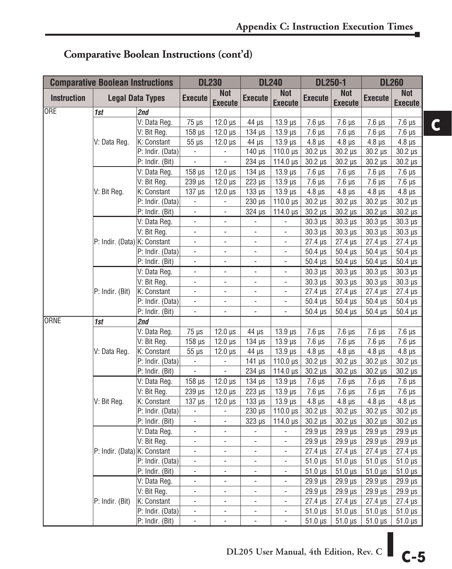|                    | <b>Comparative Boolean Instructions</b> |                         |                              | <b>DL230</b>                 | <b>DL240</b>              |                              | <b>DL250-1</b>             |                              | <b>DL260</b>               |                              |
|--------------------|-----------------------------------------|-------------------------|------------------------------|------------------------------|---------------------------|------------------------------|----------------------------|------------------------------|----------------------------|------------------------------|
| <b>Instruction</b> |                                         | <b>Legal Data Types</b> | <b>Execute</b>               | <b>Not</b><br><b>Execute</b> | <b>Execute</b>            | <b>Not</b><br><b>Execute</b> | <b>Execute</b>             | <b>Not</b><br><b>Execute</b> | <b>Execute</b>             | <b>Not</b><br><b>Execute</b> |
| <b>ORE</b>         | 1st                                     | 2nd                     |                              |                              |                           |                              |                            |                              |                            |                              |
|                    |                                         | V: Data Reg.            | $75 \mu s$                   | $12.0 \,\mu s$               | 44 µs                     | $13.9 \,\mu s$               | $\overline{7.6}$ $\mu s$   | $7.6 \,\mu s$                | $7.6 \,\mu s$              | $7.6 \,\mu s$                |
|                    |                                         | V: Bit Reg.             | $158 \,\mu s$                | $12.0 \,\mu s$               | $134$ $\mu$ s             | $13.9 \,\mu s$               | $7.6 \mu s$                | $7.6 \,\mu s$                | $7.6 \,\mu s$              | $7.6 \,\mu s$                |
|                    | V: Data Reg.                            | K: Constant             | $55 \mu s$                   | $12.0 \,\mu s$               | $44 \mu s$                | $13.9 \,\mu s$               | $4.8 \,\mu s$              | $4.8 \,\mu s$                | $4.8 \,\mu s$              | $4.8 \,\mu s$                |
|                    |                                         | P: Indir. (Data)        | $\overline{\phantom{a}}$     | $\Box$                       | $140 \,\mu s$             | 110.0 µs                     | $30.2 \,\mu s$             | $30.2 \,\mu s$               | $30.2 \,\mu s$             | $30.2 \,\mu s$               |
|                    |                                         | P: Indir. (Bit)         | ÷,                           | $\overline{\phantom{a}}$     | 234 µs                    | 114.0 µs                     | $30.2 \,\mu s$             | $30.2 \,\mu s$               | $30.2 \,\mu s$             | $30.2 \,\mu s$               |
|                    |                                         | V: Data Reg.            | $158 \,\mu s$                | $12.0 \,\mu s$               | $134 \mu s$               | $13.9 \,\mu s$               | $7.6 \mu s$                | $7.6 \,\mu s$                | $7.6 \,\mu s$              | $7.6 \,\mu s$                |
|                    | V: Bit Reg.                             | V: Bit Reg.             | 239 µs                       | $12.0 \,\mu s$               | $223 \mu s$               | $13.9 \,\mu s$               | $7.6 \mu s$                | $7.6 \,\mu s$                | $7.6 \,\mu s$              | $7.6 \,\mu s$                |
|                    |                                         | K: Constant             | $137 \mu s$                  | $12.0 \,\mu s$               | $133 \mu s$               | $13.9 \,\mu s$               | $4.8 \mu s$                | $4.8 \,\mu s$                | $4.8 \,\mu s$              | $4.8 \,\mu s$                |
|                    |                                         | P: Indir. (Data)        | $\qquad \qquad \blacksquare$ | $\qquad \qquad \blacksquare$ | $230 \,\mu s$             | 110.0 µs                     | $30.2 \,\mu s$             | $30.2 \,\mu s$               | $30.2 \,\mu s$             | $30.2 \,\mu s$               |
|                    |                                         | P: Indir. (Bit)         | L,                           | $\overline{a}$               | 324 µs                    | 114.0 µs                     | $30.2 \,\mu s$             | $30.2 \,\mu s$               | $30.2 \,\mu s$             | $30.2 \,\mu s$               |
|                    |                                         | V: Data Reg.            | $\overline{a}$               | $\blacksquare$               | $\overline{\phantom{a}}$  | $\frac{1}{2}$                | $30.3 \,\mu s$             | $30.3 \,\mu s$               | $30.3 \mu s$               | $30.3 \,\mu s$               |
|                    |                                         | V: Bit Reg.             | $\overline{\phantom{a}}$     | $\overline{\phantom{a}}$     | $\overline{\phantom{a}}$  | $\overline{\phantom{a}}$     | $30.3 \,\mu s$             | $30.3 \,\mu s$               | $30.3 \mu s$               | $30.3 \,\mu s$               |
|                    | P: Indir. (Data) K: Constant            |                         | $\overline{\phantom{a}}$     | $\blacksquare$               | $\blacksquare$            | $\blacksquare$               | $27.4 \,\mu s$             | $27.4 \,\mu s$               | $27.4 \,\mu s$             | 27.4 µs                      |
|                    |                                         | P: Indir. (Data)        | $\overline{\phantom{a}}$     | $\qquad \qquad \blacksquare$ | $\overline{\phantom{0}}$  | ÷,                           | $50.4 \,\mathrm{\upmu s}$  | $50.4 \,\mu s$               | $50.4 \,\mu s$             | $50.4 \,\mu s$               |
|                    |                                         | P: Indir. (Bit)         | $\overline{\phantom{a}}$     | $\overline{\phantom{a}}$     | $\overline{\phantom{a}}$  | $\overline{\phantom{a}}$     | $50.4 \,\mu s$             | $50.4 \,\mu s$               | $50.4 \,\mu s$             | $50.4 \,\mu s$               |
|                    | P: Indir. (Bit)                         | V: Data Reg.            | $\overline{\phantom{a}}$     | $\overline{\phantom{a}}$     | $\overline{\phantom{a}}$  | $\overline{\phantom{a}}$     | $30.3 \,\mu s$             | $30.3 \text{ }\mu\text{s}$   | $30.3 \text{ }\mu\text{s}$ | $30.3 \,\mu s$               |
|                    |                                         | V: Bit Reg.             | $\overline{\phantom{a}}$     | ÷,                           | $\overline{\phantom{a}}$  | $\overline{\phantom{a}}$     | $30.3 \,\mu s$             | $30.3 \,\mu s$               | $30.3 \,\mu s$             | $30.3 \,\mu s$               |
|                    |                                         | K: Constant             | $\overline{a}$               | $\overline{\phantom{a}}$     | ä,                        | $\overline{\phantom{a}}$     | $27.4 \,\mu s$             | $27.4 \,\mu s$               | $27.4 \,\mu s$             | $27.4 \,\mu s$               |
|                    |                                         | P: Indir. (Data)        | $\overline{\phantom{a}}$     | $\overline{\phantom{a}}$     | $\overline{\phantom{a}}$  | $\overline{\phantom{a}}$     | $50.4 \,\mu s$             | $50.4 \,\mu s$               | $50.4 \,\mu s$             | $50.4 \,\mu s$               |
|                    |                                         | P: Indir. (Bit)         | $\overline{\phantom{a}}$     | $\overline{\phantom{a}}$     | $\overline{\phantom{a}}$  | ÷,                           | $50.4 \,\mu s$             | $50.4 \,\mu s$               | $50.4 \,\mu s$             | $50.4 \,\mu s$               |
| <b>ORNE</b>        | 1st                                     | 2nd                     |                              |                              |                           |                              |                            |                              |                            |                              |
|                    |                                         | V: Data Reg.            | $75 \mu s$                   | $12.0 \,\mu s$               | 44 µs                     | $13.9 \,\mu s$               | $7.6 \mu s$                | $7.6 \,\mu s$                | $7.6 \,\mu s$              | $7.6 \,\mu s$                |
|                    |                                         | V: Bit Reg.             | $158 \,\mu s$                | $12.0 \,\mu s$               | $134 \mu s$               | $13.9 \,\mu s$               | $7.6 \mu s$                | $7.6 \,\mu s$                | $7.6 \,\mu s$              | $7.6 \,\mu s$                |
|                    | V: Data Reg.                            | K: Constant             | $55 \mu s$                   | $12.0 \,\mu s$               | $44 \mu s$                | $13.9 \,\mu s$               | $4.8 \,\mu s$              | $4.8 \,\mu s$                | $4.8 \,\mu s$              | $4.8 \,\mu s$                |
|                    |                                         | P: Indir. (Data)        | $\overline{\phantom{a}}$     | $\Box$                       | $141 \mu s$               | 110.0 $\mu$ s                | $30.2 \,\mu s$             | $30.2 \,\mu s$               | $30.2 \,\mu s$             | $30.2 \,\mu s$               |
|                    |                                         | P: Indir. (Bit)         | $\overline{\phantom{a}}$     | ÷                            | $234 \mu s$               | 114.0 $\mu$ s                | $30.2 \mu s$               | $30.2 \mu s$                 | $30.2 \mu s$               | $30.2 \,\mu s$               |
|                    |                                         | V: Data Reg.            | $158$ $\mu$ s                | $12.0 \,\mu s$               | $134 \mu s$               | $13.9 \,\mu s$               | $7.6 \mu s$                | $7.6 \,\mu s$                | $7.6 \,\mu s$              | $7.6 \,\mu s$                |
|                    |                                         | V: Bit Reg.             | 239 µs                       | $12.0 \,\mu s$               | $223 \text{ }\mu\text{s}$ | $13.9 \,\mu s$               | $7.6 \mu s$                | $7.6 \,\mu s$                | $7.6 \,\mu s$              | $7.6 \,\mu s$                |
|                    | V: Bit Reg.                             | K: Constant             | $137 \mu s$                  | $12.0 \,\mu s$               | $133 \mu s$               | $13.9 \,\mu s$               | $4.8 \,\mu s$              | $4.8 \,\mu s$                | $4.8 \,\mu s$              | $4.8 \,\mu s$                |
|                    |                                         | P: Indir. (Data)        | $\overline{\phantom{0}}$     | $\overline{\phantom{m}}$     | $230 \,\mu s$             | 110.0 $\mu$ s                | $30.2 \,\mu s$             | $30.2 \,\mu s$               | $30.2 \,\mu s$             | $30.2 \,\mu s$               |
|                    |                                         | P: Indir. (Bit)         | $\Box$                       | $\Box$                       | $323 \mu s$               | 114.0 $\mu$ s                | $30.2 \,\mu s$             | $30.2 \,\mu s$               | $30.2 \,\mu s$             | $30.2 \,\mu s$               |
|                    |                                         | V: Data Reg.            | $\overline{a}$               | ÷                            | $\blacksquare$            | i,                           | 29.9 µs                    | $29.9 \,\mu s$               | $29.9$ $\mu s$             | 29.9 µs                      |
|                    |                                         | V: Bit Reg.             | $\overline{a}$               | $\overline{\phantom{a}}$     | $\blacksquare$            | $\blacksquare$               | 29.9 µs                    | $29.9 \,\mu s$               | $29.9 \,\mu s$             | 29.9 µs                      |
|                    | P: Indir. (Data) K: Constant            |                         | $\overline{\phantom{a}}$     | $\overline{\phantom{a}}$     | $\overline{\phantom{a}}$  | $\overline{\phantom{a}}$     | $27.4 \,\mu s$             | $27.4 \,\mu s$               | $27.4 \,\mu s$             | 27.4 µs                      |
|                    |                                         | P: Indir. (Data)        | $\blacksquare$               | $\blacksquare$               | $\blacksquare$            | $\overline{a}$               | $51.0 \,\mu s$             | $51.0 \,\mu s$               | $51.0 \,\mu s$             | $51.0 \,\mu s$               |
|                    |                                         | P: Indir. (Bit)         | $\overline{\phantom{a}}$     | ÷,                           | ÷,                        | $\overline{\phantom{a}}$     | $51.0 \,\mu s$             | $51.0 \,\mu s$               | $51.0 \,\mu s$             | $51.0 \,\mu s$               |
|                    |                                         | V: Data Reg.            | $\overline{\phantom{a}}$     | $\overline{\phantom{a}}$     | $\frac{1}{2}$             | $\overline{\phantom{a}}$     | 29.9 µs                    | $29.9 \,\mu s$               | $29.9 \,\mu s$             | 29.9 µs                      |
|                    |                                         | V: Bit Reg.             | $\overline{\phantom{a}}$     | $\overline{\phantom{a}}$     | $\overline{\phantom{a}}$  | $\overline{\phantom{a}}$     | $29.9 \text{ }\mu\text{s}$ | $29.9$ $\mu s$               | $29.9$ $\mu s$             | $29.9$ $\mu s$               |
|                    | P: Indir. (Bit)                         | K: Constant             | $\overline{a}$               | ÷,                           | $\frac{1}{2}$             | $\overline{\phantom{a}}$     | $27.4 \,\mu s$             | $27.4 \,\mu s$               | $27.4 \,\mu s$             | $27.4 \,\mu s$               |
|                    |                                         | P: Indir. (Data)        | $\overline{\phantom{a}}$     | $\overline{\phantom{a}}$     | $\blacksquare$            | $\blacksquare$               | $51.0 \,\mu s$             | $51.0 \,\mu s$               | $51.0 \,\mu s$             | $51.0 \,\mu s$               |
|                    |                                         | P: Indir. (Bit)         | $\overline{\phantom{a}}$     | $\overline{\phantom{a}}$     | $\frac{1}{2}$             | $\overline{\phantom{a}}$     | $51.0 \,\mu s$             | $51.0 \,\mu s$               | $51.0 \,\mu s$             | $51.0 \,\mu s$               |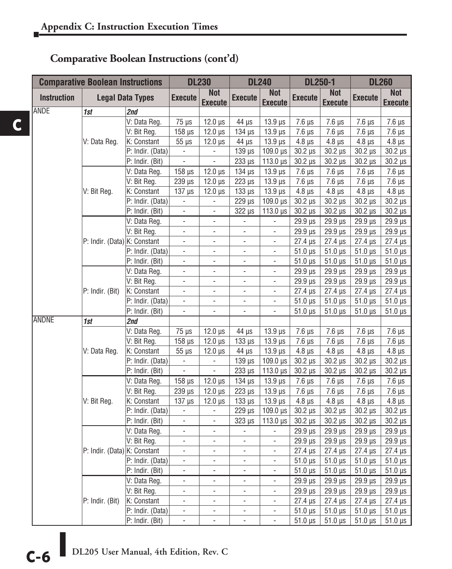**C**

|                    | <b>Comparative Boolean Instructions</b> |                         | <b>DL230</b>                 |                              |                           | <b>DL240</b>                 |                            | <b>DL250-1</b>               | <b>DL260</b>               |                              |
|--------------------|-----------------------------------------|-------------------------|------------------------------|------------------------------|---------------------------|------------------------------|----------------------------|------------------------------|----------------------------|------------------------------|
| <b>Instruction</b> |                                         | <b>Legal Data Types</b> | <b>Execute</b>               | <b>Not</b><br><b>Execute</b> | <b>Execute</b>            | <b>Not</b><br><b>Execute</b> | <b>Execute</b>             | <b>Not</b><br><b>Execute</b> | <b>Execute</b>             | <b>Not</b><br><b>Execute</b> |
| <b>ANDE</b>        | 1st                                     | 2nd                     |                              |                              |                           |                              |                            |                              |                            |                              |
|                    |                                         | V: Data Reg.            | $75 \mu s$                   | $12.0 \,\mu s$               | $44 \mu s$                | $13.9 \,\mu s$               | $7.6 \mu s$                | $7.6 \mu s$                  | $7.6 \mu s$                | $7.6 \,\mu s$                |
|                    |                                         | V: Bit Reg.             | $158$ $\mu$ s                | $12.0 \,\mu s$               | $134 \mu s$               | $13.9 \,\mu s$               | $7.6 \mu s$                | $7.6 \mu s$                  | $7.6 \mu s$                | $7.6 \,\mu s$                |
|                    | V: Data Reg.                            | K: Constant             | $55 \mu s$                   | $12.0 \,\mu s$               | 44 µs                     | $13.9 \,\mu s$               | $4.8 \mu s$                | $4.8 \,\mu s$                | $4.8 \,\mu s$              | $4.8 \,\mu s$                |
|                    |                                         | P: Indir. (Data)        | $\blacksquare$               | ÷,                           | $139 \mu s$               | 109.0 µs                     | $30.2 \,\mu s$             | $30.2 \,\mu s$               | $30.2 \,\mu s$             | $30.2 \,\mu s$               |
|                    |                                         | P: Indir. (Bit)         | $\blacksquare$               | $\blacksquare$               | $233 \mu s$               | 113.0 µs                     | $30.2 \,\mu s$             | $30.2 \,\mu s$               | $30.2 \,\mu s$             | $30.2 \,\mu s$               |
|                    |                                         | V: Data Reg.            | $158$ $\mu$ s                | $12.0 \,\mu s$               | $134 \mu s$               | $13.9 \,\mu s$               | $7.6 \mu s$                | $7.6 \,\mu s$                | $7.6 \,\mu s$              | $7.6 \,\mu s$                |
|                    |                                         | V: Bit Reg.             | $239$ $\mu$ s                | $12.0 \,\mu s$               | $223 \text{ }\mu\text{s}$ | $13.9 \,\mu s$               | $7.6 \mu s$                | $7.6 \,\mu s$                | $7.6 \,\mu s$              | $7.6 \,\mu s$                |
|                    | V: Bit Reg.                             | K: Constant             | $137 \mu s$                  | $12.0 \,\mu s$               | $133 \mu s$               | $13.9 \,\mu s$               | $4.8 \,\mu s$              | $4.8 \,\mu s$                | $4.8 \mu s$                | $4.8 \,\mu s$                |
|                    |                                         | P: Indir. (Data)        | $\overline{\phantom{a}}$     | ÷,                           | 229 µs                    | $109.0 \,\mu s$              | $30.2 \,\mu s$             | $30.2 \,\mu s$               | $30.2 \,\mu s$             | $30.2 \,\mu s$               |
|                    |                                         | P: Indir. (Bit)         | $\overline{\phantom{a}}$     | ÷,                           | 322 µs                    | $113.0 \,\mu s$              | $30.2 \,\mu s$             | $30.2 \,\mu s$               | $30.2 \,\mu s$             | $30.2 \,\mu s$               |
|                    |                                         | V: Data Reg.            | $\Box$                       | ÷,                           | $\blacksquare$            | $\blacksquare$               | 29.9 µs                    | 29.9 µs                      | 29.9 µs                    | 29.9 µs                      |
|                    |                                         | V: Bit Reg.             | $\frac{1}{2}$                | ÷,                           | $\overline{a}$            | $\overline{\phantom{a}}$     | $29.9 \,\mu s$             | 29.9 µs                      | 29.9 µs                    | 29.9 µs                      |
|                    | P: Indir. (Data) K: Constant            |                         | $\overline{a}$               | ä,                           | $\overline{\phantom{0}}$  | ÷,                           | $27.4 \,\mu s$             | $27.4 \,\mu s$               | $27.4 \,\mu s$             | $27.4 \,\mu s$               |
|                    |                                         | P: Indir. (Data)        | $\overline{\phantom{a}}$     | $\overline{\phantom{0}}$     | $\overline{\phantom{a}}$  | $\qquad \qquad -$            | $51.0 \,\mu s$             | $51.0 \,\mu s$               | $51.0 \,\mu s$             | $51.0 \,\mu s$               |
|                    |                                         | P: Indir. (Bit)         | $\overline{\phantom{a}}$     | ÷,                           | $\overline{\phantom{a}}$  | $\overline{\phantom{a}}$     | $51.0 \,\mu s$             | $51.0 \,\mu s$               | $51.0 \,\mu s$             | $51.0 \,\mu s$               |
|                    |                                         | V: Data Reg.            | $\blacksquare$               | $\frac{1}{2}$                | $\overline{\phantom{0}}$  | $\overline{\phantom{0}}$     | 29.9 µs                    | 29.9 µs                      | 29.9 µs                    | $29.9$ $\mu s$               |
|                    |                                         | V: Bit Reg.             | $\blacksquare$               | $\frac{1}{2}$                | $\blacksquare$            | $\blacksquare$               | 29.9 µs                    | 29.9 µs                      | $29.9 \text{ }\mu\text{s}$ | $29.9 \,\mu s$               |
|                    | P: Indir. (Bit)                         | K: Constant             | $\blacksquare$               | ÷,                           | $\blacksquare$            | $\blacksquare$               | $27.4 \,\mu s$             | $27.4 \,\mu s$               | $27.4 \,\mu s$             | $27.4 \,\mu s$               |
|                    |                                         | P: Indir. (Data)        | $\blacksquare$               | ÷,                           | $\blacksquare$            | $\Box$                       | $51.0 \,\mu s$             | $51.0 \,\mu s$               | $51.0 \,\mu s$             | $51.0 \,\mu s$               |
|                    |                                         | P: Indir. (Bit)         | $\overline{\phantom{a}}$     | $\overline{\phantom{0}}$     | $\overline{\phantom{a}}$  | $\overline{\phantom{a}}$     | $51.0 \,\mu s$             | $51.0 \,\mu s$               | $51.0 \,\mu s$             | $51.0 \,\mu s$               |
| <b>ANDNE</b>       | 1st                                     | 2nd                     |                              |                              |                           |                              |                            |                              |                            |                              |
|                    |                                         | V: Data Reg.            | $75 \mu s$                   | $12.0 \,\mu s$               | $44 \mu s$                | $13.9 \,\mu s$               | $7.6 \mu s$                | $7.6 \,\mu s$                | $7.6 \,\mu s$              | $\overline{7.6}$ µs          |
|                    |                                         | V: Bit Reg.             | $158 \,\mathrm{\mu s}$       | $12.0 \,\mu s$               | $133 \mu s$               | $13.9 \,\mu s$               | $7.6 \mu s$                | $7.6 \,\mu s$                | $7.6 \,\mu s$              | $7.6 \,\mu s$                |
|                    | V: Data Reg.                            | K: Constant             | $55 \mu s$                   | $12.0 \,\mu s$               | $44 \mu s$                | $13.9 \,\mu s$               | $4.8 \,\mu s$              | $4.8 \,\mu s$                | $4.8 \,\mu s$              | $4.8 \,\mu s$                |
|                    |                                         | P: Indir. (Data)        | L.                           | $\overline{a}$               | $139 \,\mu s$             | 109.0 µs                     | $30.2 \,\mu s$             | $30.2 \,\mu s$               | $30.2 \,\mu s$             | $30.2 \,\mu s$               |
|                    |                                         | P: Indir. (Bit)         | $\overline{\phantom{a}}$     | -                            | $233 \mu s$               | $113.0 \,\mu s$              | $30.2 \,\mu s$             | $30.2 \,\mu s$               | $30.2 \,\mu s$             | $30.2 \,\mu s$               |
|                    |                                         | V: Data Reg.            | $158$ $\mu$ s                | $12.0 \,\mu s$               | $134 \mu s$               | $13.9 \,\mu s$               | $7.6 \mu s$                | $7.6 \,\mu s$                | $7.6 \,\mu s$              | $7.6 \,\mu s$                |
|                    |                                         | V: Bit Reg.             | 239 µs                       | $12.0 \,\mu s$               | $223 \mu s$               | $13.9 \,\mu s$               | $7.6 \mu s$                | $7.6 \,\mu s$                | $7.6 \,\mu s$              | $\overline{7.6}$ $\mu s$     |
|                    | V: Bit Reg.                             | K: Constant             | $137 \mu s$                  | $12.0 \,\mu s$               | $133 \mu s$               | $13.9 \,\mu s$               | $4.8 \,\mu s$              | $4.8 \,\mu s$                | $4.8 \,\mu s$              | $4.8 \,\mu s$                |
|                    |                                         | P: Indir. (Data)        | $\blacksquare$               | $\overline{\phantom{0}}$     | $229$ $\mu s$             | $109.0 \,\mu s$              | $30.2 \,\mu s$             | $30.2 \,\mu s$               | $30.2 \,\mu s$             | $30.2 \,\mu s$               |
|                    |                                         | P: Indir. (Bit)         | $\Box$                       | ÷,                           | 323 µs                    | $113.0 \,\mu s$              | $30.2 \,\mu s$             | $30.2 \,\mu s$               | $30.2 \,\mu s$             | $30.2 \,\mu s$               |
|                    |                                         | V: Data Reg.            | $\blacksquare$               | ÷,                           | $\overline{\phantom{a}}$  |                              | $29.9 \,\mu s$             | $29.9 \,\mu s$               | $29.9$ $\mu s$             | 29.9 µs                      |
|                    |                                         | V: Bit Reg.             | $\blacksquare$               | ÷,                           | $\blacksquare$            | $\overline{\phantom{a}}$     | $29.9 \,\mu s$             | 29.9 µs                      | 29.9 µs                    | 29.9 µs                      |
|                    | P: Indir. (Data) K: Constant            |                         | $\frac{1}{2}$                | L.                           | $\Box$                    | L.                           | $27.4 \,\mu s$             | $27.4 \,\mu s$               | $27.4 \,\mu s$             | $27.4 \,\mu s$               |
|                    |                                         | P: Indir. (Data)        | $\blacksquare$               | $\frac{1}{2}$                | $\overline{\phantom{a}}$  | $\overline{\phantom{a}}$     | $51.0 \,\mu s$             | $51.0 \,\mu s$               | $51.0 \,\mu s$             | $51.0 \,\mu s$               |
|                    |                                         | P: Indir. (Bit)         | $\qquad \qquad \blacksquare$ | $\frac{1}{2}$                | $\frac{1}{2}$             | $\frac{1}{2}$                | $51.0 \,\mu s$             | $51.0 \,\mu s$               | $51.0 \,\mu s$             | $51.0 \,\mu s$               |
|                    |                                         | V: Data Reg.            | $\Box$                       | ÷,                           | $\overline{\phantom{a}}$  | $\Box$                       | $29.9 \,\mu s$             | $29.9 \,\mu s$               | $29.9 \text{ }\mu\text{s}$ | $29.9 \,\mu s$               |
|                    |                                         | V: Bit Reg.             | $\overline{\phantom{a}}$     | $\overline{\phantom{0}}$     | $\overline{\phantom{a}}$  | $\blacksquare$               | $29.9 \text{ }\mu\text{s}$ | $29.9 \text{ }\mu\text{s}$   | $29.9$ $\mu s$             | $29.9$ $\mu s$               |
|                    | P: Indir. (Bit)                         | K: Constant             | $\frac{1}{2}$                | $\frac{1}{2}$                | $\overline{\phantom{0}}$  | $\overline{\phantom{0}}$     | $27.4 \,\mu s$             | $27.4 \,\mu s$               | $27.4 \,\mu s$             | $27.4 \,\mu s$               |
|                    |                                         | P: Indir. (Data)        | $\overline{\phantom{a}}$     | $\overline{\phantom{0}}$     | $\blacksquare$            | $\overline{\phantom{a}}$     | $51.0 \,\mu s$             | $51.0 \,\mu s$               | $51.0 \,\mu s$             | $51.0 \,\mu s$               |
|                    |                                         | P: Indir. (Bit)         | ÷,                           | $\overline{a}$               | $\overline{\phantom{a}}$  | $\blacksquare$               | $51.0 \,\mu s$             | $51.0 \,\mu s$               | $51.0 \,\mu s$             | $51.0 \,\mu s$               |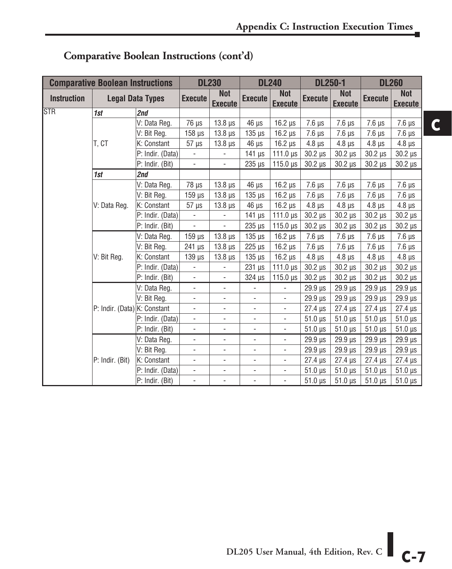|                    | <b>Comparative Boolean Instructions</b> |                         |                          | <b>DL230</b>                 |                              | <b>DL240</b>                 | <b>DL250-1</b>             |                              |                | <b>DL260</b>                 |
|--------------------|-----------------------------------------|-------------------------|--------------------------|------------------------------|------------------------------|------------------------------|----------------------------|------------------------------|----------------|------------------------------|
| <b>Instruction</b> |                                         | <b>Legal Data Types</b> | <b>Execute</b>           | <b>Not</b><br><b>Execute</b> | <b>Execute</b>               | <b>Not</b><br><b>Execute</b> | <b>Execute</b>             | <b>Not</b><br><b>Execute</b> | <b>Execute</b> | <b>Not</b><br><b>Execute</b> |
| <b>STR</b>         | 1st                                     | 2nd                     |                          |                              |                              |                              |                            |                              |                |                              |
|                    |                                         | V: Data Reg.            | $76 \mu s$               | $13.8 \,\mu s$               | $46 \mu s$                   | $16.2 \,\mu s$               | $7.6 \,\mu s$              | $7.6 \text{ }\mu\text{s}$    | $7.6 \,\mu s$  | $7.6 \mu s$                  |
|                    |                                         | V: Bit Reg.             | $158$ $\mu$ s            | $13.8 \,\mu s$               | $135$ $\mu$ s                | $16.2 \mu s$                 | $7.6 \,\mu s$              | $7.6 \mu s$                  | $7.6 \mu s$    | $7.6 \mu s$                  |
|                    | T. CT                                   | K: Constant             | $57 \mu s$               | $13.8 \,\mu s$               | $46 \mu s$                   | $16.2 \mu s$                 | $4.8 \,\mu s$              | $4.8 \mu s$                  | $4.8 \mu s$    | $4.8 \,\mu s$                |
|                    |                                         | P: Indir. (Data)        | $\frac{1}{2}$            | $\overline{\phantom{a}}$     | $141 \mu s$                  | $111.0 \,\mu s$              | $30.2 \,\mu s$             | $30.2 \,\mu s$               | $30.2 \,\mu s$ | $30.2 \,\mu s$               |
|                    |                                         | P: Indir. (Bit)         | $\overline{\phantom{0}}$ | $\overline{\phantom{a}}$     | $235 \mu s$                  | $115.0 \,\mu s$              | $30.2 \,\mu s$             | $30.2 \,\mu s$               | $30.2 \,\mu s$ | $30.2 \,\mu s$               |
|                    | 1st                                     | 2nd                     |                          |                              |                              |                              |                            |                              |                |                              |
|                    |                                         | V: Data Reg.            | $78 \mu s$               | $13.8 \,\mu s$               | $46 \mu s$                   | $16.2 \mu s$                 | $7.6 \,\mu s$              | $7.6 \mu s$                  | $7.6 \mu s$    | $7.6 \,\mu s$                |
|                    |                                         | V: Bit Reg.             | $159$ $\mu$ s            | $13.8 \,\mu s$               | $135$ $\mu$ s                | $16.2 \,\mu s$               | $7.6 \,\mu s$              | $7.6 \mu s$                  | $7.6 \mu s$    | $7.6 \mu s$                  |
|                    | V: Data Reg.                            | K: Constant             | $57 \mu s$               | $13.8 \,\mu s$               | $46 \mu s$                   | $16.2 \,\mu s$               | $4.8 \,\mu s$              | $4.8 \mu s$                  | $4.8 \,\mu s$  | $4.8 \,\mu s$                |
|                    |                                         | P: Indir. (Data)        | $\overline{\phantom{a}}$ | $\overline{\phantom{a}}$     | 141 $\mu$ s                  | $111.0 \,\mu s$              | $30.2$ $\mu$ s             | $30.2 \mu s$                 | $30.2 \,\mu s$ | $30.2 \mu s$                 |
|                    |                                         | P: Indir. (Bit)         | ÷.                       | $\overline{a}$               | $235 \mu s$                  | $115.0 \,\mu s$              | $30.2 \,\mu s$             | $30.2 \,\mu s$               | $30.2 \,\mu s$ | $30.2 \ \mu s$               |
|                    |                                         | V: Data Reg.            | $159$ $\mu$ s            | $13.8 \,\mu s$               | $135 \mu s$                  | $16.2 \mu s$                 | $7.6 \,\mu s$              | $7.6 \mu s$                  | $7.6 \mu s$    | $7.6 \mu s$                  |
|                    |                                         | V: Bit Reg.             | 241 µs                   | $13.8 \,\mu s$               | 225 µs                       | $16.2 \,\mu s$               | $7.6 \mu s$                | $7.6 \mu s$                  | $7.6 \mu s$    | $7.6 \,\mu s$                |
|                    | V: Bit Reg.                             | K: Constant             | $139$ $\mu$ s            | $13.8 \,\mu s$               | $135$ $\mu$ s                | $16.2 \,\mu s$               | $4.8 \,\mu s$              | $4.8 \,\mu s$                | $4.8 \,\mu s$  | $4.8 \,\mu s$                |
|                    |                                         | P: Indir. (Data)        |                          |                              | $231$ $\mu$ s                | $111.0 \,\mu s$              | $30.2 \,\mu s$             | $30.2 \mu s$                 | $30.2$ $\mu s$ | $30.2 \,\mu s$               |
|                    |                                         | P: Indir. (Bit)         |                          |                              | $324 \mu s$                  | $115.0 \,\mu s$              | $30.2 \,\mu s$             | $30.2 \,\mu s$               | $30.2 \,\mu s$ | $30.2 \,\mu s$               |
|                    |                                         | V: Data Reg.            | ÷,                       | $\overline{\phantom{a}}$     |                              | ÷,                           | 29.9 µs                    | $29.9 \,\mu s$               | 29.9 µs        | $29.9 \,\mu s$               |
|                    |                                         | V: Bit Reg.             | $\overline{\phantom{0}}$ | $\overline{\phantom{a}}$     | $\qquad \qquad \blacksquare$ | $\frac{1}{2}$                | $29.9$ $\mu s$             | $29.9 \,\mu s$               | 29.9 µs        | $29.9 \,\mu s$               |
|                    | P: Indir. (Data) K: Constant            |                         | ÷.                       | $\overline{\phantom{a}}$     | ÷,                           | ÷,                           | $27.4 \text{ }\mu\text{s}$ | $27.4 \mu s$                 | $27.4 \,\mu s$ | $27.4 \,\mu s$               |
|                    |                                         | P: Indir. (Data)        | -                        | $\overline{\phantom{a}}$     | $\overline{\phantom{0}}$     | $\overline{\phantom{0}}$     | $51.0 \,\mu s$             | $51.0 \,\mu s$               | $51.0 \,\mu s$ | $51.0 \,\mu s$               |
|                    |                                         | P: Indir. (Bit)         | $\overline{\phantom{0}}$ | ÷,                           | ÷,                           | $\frac{1}{2}$                | $51.0 \,\mu s$             | $51.0 \,\mu s$               | $51.0 \,\mu s$ | $51.0 \,\mu s$               |
|                    |                                         | V: Data Reg.            | ۰                        | $\overline{\phantom{a}}$     | $\qquad \qquad \blacksquare$ | ÷,                           | $29.9 \,\mu s$             | 29.9 µs                      | 29.9 µs        | $29.9 \,\mu s$               |
|                    |                                         | V: Bit Reg.             | ÷.                       | $\overline{\phantom{a}}$     | ÷,                           | ÷,                           | $29.9 \,\mu s$             | $29.9 \,\mu s$               | $29.9 \,\mu s$ | $29.9 \,\mu s$               |
|                    | P: Indir. (Bit)                         | K: Constant             |                          | $\overline{\phantom{0}}$     | $\qquad \qquad \blacksquare$ | $\frac{1}{2}$                | $27.4 \,\mu s$             | $27.4 \,\mu s$               | $27.4 \,\mu s$ | $27.4 \,\mu s$               |
|                    |                                         | P: Indir. (Data)        | $\overline{\phantom{0}}$ | $\overline{\phantom{0}}$     | $\qquad \qquad \blacksquare$ | $\frac{1}{2}$                | $51.0 \text{ }\mu\text{s}$ | $51.0 \,\mu s$               | $51.0 \,\mu s$ | $51.0 \,\mu s$               |
|                    |                                         | P: Indir. (Bit)         | -                        | $\overline{\phantom{a}}$     | $\qquad \qquad \blacksquare$ | $\frac{1}{2}$                | $51.0 \,\mu s$             | $51.0 \,\mu s$               | $51.0 \,\mu s$ | $51.0 \ \mu s$               |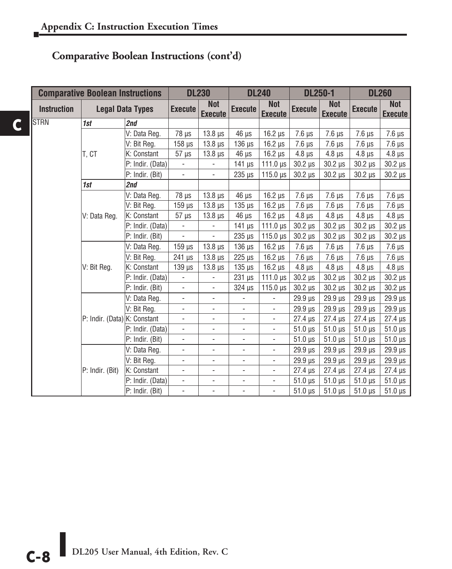|                    | <b>Comparative Boolean Instructions</b> |                         |                          | <b>DL230</b>                 |                              | <b>DL240</b>                 | <b>DL250-1</b> |                              | <b>DL260</b>               |                              |
|--------------------|-----------------------------------------|-------------------------|--------------------------|------------------------------|------------------------------|------------------------------|----------------|------------------------------|----------------------------|------------------------------|
| <b>Instruction</b> |                                         | <b>Legal Data Types</b> | <b>Execute</b>           | <b>Not</b><br><b>Execute</b> | <b>Execute</b>               | <b>Not</b><br><b>Execute</b> | <b>Execute</b> | <b>Not</b><br><b>Execute</b> | <b>Execute</b>             | <b>Not</b><br><b>Execute</b> |
| <b>STRN</b>        | 1st                                     | 2nd                     |                          |                              |                              |                              |                |                              |                            |                              |
|                    |                                         | V: Data Reg.            | $78 \mu s$               | $13.8 \,\mu s$               | $46 \mu s$                   | $16.2 \mu s$                 | $7.6 \,\mu s$  | $7.6 \mu s$                  | $7.6 \,\mu s$              | $7.6 \mu s$                  |
|                    |                                         | V: Bit Reg.             | $158 \mu s$              | $13.8 \,\mu s$               | $136 \mu s$                  | $16.2 \,\mu s$               | $7.6 \,\mu s$  | $7.6 \,\mu s$                | $7.6 \mu s$                | $7.6 \mu s$                  |
|                    | t. Ct                                   | K: Constant             | $57 \mu s$               | $13.8 \,\mu s$               | $46 \mu s$                   | $16.2 \,\mu s$               | $4.8 \,\mu s$  | $4.8 \mu s$                  | $4.8 \mu s$                | $4.8 \mu s$                  |
|                    |                                         | P: Indir. (Data)        | $\overline{\phantom{a}}$ | $\blacksquare$               | $141 \mu s$                  | 111.0 $\mu$ s                | $30.2 \,\mu s$ | $30.2 \,\mu s$               | $30.2 \,\mu s$             | $30.2 \,\mu s$               |
|                    |                                         | P: Indir. (Bit)         | $\overline{\phantom{a}}$ | $\overline{\phantom{a}}$     | $235 \mu s$                  | $115.0 \text{ }\mu\text{s}$  | $30.2 \,\mu s$ | $30.2 \,\mu s$               | $30.2 \,\mu s$             | $30.2 \,\mu s$               |
|                    | 1st                                     | 2nd                     |                          |                              |                              |                              |                |                              |                            |                              |
|                    |                                         | V: Data Reg.            | $78 \mu s$               | $13.8 \,\mu s$               | $46 \mu s$                   | $16.2 \mu s$                 | $7.6 \,\mu s$  | $7.6 \mu s$                  | $7.6 \mu s$                | $7.6 \mu s$                  |
|                    |                                         | V: Bit Reg.             | $159$ $\mu$ s            | $13.8 \,\mu s$               | $135 \mu s$                  | $16.2 \mu s$                 | $7.6 \,\mu s$  | $7.6 \mu s$                  | $7.6 \mu s$                | $7.6 \mu s$                  |
|                    | V: Data Reg.                            | K: Constant             | $57 \mu s$               | $13.8 \,\mu s$               | $46 \mu s$                   | $16.2 \,\mu s$               | $4.8 \,\mu s$  | $4.8 \mu s$                  | $4.8 \mu s$                | $4.8 \,\mu s$                |
|                    |                                         | P: Indir. (Data)        | $\overline{\phantom{a}}$ | $\overline{\phantom{a}}$     | $141 \mu s$                  | $111.0 \,\mu s$              | $30.2 \,\mu s$ | $30.2 \,\mu s$               | $30.2 \,\mu s$             | $30.2 \,\mu s$               |
|                    |                                         | P: Indir. (Bit)         | $\overline{\phantom{a}}$ | $\overline{\phantom{a}}$     | $235 \mu s$                  | $115.0 \,\mu s$              | $30.2 \,\mu s$ | $30.2 \,\mu s$               | $30.2 \mu s$               | $30.2 \,\mu s$               |
|                    |                                         | V: Data Reg.            | $159$ $\mu$ s            | $13.8 \,\mu s$               | $136 \mu s$                  | $16.2 \mu s$                 | $7.6 \mu s$    | $7.6 \mu s$                  | $7.6 \mu s$                | $7.6 \mu s$                  |
|                    |                                         | V: Bit Reg.             | $241$ $\mu$ s            | $13.8 \,\mu s$               | $225 \,\mu s$                | $16.2 \mu s$                 | $7.6 \,\mu s$  | $7.6 \,\mu s$                | $7.6 \mu s$                | $7.6 \mu s$                  |
|                    | V: Bit Reg.                             | K: Constant             | $139$ $\mu$ s            | $13.8 \,\mu s$               | $135 \mu s$                  | $16.2 \,\mu s$               | $4.8 \,\mu s$  | $4.8 \,\mu s$                | $4.8 \,\mu s$              | $4.8 \,\mu s$                |
|                    |                                         | P: Indir. (Data)        | $\frac{1}{2}$            | $\overline{\phantom{0}}$     | $231 \mu s$                  | $111.0 \,\mu s$              | $30.2 \,\mu s$ | $30.2 \,\mu s$               | $30.2 \mu s$               | $30.2 \,\mu s$               |
|                    |                                         | P: Indir. (Bit)         | $\overline{\phantom{a}}$ | $\overline{\phantom{a}}$     | $324$ $\mu$ s                | $115.0 \,\mathrm{\upmu s}$   | $30.2 \,\mu s$ | $30.2 \,\mu s$               | $30.2 \mu s$               | $30.2 \,\mu s$               |
|                    |                                         | V: Data Reg.            | $\Box$                   | $\overline{\phantom{0}}$     | $\overline{\phantom{a}}$     | ÷,                           | $29.9 \,\mu s$ | $29.9 \,\mu s$               | $29.9 \,\mu s$             | $29.9 \,\mu s$               |
|                    |                                         | V: Bit Reg.             | $\overline{\phantom{a}}$ | $\frac{1}{2}$                | $\overline{\phantom{a}}$     | $\overline{\phantom{a}}$     | $29.9 \,\mu s$ | $29.9 \,\mu s$               | $29.9 \,\mu s$             | $29.9 \,\mu s$               |
|                    | P: Indir. (Data) K: Constant            |                         | $\overline{\phantom{a}}$ | $\overline{\phantom{0}}$     | $\overline{\phantom{a}}$     | $\overline{\phantom{0}}$     | $27.4 \,\mu s$ | $27.4 \,\mu s$               | $27.4 \,\mu s$             | $27.4 \,\mu s$               |
|                    |                                         | P: Indir. (Data)        | $\overline{\phantom{a}}$ | ۰                            | $\qquad \qquad \blacksquare$ | ۰                            | $51.0 \,\mu s$ | $51.0 \,\mu s$               | $51.0 \,\mu s$             | $51.0 \,\mu s$               |
|                    |                                         | P: Indir. (Bit)         | $\blacksquare$           | $\overline{\phantom{0}}$     | $\blacksquare$               | ä,                           | $51.0 \,\mu s$ | $51.0 \,\mu s$               | $51.0 \,\mu s$             | $51.0 \,\mu s$               |
|                    |                                         | V: Data Reg.            | $\overline{\phantom{a}}$ | $\overline{\phantom{0}}$     | $\overline{\phantom{a}}$     | ÷,                           | $29.9 \,\mu s$ | $29.9 \text{ }\mu\text{s}$   | $29.9 \text{ }\mu\text{s}$ | $29.9 \,\mu s$               |
|                    |                                         | V: Bit Reg.             | $\frac{1}{2}$            | $\overline{\phantom{0}}$     | $\blacksquare$               | $\overline{\phantom{0}}$     | $29.9 \,\mu s$ | $29.9 \,\mu s$               | $29.9 \text{ }\mu\text{s}$ | $29.9 \,\mu s$               |
|                    | P: Indir. (Bit)                         | K: Constant             | $\overline{\phantom{a}}$ | $\frac{1}{2}$                | $\overline{\phantom{0}}$     | $\frac{1}{2}$                | $27.4 \,\mu s$ | $27.4 \,\mu s$               | $27.4 \,\mu s$             | $27.4 \,\mu s$               |
|                    |                                         | P: Indir. (Data)        | $\blacksquare$           | $\overline{\phantom{0}}$     | $\overline{\phantom{a}}$     | $\overline{\phantom{0}}$     | $51.0 \,\mu s$ | $51.0 \,\mu s$               | $51.0 \,\mu s$             | $51.0 \,\mu s$               |
|                    |                                         | P: Indir. (Bit)         | $\overline{\phantom{a}}$ | ÷,                           | $\overline{a}$               | ÷,                           | $51.0 \,\mu s$ | $51.0 \,\mu s$               | $51.0 \,\mu s$             | $51.0 \,\mu s$               |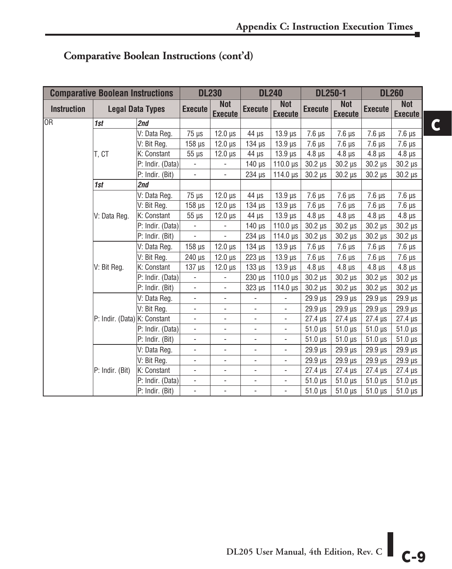|                    | <b>Comparative Boolean Instructions</b> |                         |                          | <b>DL230</b>                 |                              | <b>DL240</b>                 | <b>DL250-1</b>             |                              |                | <b>DL260</b>                 |
|--------------------|-----------------------------------------|-------------------------|--------------------------|------------------------------|------------------------------|------------------------------|----------------------------|------------------------------|----------------|------------------------------|
| <b>Instruction</b> |                                         | <b>Legal Data Types</b> | <b>Execute</b>           | <b>Not</b><br><b>Execute</b> | <b>Execute</b>               | <b>Not</b><br><b>Execute</b> | <b>Execute</b>             | <b>Not</b><br><b>Execute</b> | <b>Execute</b> | <b>Not</b><br><b>Execute</b> |
| <b>OR</b>          | 1st                                     | 2nd                     |                          |                              |                              |                              |                            |                              |                |                              |
|                    |                                         | V: Data Reg.            | $75 \mu s$               | $12.0 \text{ }\mu\text{s}$   | 44 µs                        | $13.9$ $\mu s$               | $7.6 \mu s$                | $7.6 \mu s$                  | $7.6 \mu s$    | $7.6 \,\mu s$                |
|                    |                                         | V: Bit Reg.             | $158$ $\mu$ s            | $12.0 \,\mu s$               | $134$ $\mu$ s                | $13.9 \,\mu s$               | $7.6 \mu s$                | $7.6 \mu s$                  | $7.6 \mu s$    | $7.6 \,\mu s$                |
|                    | T. CT                                   | K: Constant             | $55 \mu s$               | $12.0 \,\mu s$               | $44 \mu s$                   | $13.9 \,\mu s$               | $4.8 \,\mu s$              | $4.8 \,\mu s$                | $4.8 \,\mu s$  | $4.8 \,\mu s$                |
|                    |                                         | P: Indir. (Data)        | $\overline{\phantom{a}}$ | $\overline{\phantom{a}}$     | $140 \mu s$                  | $110.0 \,\mu s$              | $30.2 \mu s$               | $30.2 \,\mu s$               | $30.2 \,\mu s$ | $30.2 \,\mu s$               |
|                    |                                         | P: Indir. (Bit)         |                          | $\blacksquare$               | 234 µs                       | 114.0 $\mu$ s                | $30.2 \,\mu s$             | $30.2 \ \mu s$               | $30.2 \ \mu s$ | $30.2 \,\mu s$               |
|                    | 1st                                     | 2nd                     |                          |                              |                              |                              |                            |                              |                |                              |
|                    |                                         | V: Data Reg.            | $75 \mu s$               | $12.0 \,\mu s$               | $44 \mu s$                   | $13.9 \,\mu s$               | $7.6 \mu s$                | $7.6 \,\mu s$                | $7.6 \,\mu s$  | $7.6 \,\mu s$                |
|                    |                                         | V: Bit Reg.             | $158$ $\mu$ s            | $12.0 \,\mu s$               | $134$ $\mu$ s                | $13.9 \,\mu s$               | $7.6 \mu s$                | $7.6 \mu s$                  | $7.6 \mu s$    | $7.6 \,\mu s$                |
|                    | V: Data Reg.                            | K: Constant             | $55 \mu s$               | $12.0 \,\mu s$               | $44 \mu s$                   | $13.9 \,\mu s$               | $4.8 \,\mu s$              | $4.8 \,\mu s$                | $4.8 \,\mu s$  | $4.8 \,\mu s$                |
|                    |                                         | P: Indir. (Data)        | $\blacksquare$           | $\blacksquare$               | $140 \mu s$                  | $110.0 \text{ }\mu\text{s}$  | $30.2 \,\mu s$             | $30.2 \,\mu s$               | $30.2 \,\mu s$ | $30.2 \ \mu s$               |
|                    |                                         | P: Indir. (Bit)         | $\overline{\phantom{a}}$ | $\blacksquare$               | $234 \mu s$                  | 114.0 $\mu$ s                | $30.2 \,\mu s$             | $30.2 \,\mu s$               | $30.2 \,\mu s$ | $30.2 \,\mu s$               |
|                    |                                         | V: Data Reg.            | $158$ $\mu$ s            | $12.0 \,\mu s$               | $134$ $\mu$ s                | $13.9 \,\mu s$               | $7.6 \mu s$                | $7.6 \,\mu s$                | $7.6 \,\mu s$  | $7.6 \,\mu s$                |
|                    |                                         | V: Bit Reg.             | $240 \mu s$              | $12.0 \,\mu s$               | $223 \mu s$                  | $13.9 \,\mu s$               | $7.6 \mu s$                | $7.6 \mu s$                  | $7.6 \mu s$    | $7.6 \,\mu s$                |
|                    | V: Bit Reg.                             | K: Constant             | $137 \mu s$              | $12.0 \,\mu s$               | $133 \mu s$                  | $13.9 \,\mu s$               | $4.8 \mu s$                | $4.8 \mu s$                  | $4.8 \,\mu s$  | $4.8 \,\mu s$                |
|                    |                                         | P: Indir. (Data)        |                          |                              | $230 \mu s$                  | $110.0 \text{ }\mu\text{s}$  | $30.2 \,\mu s$             | $30.2 \ \mu s$               | $30.2 \,\mu s$ | $30.2 \mu s$                 |
|                    |                                         | P: Indir. (Bit)         | $\overline{\phantom{a}}$ | ÷,                           | $323 \mu s$                  | 114.0 $\mu$ s                | $30.2 \mu s$               | $30.2 \,\mu s$               | $30.2 \,\mu s$ | $30.2 \mu s$                 |
|                    |                                         | V: Data Reg.            | $\blacksquare$           | $\overline{\phantom{a}}$     | $\overline{\phantom{0}}$     | $\overline{\phantom{a}}$     | $29.9 \text{ }\mu\text{s}$ | 29.9 µs                      | $29.9$ $\mu s$ | $29.9 \,\mu s$               |
|                    |                                         | V: Bit Reg.             | $\overline{\phantom{a}}$ | $\overline{\phantom{a}}$     | ÷,                           | $\overline{\phantom{a}}$     | $29.9 \,\mu s$             | 29.9 µs                      | $29.9$ $\mu s$ | 29.9 µs                      |
|                    | P: Indir. (Data) K: Constant            |                         | $\overline{\phantom{a}}$ | ÷,                           | $\overline{a}$               | $\overline{\phantom{a}}$     | $27.4 \,\mu s$             | $27.4 \,\mu s$               | $27.4 \,\mu s$ | $27.4 \,\mu s$               |
|                    |                                         | P: Indir. (Data)        | $\overline{\phantom{a}}$ | $\overline{\phantom{a}}$     | $\qquad \qquad \blacksquare$ | $\overline{\phantom{a}}$     | $51.0 \,\mu s$             | $51.0 \,\mu s$               | $51.0 \,\mu s$ | $51.0 \,\mu s$               |
|                    |                                         | P: Indir. (Bit)         | $\overline{\phantom{a}}$ | ÷,                           | $\overline{\phantom{a}}$     | $\overline{\phantom{a}}$     | $51.0 \,\mu s$             | $51.0 \,\mu s$               | $51.0 \,\mu s$ | $51.0 \,\mu s$               |
|                    |                                         | V: Data Reg.            | $\overline{\phantom{a}}$ | $\overline{\phantom{a}}$     | $\blacksquare$               | $\overline{\phantom{a}}$     | $29.9 \text{ }\mu\text{s}$ | 29.9 µs                      | $29.9$ $\mu s$ | $29.9 \,\mu s$               |
|                    |                                         | V: Bit Reg.             | $\overline{\phantom{0}}$ | ÷,                           | L,                           | $\overline{\phantom{a}}$     | $29.9 \,\mu s$             | $29.9 \,\mu s$               | $29.9$ $\mu s$ | 29.9 µs                      |
|                    | P: Indir. (Bit)                         | K: Constant             | $\overline{\phantom{a}}$ | ÷,                           | ÷,                           | $\blacksquare$               | $27.4 \,\mu s$             | $27.4 \,\mu s$               | $27.4 \,\mu s$ | $27.4 \,\mu s$               |
|                    |                                         | P: Indir. (Data)        | $\overline{\phantom{a}}$ | $\overline{\phantom{a}}$     | $\overline{\phantom{a}}$     | $\overline{\phantom{a}}$     | $51.0 \,\mu s$             | $51.0 \,\mu s$               | $51.0 \,\mu s$ | $51.0 \,\mu s$               |
|                    |                                         | P: Indir. (Bit)         | $\overline{\phantom{a}}$ | $\overline{\phantom{a}}$     | $\qquad \qquad \blacksquare$ | $\overline{\phantom{a}}$     | $51.0 \,\mu s$             | $51.0 \,\mu s$               | $51.0 \,\mu s$ | $51.0 \,\mu s$               |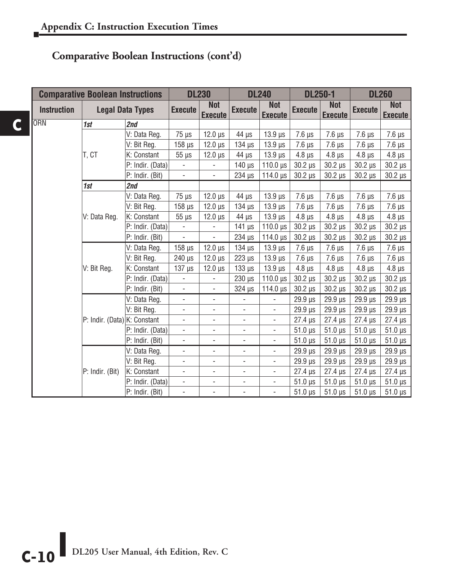|  |                    | <b>Comparative Boolean Instructions</b> |                         |                          | <b>DL230</b>                 |                          | <b>DL240</b>                 |                            | <b>DL250-1</b>               | <b>DL260</b>               |                              |
|--|--------------------|-----------------------------------------|-------------------------|--------------------------|------------------------------|--------------------------|------------------------------|----------------------------|------------------------------|----------------------------|------------------------------|
|  | <b>Instruction</b> |                                         | <b>Legal Data Types</b> | <b>Execute</b>           | <b>Not</b><br><b>Execute</b> | <b>Execute</b>           | <b>Not</b><br><b>Execute</b> | <b>Execute</b>             | <b>Not</b><br><b>Execute</b> | <b>Execute</b>             | <b>Not</b><br><b>Execute</b> |
|  | <b>I</b> ORN       | 1st                                     | 2nd                     |                          |                              |                          |                              |                            |                              |                            |                              |
|  |                    |                                         | V: Data Reg.            | $75 \mu s$               | $12.0 \,\mu s$               | $44 \mu s$               | $13.9 \,\mu s$               | $7.6 \mu s$                | $7.6 \,\mu s$                | $7.6 \,\mu s$              | $7.6 \,\mu s$                |
|  |                    |                                         | V: Bit Reg.             | $158$ $\mu$ s            | $12.0 \,\mu s$               | $134$ $\mu$ s            | $13.9 \,\mu s$               | $7.6 \mu s$                | $7.6 \,\mu s$                | $7.6 \,\mu s$              | $7.6 \,\mu s$                |
|  |                    | IT, CT                                  | K: Constant             | $55 \mu s$               | $12.0 \,\mu s$               | $44 \mu s$               | $13.9 \,\mu s$               | $4.8 \mu s$                | $4.8 \,\mu s$                | $4.8 \mu s$                | $4.8 \,\mu s$                |
|  |                    |                                         | P: Indir. (Data)        | $\overline{\phantom{a}}$ | $\overline{\phantom{a}}$     | $140$ $\mu$ s            | 110.0 $\mu$ s                | $30.2 \,\mu s$             | $30.2 \,\mu s$               | $30.2 \,\mu s$             | $30.2 \,\mu s$               |
|  |                    |                                         | P: Indir. (Bit)         | $\blacksquare$           | $\blacksquare$               | 234 µs                   | $114.0 \text{ }\mu\text{s}$  | $30.2 \,\mu s$             | $30.2 \mu s$                 | $30.2 \,\mu s$             | $30.2 \ \mu s$               |
|  |                    | 1st                                     | 2nd                     |                          |                              |                          |                              |                            |                              |                            |                              |
|  |                    |                                         | V: Data Reg.            | $75 \mu s$               | $12.0 \,\mu s$               | 44 µs                    | $13.9 \,\mu s$               | $7.6 \mu s$                | $7.6 \,\mu s$                | $7.6 \mu s$                | $7.6 \,\mu s$                |
|  |                    |                                         | V: Bit Reg.             | $158$ $\mu$ s            | $12.0 \,\mu s$               | $134$ $\mu$ s            | $13.9$ $\mu$ s               | $7.6 \mu s$                | $7.6 \,\mu s$                | $7.6 \,\mu s$              | $7.6 \,\mu s$                |
|  |                    | V: Data Reg.                            | K: Constant             | $55 \ \mu s$             | $12.0 \,\mu s$               | $44 \mu s$               | $13.9 \,\mu s$               | $4.8 \mu s$                | $4.8 \,\mu s$                | $4.8 \,\mu s$              | $4.8 \,\mu s$                |
|  |                    |                                         | P: Indir. (Data)        | $\overline{\phantom{a}}$ | $\overline{\phantom{a}}$     | $141 \mu s$              | $110.0 \,\mu s$              | $30.2 \,\mu s$             | $30.2 \mu s$                 | $30.2 \,\mu s$             | $30.2 \,\mu s$               |
|  |                    |                                         | P: Indir. (Bit)         | ÷,                       | $\blacksquare$               | $234$ $\mu$ s            | 114.0 $\mu$ s                | $30.2 \,\mu s$             | $30.2 \mu s$                 | $30.2 \,\mu s$             | $30.2 \,\mu s$               |
|  |                    |                                         | V: Data Reg.            | $158 \,\mu s$            | $12.0 \,\mu s$               | $134$ $\mu$ s            | $13.9 \,\mu s$               | $7.6 \mu s$                | $7.6 \,\mu s$                | $7.6 \mu s$                | $7.6 \,\mu s$                |
|  |                    |                                         | V: Bit Req.             | 240 µs                   | $12.0 \,\mu s$               | $223 \mu s$              | $13.9 \,\mu s$               | $7.6 \mu s$                | $7.6 \,\mu s$                | $7.6 \,\mu s$              | $7.6 \,\mu s$                |
|  |                    | V: Bit Reg.                             | K: Constant             | $137$ $\mu$ s            | $12.0 \,\mu s$               | $133 \mu s$              | $13.9 \,\mu s$               | $4.8 \mu s$                | $4.8 \mu s$                  | $4.8 \,\mu s$              | $4.8 \,\mu s$                |
|  |                    |                                         | P: Indir. (Data)        | $\blacksquare$           | $\overline{\phantom{a}}$     | $230 \mu s$              | $110.0 \text{ }\mu\text{s}$  | $30.2 \mu s$               | $30.2 \,\mu s$               | $30.2 \mu s$               | $30.2 \ \mu s$               |
|  |                    |                                         | P: Indir. (Bit)         | $\overline{\phantom{a}}$ | $\overline{\phantom{a}}$     | 324 µs                   | 114.0 $\mu$ s                | $30.2 \,\mu s$             | $30.2 \mu s$                 | $30.2 \mu s$               | $30.2 \mu s$                 |
|  |                    |                                         | V: Data Reg.            | $\overline{\phantom{0}}$ | $\overline{\phantom{0}}$     | $\overline{\phantom{a}}$ | $\overline{\phantom{a}}$     | $29.9 \,\mu s$             | $29.9 \,\mu s$               | $29.9$ $\mu s$             | $29.9 \,\mu s$               |
|  |                    |                                         | V: Bit Reg.             | $\overline{\phantom{a}}$ | $\overline{\phantom{a}}$     | $\overline{\phantom{a}}$ | $\overline{\phantom{a}}$     | $29.9 \text{ }\mu\text{s}$ | $29.9 \text{ }\mu\text{s}$   | $29.9 \text{ }\mu\text{s}$ | $29.9 \,\mu s$               |
|  |                    | P: Indir. (Data) K: Constant            |                         | ÷,                       | $\overline{\phantom{0}}$     | $\overline{\phantom{0}}$ | $\overline{\phantom{a}}$     | $27.4 \,\mu s$             | $27.4 \,\mu s$               | $27.4 \,\mu s$             | $27.4 \,\mu s$               |
|  |                    |                                         | P: Indir. (Data)        | $\overline{\phantom{a}}$ | $\overline{\phantom{a}}$     | $\overline{\phantom{a}}$ | $\overline{\phantom{a}}$     | $51.0 \,\mu s$             | $51.0 \,\mu s$               | $51.0 \,\mu s$             | $51.0 \,\mu s$               |
|  |                    |                                         | P: Indir. (Bit)         | $\overline{\phantom{0}}$ | $\blacksquare$               | $\overline{\phantom{a}}$ | $\overline{\phantom{a}}$     | $51.0 \,\mu s$             | $51.0 \,\mu s$               | $51.0 \,\mu s$             | $51.0 \,\mu s$               |
|  |                    |                                         | V: Data Reg.            | $\overline{\phantom{a}}$ | $\overline{\phantom{a}}$     | $\overline{\phantom{a}}$ | $\overline{\phantom{a}}$     | $29.9 \,\mu s$             | $29.9 \,\mu s$               | $29.9 \,\mu s$             | $29.9 \,\mu s$               |
|  |                    |                                         | V: Bit Reg.             | $\frac{1}{2}$            | $\overline{\phantom{0}}$     | $\overline{\phantom{0}}$ | $\overline{\phantom{a}}$     | $29.9 \text{ }\mu\text{s}$ | $29.9 \text{ }\mu\text{s}$   | $29.9 \text{ }\mu\text{s}$ | $29.9 \,\mu s$               |
|  |                    | P: Indir. (Bit)                         | K: Constant             | $\frac{1}{2}$            | $\overline{\phantom{a}}$     | $\overline{\phantom{a}}$ | $\overline{\phantom{a}}$     | $27.4 \mu s$               | $27.4 \,\mu s$               | $27.4 \,\mu s$             | $27.4 \,\mu s$               |
|  |                    |                                         | P: Indir. (Data)        | ÷,                       | $\frac{1}{2}$                | $\overline{\phantom{a}}$ | $\overline{\phantom{a}}$     | $51.0 \,\mu s$             | $51.0 \,\mu s$               | $51.0 \,\mu s$             | $51.0 \,\mu s$               |
|  |                    |                                         | P: Indir. (Bit)         | ÷,                       | $\qquad \qquad \blacksquare$ | ÷,                       | $\overline{\phantom{a}}$     | $51.0 \,\mu s$             | $51.0 \,\mu s$               | $51.0 \,\mu s$             | $51.0 \,\mu s$               |

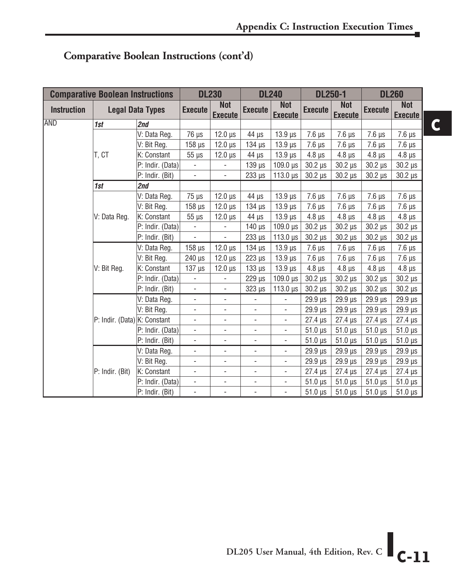**C**

| <b>Comparative Boolean Instructions</b> |                              | <b>DL230</b>             |                          | <b>DL240</b>                 |                              | <b>DL250-1</b>               |                            |                              | <b>DL260</b>   |                              |
|-----------------------------------------|------------------------------|--------------------------|--------------------------|------------------------------|------------------------------|------------------------------|----------------------------|------------------------------|----------------|------------------------------|
| <b>Instruction</b>                      | <b>Legal Data Types</b>      |                          | <b>Execute</b>           | <b>Not</b><br><b>Execute</b> | <b>Execute</b>               | <b>Not</b><br><b>Execute</b> | <b>Execute</b>             | <b>Not</b><br><b>Execute</b> | <b>Execute</b> | <b>Not</b><br><b>Execute</b> |
| AND                                     | 1st                          | 2nd                      |                          |                              |                              |                              |                            |                              |                |                              |
|                                         |                              | V: Data Reg.             | 76 µs                    | $12.0 \text{ }\mu\text{s}$   | 44 µs                        | $13.9$ $\mu$ s               | $7.6 \mu s$                | $7.6 \mu s$                  | $7.6 \mu s$    | $7.6 \,\mu s$                |
|                                         |                              | V: Bit Reg.              | $158 \mu s$              | $12.0 \,\mu s$               | $134$ $\mu$ s                | $13.9 \,\mu s$               | $7.6 \mu s$                | $7.6 \mu s$                  | $7.6 \mu s$    | $7.6 \,\mu s$                |
|                                         | T. CT                        | K: Constant              | $55 \mu s$               | $12.0 \,\mu s$               | $44 \mu s$                   | $13.9 \,\mu s$               | $4.8 \mu s$                | $4.8 \,\mu s$                | $4.8 \,\mu s$  | $4.8 \,\mu s$                |
|                                         |                              | P: Indir. (Data)         | $\overline{\phantom{a}}$ | $\blacksquare$               | $139 \,\mu s$                | $109.0 \,\mu s$              | $30.2 \,\mu s$             | $30.2 \,\mu s$               | $30.2 \,\mu s$ | $30.2 \,\mu s$               |
|                                         |                              | P: Indir. (Bit)          |                          | $\overline{\phantom{a}}$     | $233 \,\mu s$                | $113.0 \,\mu s$              | $30.2 \,\mu s$             | $30.2 \ \mu s$               | $30.2 \ \mu s$ | $30.2 \mu s$                 |
|                                         | 1st                          | 2nd                      |                          |                              |                              |                              |                            |                              |                |                              |
|                                         | V: Data Reg.                 | $75 \mu s$               | $12.0 \,\mu s$           | $44 \mu s$                   | $13.9 \,\mu s$               | $7.6 \mu s$                  | $7.6 \,\mu s$              | $7.6 \mu s$                  | $7.6 \,\mu s$  |                              |
|                                         |                              | V: Bit Reg.              | $158$ $\mu$ s            | $12.0 \,\mu s$               | $134 \mu s$                  | $13.9 \,\mu s$               | $7.6 \mu s$                | $7.6 \mu s$                  | $7.6 \mu s$    | $7.6 \,\mu s$                |
|                                         | V: Data Reg.                 | K: Constant              | $55 \mu s$               | $12.0 \,\mu s$               | $44 \mu s$                   | $13.9 \,\mu s$               | $4.8 \mu s$                | $4.8 \,\mu s$                | $4.8 \,\mu s$  | $4.8 \,\mu s$                |
|                                         |                              | P: Indir. (Data)         | $\overline{\phantom{a}}$ | $\overline{\phantom{a}}$     | $140 \,\mu s$                | $109.0 \,\mu s$              | $30.2 \,\mu s$             | $30.2 \,\mu s$               | $30.2 \,\mu s$ | $30.2 \mu s$                 |
|                                         |                              | P: Indir. (Bit)          | $\overline{\phantom{a}}$ | ÷,                           | $233 \mu s$                  | $113.0 \,\mu s$              | $30.2 \,\mu s$             | $30.2 \,\mu s$               | $30.2 \ \mu s$ | $30.2 \,\mu s$               |
|                                         |                              | V: Data Reg.             | $158$ $\mu$ s            | $12.0 \,\mu s$               | $134 \mu s$                  | $13.9 \,\mu s$               | $7.6 \mu s$                | $7.6 \,\mu s$                | $7.6 \mu s$    | $7.6 \mu s$                  |
|                                         |                              | V: Bit Reg.              | 240 µs                   | $12.0 \,\mu s$               | $223 \mu s$                  | $13.9 \,\mu s$               | $7.6 \mu s$                | $7.6 \mu s$                  | $7.6 \,\mu s$  | $7.6 \mu s$                  |
|                                         | V: Bit Reg.                  | K: Constant              | $137 \mu s$              | $12.0 \,\mu s$               | $133 \mu s$                  | $13.9 \,\mu s$               | $4.8 \,\mu s$              | $4.8 \,\mu s$                | $4.8 \,\mu s$  | $4.8 \,\mu s$                |
|                                         |                              | P: Indir. (Data)         | $\overline{\phantom{a}}$ | $\blacksquare$               | $229$ $\mu s$                | $109.0 \,\mu s$              | $30.2 \,\mu s$             | $30.2 \,\mu s$               | $30.2 \,\mu s$ | $30.2 \,\mu s$               |
|                                         |                              | P: Indir. (Bit)          | $\overline{\phantom{a}}$ | $\overline{\phantom{a}}$     | $323 \mu s$                  | $113.0 \,\mu s$              | $30.2 \mu s$               | $30.2 \,\mu s$               | $30.2 \,\mu s$ | $30.2 \mu s$                 |
|                                         |                              | V: Data Reg.             | $\overline{\phantom{a}}$ | $\blacksquare$               | ÷,                           | $\overline{a}$               | $29.9 \text{ }\mu\text{s}$ | $29.9 \,\mu s$               | $29.9$ $\mu s$ | $29.9 \,\mu s$               |
|                                         |                              | V: Bit Reg.              | $\overline{\phantom{a}}$ | $\overline{\phantom{a}}$     | $\overline{\phantom{a}}$     | $\overline{\phantom{a}}$     | $29.9 \text{ }\mu\text{s}$ | $29.9$ $\mu s$               | $29.9$ $\mu s$ | $29.9 \,\mu s$               |
|                                         | P: Indir. (Data) K: Constant |                          | $\overline{\phantom{a}}$ | ÷,                           | L,                           | $\overline{\phantom{a}}$     | $27.4 \,\mu s$             | $27.4 \,\mu s$               | $27.4 \,\mu s$ | $27.4 \,\mu s$               |
|                                         |                              | P: Indir. (Data)         | $\overline{\phantom{a}}$ | $\overline{\phantom{a}}$     | $\qquad \qquad \blacksquare$ | $\overline{\phantom{a}}$     | $51.0 \,\mu s$             | $51.0 \,\mu s$               | $51.0 \,\mu s$ | $51.0 \,\mu s$               |
|                                         |                              | P: Indir. (Bit)          | $\blacksquare$           | ÷,                           | $\overline{\phantom{a}}$     | $\blacksquare$               | $51.0 \,\mu s$             | $51.0 \,\mu s$               | $51.0 \,\mu s$ | $51.0 \,\mu s$               |
| P: Indir. (Bit)                         | V: Data Reg.                 | $\overline{\phantom{a}}$ | $\blacksquare$           | $\blacksquare$               | $\overline{\phantom{a}}$     | $29.9 \text{ }\mu\text{s}$   | $29.9$ $\mu s$             | $29.9$ $\mu s$               | $29.9 \,\mu s$ |                              |
|                                         | V: Bit Reg.                  |                          | $\overline{\phantom{a}}$ | L,                           | $\overline{\phantom{a}}$     | $29.9 \text{ }\mu\text{s}$   | $29.9 \,\mu s$             | $29.9$ $\mu s$               | 29.9 µs        |                              |
|                                         |                              | K: Constant              | $\overline{\phantom{a}}$ | $\overline{\phantom{a}}$     | ÷,                           | $\overline{\phantom{a}}$     | $27.4 \,\mu s$             | $27.4 \,\mu s$               | $27.4 \,\mu s$ | $27.4 \,\mu s$               |
|                                         |                              | P: Indir. (Data)         | $\frac{1}{2}$            | $\overline{\phantom{a}}$     | ä,                           | $\overline{\phantom{a}}$     | $51.0 \,\mu s$             | $51.0 \,\mu s$               | $51.0 \,\mu s$ | $51.0 \,\mu s$               |
|                                         |                              | P: Indir. (Bit)          | $\overline{\phantom{a}}$ | $\overline{\phantom{a}}$     | ÷,                           | $\overline{\phantom{a}}$     | $51.0 \,\mu s$             | $51.0 \,\mu s$               | $51.0 \,\mu s$ | $51.0 \,\mu s$               |

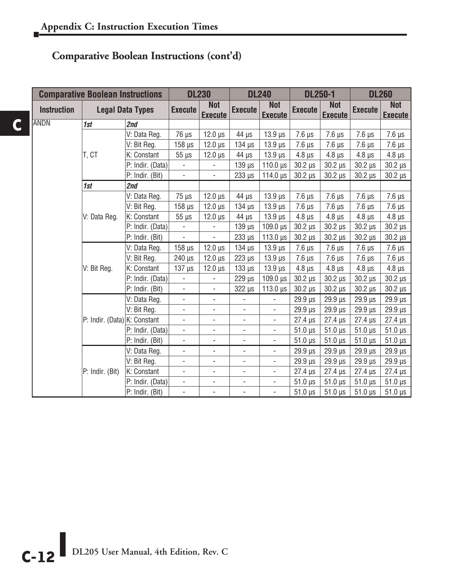**C**

#### **Comparative Boolean Instructions (cont'd)**

| <b>Comparative Boolean Instructions</b> |                              | <b>DL230</b>            |                          | <b>DL240</b>                 |                              | <b>DL250-1</b>               |                | <b>DL260</b>                 |                |                              |
|-----------------------------------------|------------------------------|-------------------------|--------------------------|------------------------------|------------------------------|------------------------------|----------------|------------------------------|----------------|------------------------------|
| <b>Instruction</b>                      |                              | <b>Legal Data Types</b> | <b>Execute</b>           | <b>Not</b><br><b>Execute</b> | <b>Execute</b>               | <b>Not</b><br><b>Execute</b> | <b>Execute</b> | <b>Not</b><br><b>Execute</b> | <b>Execute</b> | <b>Not</b><br><b>Execute</b> |
| ANDN                                    | 1st                          | 2nd                     |                          |                              |                              |                              |                |                              |                |                              |
|                                         |                              | V: Data Reg.            | 76 µs                    | $12.0 \,\mu s$               | $44 \mu s$                   | $13.9 \,\mu s$               | $7.6 \mu s$    | $7.6 \mu s$                  | $7.6 \mu s$    | $7.6 \,\mathrm{\mu s}$       |
|                                         |                              | V: Bit Reg.             | $158$ $\mu$ s            | $12.0 \,\mu s$               | $134$ $\mu$ s                | $13.9 \,\mu s$               | $7.6 \mu s$    | $7.6 \,\mu s$                | $7.6 \mu s$    | $7.6 \,\mu s$                |
|                                         | t. Ct                        | K: Constant             | $55 \mu s$               | $12.0 \,\mu s$               | $44 \mu s$                   | $13.9$ $\mu$ s               | $4.8 \,\mu s$  | $4.8 \mu s$                  | $4.8 \mu s$    | $4.8 \,\mu s$                |
|                                         |                              | P: Indir. (Data)        | ÷,                       | $\overline{\phantom{a}}$     | $139$ $\mu$ s                | $110.0 \text{ }\mu\text{s}$  | $30.2 \mu s$   | $30.2 \mu s$                 | $30.2 \,\mu s$ | $30.2 \,\mu s$               |
|                                         |                              | P: Indir. (Bit)         | $\overline{\phantom{0}}$ | $\qquad \qquad \blacksquare$ | $233 \mu s$                  | $114.0 \text{ }\mu\text{s}$  | $30.2 \mu s$   | $30.2 \mu s$                 | $30.2 \,\mu s$ | $30.2 \,\mu s$               |
|                                         | 1st                          | 2nd                     |                          |                              |                              |                              |                |                              |                |                              |
|                                         |                              | V: Data Reg.            | $75 \mu s$               | $12.0 \,\mu s$               | $44 \mu s$                   | $13.9$ $\mu$ s               | $7.6 \mu s$    | $7.6 \mu s$                  | $7.6 \mu s$    | $7.6 \,\mu s$                |
|                                         |                              | V: Bit Reg.             | $158 \,\mathrm{\mu s}$   | $12.0 \,\mu s$               | $134$ $\mu$ s                | $13.9 \,\mu s$               | $7.6 \mu s$    | $7.6 \mu s$                  | $7.6 \mu s$    | $7.6 \,\mu s$                |
|                                         | V: Data Reg.                 | K: Constant             | $55 \mu s$               | $12.0 \,\mu s$               | $44 \mu s$                   | $13.9 \,\mu s$               | $4.8 \,\mu s$  | $4.8 \mu s$                  | $4.8 \,\mu s$  | $4.8 \,\mu s$                |
|                                         |                              | P: Indir. (Data)        | $\overline{\phantom{a}}$ | $\overline{\phantom{a}}$     | $139 \mu s$                  | $109.0 \,\mu s$              | $30.2 \mu s$   | $30.2 \mu s$                 | $30.2 \,\mu s$ | $30.2 \,\mu s$               |
|                                         |                              | P: Indir. (Bit)         | ÷,                       | $\Box$                       | 233 µs                       | $113.0 \text{ }\mu\text{s}$  | $30.2 \,\mu s$ | $30.2 \ \mu s$               | $30.2 \mu s$   | $30.2 \,\mu s$               |
|                                         |                              | V: Data Reg.            | $158 \,\mu s$            | $12.0 \,\mu s$               | $134$ $\mu$ s                | $13.9$ $\mu$ s               | $7.6 \mu s$    | $7.6 \mu s$                  | $7.6 \mu s$    | $7.6 \,\mu s$                |
|                                         |                              | V: Bit Reg.             | $240 \,\mathrm{\upmu s}$ | $12.0 \,\mu s$               | $223 \mu s$                  | $13.9 \,\mu s$               | $7.6 \mu s$    | $7.6 \,\mu s$                | $7.6 \,\mu s$  | $7.6 \,\mu s$                |
|                                         | V: Bit Reg.                  | K: Constant             | $137 \mu s$              | $12.0 \,\mu s$               | $133 \mu s$                  | $13.9 \,\mu s$               | $4.8 \mu s$    | $4.8 \,\mu s$                | $4.8 \,\mu s$  | $4.8 \,\mu s$                |
|                                         |                              | P: Indir. (Data)        | ÷,                       | $\overline{\phantom{a}}$     | $229$ $\mu s$                | $109.0 \,\mu s$              | $30.2 \ \mu s$ | $30.2 \,\mu s$               | $30.2 \mu s$   | $30.2 \,\mu s$               |
|                                         |                              | P: Indir. (Bit)         | ÷,                       | $\overline{\phantom{a}}$     | $322 \mu s$                  | $113.0 \text{ }\mu\text{s}$  | $30.2 \ \mu s$ | $30.2 \mu s$                 | $30.2 \mu s$   | $30.2 \,\mu s$               |
|                                         |                              | V: Data Reg.            | $\overline{\phantom{0}}$ | $\overline{\phantom{a}}$     | $\overline{\phantom{a}}$     | $\overline{\phantom{a}}$     | $29.9$ $\mu s$ | $29.9$ $\mu s$               | $29.9 \,\mu s$ | $29.9 \,\mu s$               |
|                                         |                              | V: Bit Reg.             | $\overline{\phantom{a}}$ | $\overline{\phantom{a}}$     | $\overline{\phantom{a}}$     | $\overline{\phantom{a}}$     | $29.9 \,\mu s$ | 29.9 µs                      | $29.9 \,\mu s$ | $29.9 \,\mu s$               |
|                                         | P: Indir. (Data) K: Constant |                         | $\overline{\phantom{0}}$ | $\overline{\phantom{0}}$     | $\overline{\phantom{a}}$     | $\overline{\phantom{a}}$     | $27.4 \,\mu s$ | $27.4 \,\mu s$               | $27.4 \,\mu s$ | $27.4 \,\mu s$               |
|                                         |                              | P: Indir. (Data)        | $\overline{\phantom{a}}$ | $\overline{\phantom{a}}$     | $\qquad \qquad \blacksquare$ | $\overline{\phantom{a}}$     | $51.0 \,\mu s$ | $51.0 \,\mu s$               | $51.0 \,\mu s$ | $51.0 \,\mu s$               |
|                                         |                              | P: Indir. (Bit)         | $\overline{\phantom{0}}$ | ÷,                           | $\blacksquare$               | $\overline{\phantom{a}}$     | $51.0 \,\mu s$ | $51.0 \,\mu s$               | $51.0 \,\mu s$ | $51.0 \,\mu s$               |
|                                         |                              | V: Data Reg.            | ÷,                       | $\overline{\phantom{a}}$     | $\overline{\phantom{a}}$     | $\overline{\phantom{a}}$     | $29.9$ $\mu s$ | $29.9 \,\mu s$               | $29.9 \,\mu s$ | 29.9 µs                      |
|                                         |                              | V: Bit Reg.             | $\overline{\phantom{0}}$ | $\overline{\phantom{a}}$     | $\overline{\phantom{a}}$     | $\overline{\phantom{a}}$     | $29.9 \,\mu s$ | 29.9 µs                      | $29.9 \,\mu s$ | $29.9 \,\mu s$               |
|                                         | P: Indir. (Bit)              | K: Constant             | $\overline{\phantom{0}}$ | $\overline{\phantom{a}}$     | $\overline{\phantom{a}}$     | $\overline{\phantom{a}}$     | $27.4 \,\mu s$ | $27.4 \mu s$                 | $27.4 \,\mu s$ | $27.4 \mu s$                 |
|                                         |                              | P: Indir. (Data)        | ÷,                       | $\overline{\phantom{a}}$     | $\overline{\phantom{a}}$     | $\overline{\phantom{a}}$     | $51.0 \,\mu s$ | $51.0 \,\mu s$               | $51.0 \,\mu s$ | $51.0 \,\mu s$               |
|                                         |                              | P: Indir. (Bit)         | $\overline{\phantom{0}}$ | $\blacksquare$               | $\overline{\phantom{a}}$     | $\overline{\phantom{a}}$     | $51.0 \,\mu s$ | $51.0 \,\mu s$               | $51.0 \,\mu s$ | $51.0 \,\mu s$               |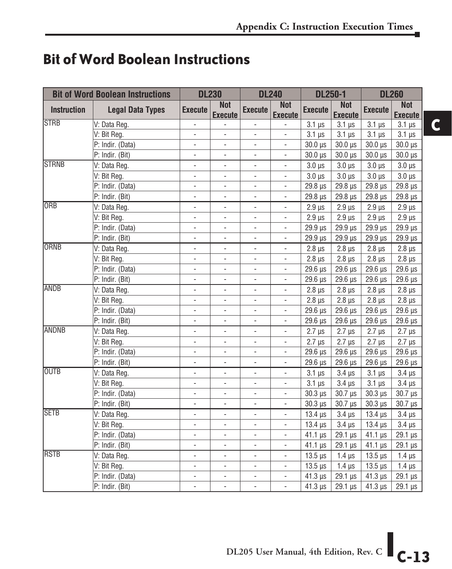### **Bit of Word Boolean Instructions**

| <b>Bit of Word Boolean Instructions</b> |                         | <b>DL230</b>             |                              | <b>DL240</b>             |                              | <b>DL250-1</b>             |                              | <b>DL260</b>               |                              |
|-----------------------------------------|-------------------------|--------------------------|------------------------------|--------------------------|------------------------------|----------------------------|------------------------------|----------------------------|------------------------------|
| <b>Instruction</b>                      | <b>Legal Data Types</b> | <b>Execute</b>           | <b>Not</b><br><b>Execute</b> | <b>Execute</b>           | <b>Not</b><br><b>Execute</b> | <b>Execute</b>             | <b>Not</b><br><b>Execute</b> | <b>Execute</b>             | <b>Not</b><br><b>Execute</b> |
| <b>STRB</b>                             | V: Data Reg.            | $\blacksquare$           |                              | $\overline{a}$           | ÷,                           | $3.1 \mu s$                | $3.1 \mu s$                  | $3.1 \mu s$                | $3.1 \,\mu s$                |
|                                         | V: Bit Reg.             |                          |                              |                          |                              | $3.1 \mu s$                | $3.1 \mu s$                  | $3.1 \,\mu s$              | $3.1 \,\mu s$                |
|                                         | P: Indir. (Data)        | $\overline{\phantom{a}}$ |                              | $\blacksquare$           |                              | $30.0 \,\mu s$             | $30.0 \,\mu s$               | $30.0 \,\mu s$             | $30.0 \,\mu s$               |
|                                         | P: Indir. (Bit)         |                          |                              | $\overline{\phantom{a}}$ | L,                           | $30.0 \text{ }\mu\text{s}$ | $30.0 \,\mu s$               | $30.0 \,\mu s$             | $30.0 \,\mu s$               |
| <b>STRNB</b>                            | V: Data Reg.            | ÷,                       |                              | $\overline{a}$           | $\overline{a}$               | $3.0 \text{ }\mu\text{s}$  | $3.0 \mu s$                  | $3.0 \mu s$                | $3.0 \,\mu s$                |
|                                         | V: Bit Reg.             | $\overline{\phantom{a}}$ | ÷,                           | $\overline{\phantom{0}}$ | L,                           | $3.0 \mu s$                | $3.0 \mu s$                  | $3.0 \mu s$                | $3.0 \mu s$                  |
|                                         | P: Indir. (Data)        | $\blacksquare$           | $\blacksquare$               | $\overline{a}$           | $\blacksquare$               | 29.8 µs                    | 29.8 µs                      | 29.8 µs                    | 29.8 µs                      |
|                                         | P: Indir. (Bit)         | $\blacksquare$           | ÷,                           | ÷,                       | $\blacksquare$               | 29.8 µs                    | $29.8 \,\mu s$               | 29.8 µs                    | 29.8 µs                      |
| ORB                                     | V: Data Reg.            | $\blacksquare$           | $\overline{\phantom{a}}$     | $\overline{\phantom{a}}$ | $\blacksquare$               | $2.9 \mu s$                | $2.9 \,\mu s$                | $2.9 \,\mu s$              | $2.9 \,\mu s$                |
|                                         | V: Bit Reg.             | $\overline{\phantom{a}}$ | $\blacksquare$               | $\blacksquare$           | $\blacksquare$               | $2.9 \,\mu s$              | $2.9 \,\mu s$                | $2.9 \,\mu s$              | $2.9 \,\mu s$                |
|                                         | P: Indir. (Data)        | ÷,                       | ÷,                           | $\overline{a}$           | $\overline{\phantom{a}}$     | 29.9 µs                    | 29.9 µs                      | 29.9 µs                    | $29.9 \,\mu s$               |
|                                         | P: Indir. (Bit)         | $\overline{\phantom{a}}$ | ÷,                           | $\overline{\phantom{a}}$ | $\overline{\phantom{a}}$     | 29.9 µs                    | $29.9 \,\mu s$               | $29.9 \,\mu s$             | $29.9 \,\mu s$               |
| <b>ORNB</b>                             | V: Data Reg.            | $\overline{\phantom{a}}$ | ÷,                           | $\overline{\phantom{a}}$ | $\blacksquare$               | $2.8 \mu s$                | $2.8 \mu s$                  | $2.8 \,\mu s$              | $2.8 \mu s$                  |
|                                         | V: Bit Reg.             | $\overline{a}$           | ÷,                           | $\overline{a}$           | ÷,                           | $2.8$ $\mu$ s              | $2.8 \mu s$                  | $2.8 \,\mu s$              | $2.8 \,\mu s$                |
|                                         | P: Indir. (Data)        | $\overline{\phantom{a}}$ | ÷,                           | $\overline{\phantom{a}}$ | $\frac{1}{2}$                | $29.6 \,\mathrm{\upmu s}$  | 29.6 µs                      | 29.6 µs                    | $29.6 \,\mu s$               |
|                                         | P: Indir. (Bit)         | ÷,                       | ÷,                           | $\overline{a}$           | L.                           | 29.6 µs                    | 29.6 µs                      | 29.6 µs                    | $29.6 \,\mu s$               |
| <b>ANDB</b>                             | V: Data Reg.            | $\overline{a}$           | L.                           | $\overline{a}$           | $\overline{\phantom{a}}$     | $2.8 \,\mu s$              | $2.8 \mu s$                  | $2.8 \,\mu s$              | $2.8 \,\mu s$                |
|                                         | V: Bit Reg.             | $\overline{\phantom{a}}$ | $\overline{\phantom{a}}$     | $\overline{\phantom{a}}$ | $\blacksquare$               | $2.8 \mu s$                | $2.8 \mu s$                  | $2.8 \,\mu s$              | $2.8 \,\mu s$                |
|                                         | P: Indir. (Data)        | $\Box$                   | $\overline{\phantom{a}}$     | $\overline{\phantom{a}}$ | $\Box$                       | $29.6 \,\mu s$             | $29.6 \,\mu s$               | 29.6 µs                    | $29.6 \,\mu s$               |
|                                         | P: Indir. (Bit)         | $\overline{\phantom{a}}$ | $\overline{\phantom{a}}$     | $\overline{\phantom{a}}$ | $\overline{\phantom{a}}$     | $29.6 \,\mu s$             | $29.6 \,\mu s$               | $29.6 \,\mu s$             | 29.6 µs                      |
| <b>ANDNB</b>                            | V: Data Reg.            | $\overline{\phantom{a}}$ | $\frac{1}{2}$                | $\overline{\phantom{a}}$ | $\blacksquare$               | $2.7 \mu s$                | $2.7 \mu s$                  | $2.7 \mu s$                | $2.7 \mu s$                  |
|                                         | V: Bit Reg.             | ÷,                       | $\overline{\phantom{a}}$     | $\blacksquare$           | $\blacksquare$               | $2.7 \text{ }\mu\text{s}$  | $2.7 \mu s$                  | $2.7 \mu s$                | $2.7 \mu s$                  |
|                                         | P: Indir. (Data)        | $\overline{\phantom{a}}$ | $\blacksquare$               | $\overline{\phantom{a}}$ | $\blacksquare$               | 29.6 µs                    | 29.6 µs                      | 29.6 µs                    | $29.6 \,\mu s$               |
|                                         | P: Indir. (Bit)         | $\overline{\phantom{a}}$ | ÷,                           | $\blacksquare$           | $\blacksquare$               | $29.6 \,\mu s$             | $29.6 \,\mu s$               | $29.6 \,\mu s$             | $29.6 \,\mu s$               |
| <b>OUTB</b>                             | V: Data Reg.            | ÷,                       | ÷,                           | $\blacksquare$           | $\overline{\phantom{a}}$     | $3.1 \mu s$                | $3.4 \mu s$                  | $3.1 \,\mu s$              | $3.4 \mu s$                  |
|                                         | V: Bit Reg.             | ÷,                       | ÷,                           | $\overline{\phantom{0}}$ | ÷,                           | $3.1 \mu s$                | $3.4 \mu s$                  | $3.1 \mu s$                | $3.4 \mu s$                  |
|                                         | P: Indir. (Data)        | ÷,                       | $\overline{a}$               | $\overline{a}$           | $\overline{a}$               | $30.3 \,\mu s$             | $30.7 \,\mu s$               | $30.3 \text{ }\mu\text{s}$ | 30.7 µs                      |
|                                         | P: Indir. (Bit)         | $\blacksquare$           | L.                           | $\overline{a}$           | $\overline{\phantom{a}}$     | $30.3 \,\mu s$             | $30.7 \,\mu s$               | $30.3 \text{ }\mu\text{s}$ | $30.7 \,\mu s$               |
| <b>SETB</b>                             | V: Data Reg.            | $\blacksquare$           | L.                           | $\overline{a}$           | $\blacksquare$               | $13.4 \,\mu s$             | $3.4 \mu s$                  | $13.4 \,\mu s$             | $3.4 \mu s$                  |
|                                         | V: Bit Reg.             | $\blacksquare$           | ÷,                           | $\overline{a}$           | $\blacksquare$               | $13.4 \,\mu s$             | $3.4 \mu s$                  | $13.4 \,\mu s$             | $3.4 \mu s$                  |
|                                         | P: Indir. (Data)        | $\overline{\phantom{a}}$ | $\overline{\phantom{a}}$     | $\overline{\phantom{a}}$ | $\overline{\phantom{a}}$     | $41.1 \,\mu s$             | $29.1 \,\mu s$               | $41.1 \,\mu s$             | 29.1 µs                      |
|                                         | P: Indir. (Bit)         | $\overline{\phantom{a}}$ | ۰                            | $\overline{\phantom{a}}$ | $\overline{\phantom{a}}$     | $41.1 \,\mu s$             | $29.1 \,\mu s$               | $41.1 \,\mu s$             | $29.1 \,\mu s$               |
| <b>IRSTB</b>                            | V: Data Reg.            | $\overline{\phantom{a}}$ | $\overline{\phantom{a}}$     | $\overline{\phantom{a}}$ | $\overline{\phantom{a}}$     | $13.5 \,\mu s$             | $1.4 \mu s$                  | $13.5 \,\mu s$             | $1.4 \mu s$                  |
|                                         | V: Bit Reg.             | $\blacksquare$           | $\blacksquare$               | $\overline{\phantom{a}}$ | $\Box$                       | $13.5 \,\mathrm{\upmu s}$  | $1.4 \mu s$                  | $13.5 \,\mu s$             | $1.4 \mu s$                  |
|                                         | P: Indir. (Data)        | $\blacksquare$           | $\overline{\phantom{a}}$     | $\overline{\phantom{a}}$ | $\blacksquare$               | $41.3 \,\mu s$             | $29.1 \,\mu s$               | $41.3 \,\mu s$             | 29.1 µs                      |
|                                         | P: Indir. (Bit)         |                          |                              | $\overline{a}$           | L.                           | $41.3 \,\mu s$             | $29.1 \,\mu s$               | $41.3 \,\mu s$             | $29.1 \,\mu s$               |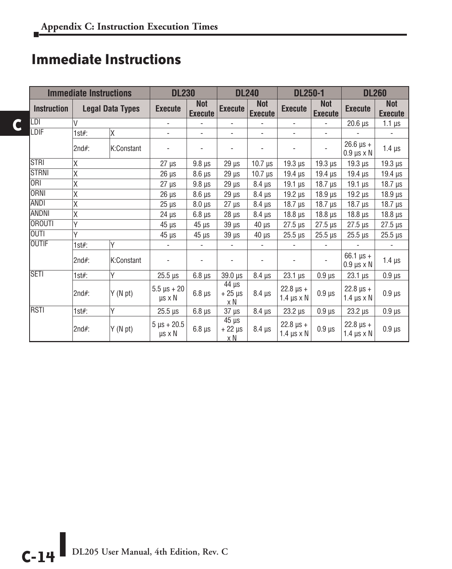### **Immediate Instructions**

**C**

|                    | <b>Immediate Instructions</b> |                         |                                        | <b>DL230</b>                 |                                              | <b>DL240</b>                 | <b>DL250-1</b>                             |                              | <b>DL260</b>                                         |                              |
|--------------------|-------------------------------|-------------------------|----------------------------------------|------------------------------|----------------------------------------------|------------------------------|--------------------------------------------|------------------------------|------------------------------------------------------|------------------------------|
| <b>Instruction</b> |                               | <b>Legal Data Types</b> | <b>Execute</b>                         | <b>Not</b><br><b>Execute</b> | Execute                                      | <b>Not</b><br><b>Execute</b> | <b>Execute</b>                             | <b>Not</b><br><b>Execute</b> | <b>Execute</b>                                       | <b>Not</b><br><b>Execute</b> |
| LDI                | V                             |                         | $\overline{\phantom{0}}$               |                              | $\blacksquare$                               |                              | ٠                                          |                              | $20.6 \,\mu s$                                       | $1.1 \,\mu s$                |
| LDIF               | $1$ st#:                      | Χ                       |                                        | ٠                            | $\blacksquare$                               | $\overline{\phantom{a}}$     | ٠                                          |                              |                                                      |                              |
|                    | $2nd#$ :                      | K:Constant              |                                        |                              |                                              |                              |                                            |                              | $26.6 \text{ }\mu\text{s} +$<br>$0.9 \mu s \times N$ | $1.4 \mu s$                  |
| <b>STRI</b>        | Χ                             |                         | $27 \mu s$                             | $9.8 \mu s$                  | $29 \mu s$                                   | $10.7 \,\mu s$               | $19.3 \,\mu s$                             | $19.3 \,\mu s$               | $19.3 \,\mu s$                                       | 19.3 µs                      |
| <b>STRNI</b>       | Χ                             |                         | $26 \mu s$                             | $8.6 \,\mu s$                | $29 \mu s$                                   | $10.7 \,\mu s$               | $19.4 \,\mu s$                             | $19.4 \,\mu s$               | $19.4 \,\mu s$                                       | $19.4 \,\mu s$               |
| <b>ORI</b>         | Χ                             |                         | $27 \mu s$                             | $9.8 \,\mu s$                | $29 \mu s$                                   | $8.4 \mu s$                  | $19.1 \text{ }\mu\text{s}$                 | $18.7 \,\mu s$               | $19.1 \text{ }\mu\text{s}$                           | $18.7 \,\mu s$               |
| <b>ORNI</b>        | Χ                             |                         | $26 \mu s$                             | $8.6 \,\mu s$                | $29 \mu s$                                   | $8.4 \mu s$                  | $19.2$ $\mu s$                             | $18.9$ $\mu s$               | $19.2$ $\mu$ s                                       | $18.9 \,\mu s$               |
| <b>ANDI</b>        | Χ                             |                         | $25 \text{ }\mu\text{s}$               | $8.0 \,\mu s$                | $27 \mu s$                                   | $8.4 \mu s$                  | $18.7 \,\mu s$                             | $18.7 \,\mu s$               | $18.7$ $\mu$ s                                       | $18.7 \,\mu s$               |
| <b>ANDNI</b>       | Χ                             |                         | $24 \mu s$                             | $6.8 \,\mu s$                | $28 \mu s$                                   | $8.4 \mu s$                  | 18.8 <sub>µs</sub>                         | $18.8 \,\mathrm{\upmu s}$    | $18.8 \,\mu s$                                       | $18.8 \,\mu s$               |
| <b>OROUTI</b>      | Υ                             |                         | $45 \mu s$                             | $45 \mu s$                   | $39 \mu s$                                   | $40 \mu s$                   | $27.5 \,\mu s$                             | $27.5 \,\mu s$               | $27.5 \text{ }\mu\text{s}$                           | $27.5 \,\mu s$               |
| <b>OUTI</b>        | Υ                             |                         | $45 \mu s$                             | $45 \mu s$                   | $39 \mu s$                                   | $40 \mu s$                   | $25.5 \,\mu s$                             | $25.5 \,\mu s$               | $25.5 \,\mu s$                                       | $25.5 \,\mu s$               |
| <b>OUTIF</b>       | $1$ st#:                      | Υ                       | $\blacksquare$                         | $\overline{\phantom{a}}$     | $\overline{\phantom{a}}$                     | $\overline{\phantom{a}}$     | ٠                                          | $\blacksquare$               |                                                      |                              |
|                    | $2nd#$ :                      | K:Constant              |                                        |                              |                                              |                              |                                            |                              | $66.1 \,\mu s +$<br>$0.9 \mu s \times N$             | $1.4 \mu s$                  |
| <b>SETI</b>        | $1$ st#:                      | Υ                       | $25.5 \,\mu s$                         | $6.8 \,\mu s$                | 39.0 µs                                      | $8.4 \mu s$                  | $23.1 \,\mu s$                             | $0.9$ $\mu$ s                | $23.1 \,\mu s$                                       | $0.9 \,\mu s$                |
|                    | $2nd#$ :                      | Y(N pt)                 | $5.5 \,\mu s + 20$<br>$\mu s \times N$ | $6.8 \,\mu s$                | $\frac{44}{4}$ µs<br>$+25 \mu s$<br>x N      | $8.4 \mu s$                  | $22.8 \,\mu s +$<br>$1.4 \,\mu s \times N$ | $0.9$ $\mu$ s                | $22.8 \,\mu s +$<br>$1.4 \,\mu s \times N$           | $0.9 \,\mu s$                |
| <b>RSTI</b>        | $1$ st#:                      | Υ                       | $25.5 \ \mu s$                         | $6.8 \,\mu s$                | $37 \mu s$                                   | $8.4 \mu s$                  | $23.2 \,\mu s$                             | $0.9 \mu s$                  | $23.2 \,\mu s$                                       | $0.9 \,\mu s$                |
|                    | $2nd#$ :                      | Y(N pt)                 | $5 \mu s + 20.5$<br>$\mu s \times N$   | $6.8 \mu s$                  | $\overline{4}5 \,\mu s$<br>$+22 \mu s$<br>хN | $8.4 \mu s$                  | $22.8 \,\mu s +$<br>$1.4 \,\mu s \times N$ | $0.9$ $\mu$ s                | $22.8 \,\mu s +$<br>$1.4 \mu s \times N$             | $0.9 \,\mu s$                |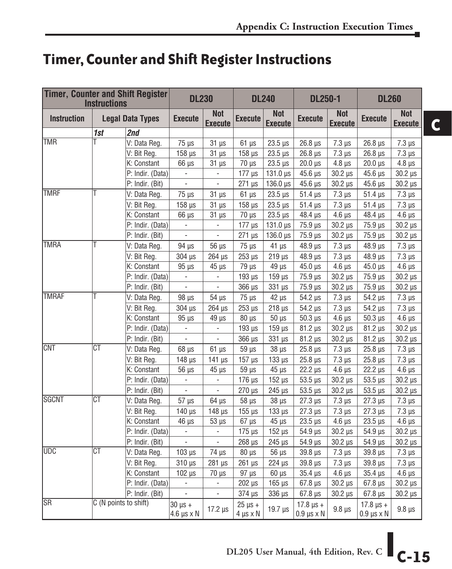## **Timer, Counter and Shift Register Instructions**

| <b>Timer, Counter and Shift Register</b><br><b>Instructions</b> |                        |                         | <b>DL230</b>                           |                              | <b>DL240</b>                       |                              | <b>DL250-1</b>                             |                              | <b>DL260</b>                               |                              |
|-----------------------------------------------------------------|------------------------|-------------------------|----------------------------------------|------------------------------|------------------------------------|------------------------------|--------------------------------------------|------------------------------|--------------------------------------------|------------------------------|
| <b>Instruction</b>                                              |                        | <b>Legal Data Types</b> | <b>Execute</b>                         | <b>Not</b><br><b>Execute</b> | <b>Execute</b>                     | <b>Not</b><br><b>Execute</b> | <b>Execute</b>                             | <b>Not</b><br><b>Execute</b> | <b>Execute</b>                             | <b>Not</b><br><b>Execute</b> |
|                                                                 | 1st                    | 2nd                     |                                        |                              |                                    |                              |                                            |                              |                                            |                              |
| <b>ITMR</b>                                                     | Τ                      | V: Data Reg.            | $75 \mu s$                             | $31 \mu s$                   | $61 \mu s$                         | $23.5 \,\mu s$               | $26.8 \,\mu s$                             | $7.3 \,\mu s$                | $26.8$ $\mu$ s                             | $7.3 \mu s$                  |
|                                                                 |                        | V: Bit Reg.             | $158$ $\mu$ s                          | $31 \mu s$                   | $158$ $\mu$ s                      | $23.5 \,\mu s$               | $26.8$ $\mu$ s                             | $7.3 \,\mu s$                | $26.8$ $\mu$ s                             | $7.3 \mu s$                  |
|                                                                 |                        | K: Constant             | $66 \mu s$                             | $31 \mu s$                   | $70 \mu s$                         | $23.5 \,\mu s$               | $20.0 \,\mu s$                             | $4.8 \,\mu s$                | $20.0 \,\mu s$                             | $4.8 \,\mu s$                |
|                                                                 |                        | P: Indir. (Data)        | $\overline{\phantom{a}}$               | ÷,                           | $177 \mu s$                        | $131.0 \,\mu s$              | $45.6 \,\mu s$                             | $30.2 \,\mu s$               | $45.6 \,\mu s$                             | $30.2 \,\mu s$               |
|                                                                 |                        | P: Indir. (Bit)         | ÷.                                     | $\blacksquare$               | $271$ $\mu$ s                      | $136.0 \,\mu s$              | $45.6 \,\mu s$                             | $30.2 \,\mu s$               | $45.6 \,\mu s$                             | $30.2 \,\mu s$               |
| <b>TMRF</b>                                                     | Τ                      | V: Data Reg.            | $75 \mu s$                             | $31 \mu s$                   | $61 \mu s$                         | $23.5 \,\mu s$               | $51.4 \,\mu s$                             | $7.3 \mu s$                  | $51.4 \,\mu s$                             | $7.3 \,\mu s$                |
|                                                                 |                        | V: Bit Reg.             | $158 \,\mu s$                          | $31 \mu s$                   | $158 \,\mu s$                      | $23.5 \,\mu s$               | $51.4 \,\mu s$                             | $7.3 \,\mu s$                | $51.4 \,\mu s$                             | $7.3 \,\mu s$                |
|                                                                 |                        | K: Constant             | $66 \mu s$                             | $31 \mu s$                   | $70 \mu s$                         | $23.5 \,\mu s$               | 48.4 µs                                    | $4.6 \,\mu s$                | $48.4 \,\mu s$                             | $4.6 \,\mu s$                |
|                                                                 |                        | P: Indir. (Data)        | $\overline{\phantom{a}}$               | $\overline{\phantom{a}}$     | $177 \mu s$                        | $131.0 \,\mu s$              | 75.9 µs                                    | $30.2 \,\mu s$               | 75.9 µs                                    | $30.2 \ \mu s$               |
|                                                                 |                        | P: Indir. (Bit)         | $\overline{\phantom{a}}$               | $\blacksquare$               | $271$ $\mu$ s                      | 136.0 µs                     | 75.9 µs                                    | $30.2 \ \mu s$               | $75.9 \,\mu s$                             | $30.2 \mu s$                 |
| <b>TMRA</b>                                                     | Τ                      | V: Data Reg.            | 94 µs                                  | $56 \mu s$                   | $75 \mu s$                         | $41 \mu s$                   | 48.9 µs                                    | $7.3 \mu s$                  | 48.9 µs                                    | $7.3 \,\mu s$                |
|                                                                 |                        | V: Bit Reg.             | $304 \,\mathrm{\upmu s}$               | $264$ $\mu$ s                | $253 \mu s$                        | $219 \mu s$                  | $48.9 \,\mu s$                             | $7.3 \mu s$                  | $48.9 \,\mu s$                             | $7.3 \mu s$                  |
|                                                                 |                        | K: Constant             | $95 \mu s$                             | $45 \mu s$                   | $79 \mu s$                         | $49 \mu s$                   | $45.0 \,\mu s$                             | $4.6 \,\mu s$                | $45.0 \,\mu s$                             | $4.6 \mu s$                  |
|                                                                 |                        | P: Indir. (Data)        | ä,                                     | $\overline{\phantom{a}}$     | $193 \mu s$                        | $159 \,\mu s$                | 75.9 µs                                    | $30.2 \,\mu s$               | 75.9 µs                                    | $30.2 \,\mu s$               |
|                                                                 |                        | P: Indir. (Bit)         | $\blacksquare$                         | $\blacksquare$               | 366 µs                             | $331 \,\mu s$                | 75.9 µs                                    | $30.2 \,\mu s$               | 75.9 µs                                    | $30.2 \,\mu s$               |
| <b>TMRAF</b>                                                    | Τ                      | V: Data Reg.            | $98 \mu s$                             | $54 \mu s$                   | $75 \mu s$                         | $42 \mu s$                   | $54.2 \,\mu s$                             | $7.3 \mu s$                  | $54.2 \,\mu s$                             | $7.3 \mu s$                  |
|                                                                 |                        | V: Bit Reg.             | 304 µs                                 | $264$ $\mu$ s                | $253 \text{ }\mu\text{s}$          | $218 \,\mu s$                | $54.2 \,\mu s$                             | $7.3 \,\mu s$                | $54.2 \,\mu s$                             | $7.3 \,\mu s$                |
|                                                                 |                        | K: Constant             | $95 \mu s$                             | $49 \mu s$                   | $80 \mu s$                         | $50 \mu s$                   | $50.3 \,\mu s$                             | $4.6 \,\mu s$                | $50.3 \,\mu s$                             | $4.6 \,\mu s$                |
|                                                                 |                        | P: Indir. (Data)        | $\blacksquare$                         | ÷,                           | 193 µs                             | $159$ $\mu$ s                | $81.2 \,\mu s$                             | 30.2 µs                      | $81.2 \,\mu s$                             | $30.2 \,\mu s$               |
|                                                                 |                        | P: Indir. (Bit)         | $\blacksquare$                         | $\overline{\phantom{a}}$     | $366 \mu s$                        | $331 \mu s$                  | $81.2 \,\mu s$                             | $30.2 \mu s$                 | $81.2 \,\mu s$                             | $30.2 \mu s$                 |
| <b>CNT</b>                                                      | $\overline{\text{CT}}$ | V: Data Reg.            | $68 \mu s$                             | $61 \mu s$                   | 59 µs                              | $38 \mu s$                   | $25.8 \,\mu s$                             | $7.3 \mu s$                  | $25.8 \,\mu s$                             | $7.3 \,\mu s$                |
|                                                                 |                        | V: Bit Reg.             | $148$ $\mu$ s                          | $141 \mu s$                  | $157 \mu s$                        | $133 \mu s$                  | $25.8 \,\mu s$                             | $7.3 \mu s$                  | $25.8 \,\mu s$                             | $7.3 \mu s$                  |
|                                                                 |                        | K: Constant             | $56 \mu s$                             | $45 \mu s$                   | $59 \mu s$                         | $45 \mu s$                   | $22.2 \,\mu s$                             | $4.6 \,\mu s$                | $22.2 \,\mu s$                             | $4.6 \,\mu s$                |
|                                                                 |                        | P: Indir. (Data)        | ÷.                                     | ÷,                           | 176 µs                             | $152 \mu s$                  | $53.5 \,\mu s$                             | $30.2 \,\mu s$               | $53.5 \,\mu s$                             | $30.2 \,\mu s$               |
|                                                                 |                        | P: Indir. (Bit)         | $\overline{\phantom{a}}$               | $\overline{\phantom{a}}$     | 270 µs                             | $245 \mu s$                  | $53.5 \,\mu s$                             | $30.2 \,\mu s$               | $53.5 \,\mu s$                             | $30.2 \,\mu s$               |
| <b>SGCNT</b>                                                    | CT                     | V: Data Reg.            | $57 \mu s$                             | $64$ $\mu$ s                 | $58 \mu s$                         | $38 \mu s$                   | $27.3 \,\mu s$                             | $7.3 \mu s$                  | $27.3 \,\mu s$                             | $7.3 \mu s$                  |
|                                                                 |                        | V: Bit Reg.             | $140$ $\mu$ s                          | $148$ $\mu$ s                | $155 \text{ }\mu\text{s}$          | $133 \mu s$                  | $27.3 \,\mu s$                             | $7.3 \,\mu s$                | $27.3 \,\mu s$                             | $7.3 \,\mu s$                |
|                                                                 |                        | K: Constant             | $46 \mu s$                             | $53 \mu s$                   | $67 \mu s$                         | $45 \text{ }\mu\text{s}$     | $23.5 \,\mu s$                             | $4.6 \,\mu s$                | $23.5 \,\mu s$                             | $4.6 \mu s$                  |
|                                                                 |                        | P: Indir. (Data)        | $\overline{\phantom{a}}$               | $\overline{\phantom{a}}$     | $175 \mu s$                        | $152 \mu s$                  | $54.9 \,\mu s$                             | $30.2 \,\mu s$               | $54.9 \,\mu s$                             | $30.2 \mu s$                 |
|                                                                 |                        | P: Indir. (Bit)         | $\overline{\phantom{0}}$               | $\qquad \qquad \blacksquare$ | $268$ $\mu$ s                      | $245 \mu s$                  | $54.9 \,\mu s$                             | $30.2 \mu s$                 | $54.9 \,\mu s$                             | $30.2 \mu s$                 |
| <b>UDC</b>                                                      | $\overline{\text{CT}}$ | V: Data Reg.            | $103 \mu s$                            | $74 \mu s$                   | $80 \mu s$                         | $56 \mu s$                   | 39.8 µs                                    | $7.3 \mu s$                  | $39.8 \text{ }\mu\text{s}$                 | $7.3 \mu s$                  |
|                                                                 |                        | V: Bit Reg.             | $310 \,\mu s$                          | $281 \,\mu s$                | $261 \,\mu s$                      | $224 \mu s$                  | $39.8 \,\mu s$                             | $7.3 \,\mu s$                | 39.8 µs                                    | $7.3 \,\mu s$                |
|                                                                 |                        | K: Constant             | $102 \mu s$                            | $70 \mu s$                   | $97 \mu s$                         | $60 \mu s$                   | $35.4 \,\mu s$                             | $4.6 \,\mu s$                | $35.4 \,\mu s$                             | $4.6 \,\mu s$                |
|                                                                 |                        | P: Indir. (Data)        | ÷,                                     | $\blacksquare$               | $202 \mu s$                        | $165 \mu s$                  | $67.8 \,\mu s$                             | $30.2 \,\mu s$               | $67.8 \,\mu s$                             | $30.2 \,\mu s$               |
|                                                                 |                        | P: Indir. (Bit)         | $\frac{1}{2}$                          | $\overline{\phantom{a}}$     | 374 µs                             | $336 \mu s$                  | $67.8 \,\mu s$                             | $30.2 \,\mu s$               | $67.8 \,\mu s$                             | $30.2 \,\mu s$               |
| <b>I</b> SR                                                     | C (N points to shift)  |                         | $30 \mu s +$<br>$4.6 \,\mu s \times N$ | $17.2 \mu s$                 | $25 \mu s +$<br>$4 \mu s \times N$ | 19.7 µs                      | $17.8 \,\mu s +$<br>$0.9 \,\mu s \times N$ | $9.8 \,\mu s$                | $17.8 \,\mu s +$<br>$0.9 \,\mu s \times N$ | $9.8 \,\mu s$                |

**C**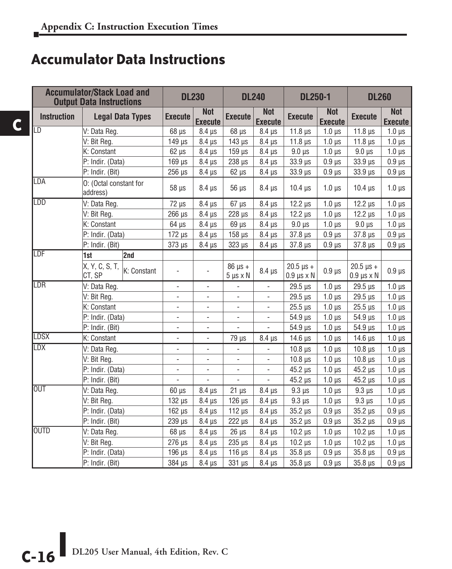#### **Accumulator Data Instructions**

|                    | <b>Accumulator/Stack Load and</b><br><b>Output Data Instructions</b><br><b>Legal Data Types</b> |             |                          | <b>DL230</b>                 | <b>DL240</b>                       |                              | <b>DL250-1</b>                             |                              | <b>DL260</b>                                           |                              |
|--------------------|-------------------------------------------------------------------------------------------------|-------------|--------------------------|------------------------------|------------------------------------|------------------------------|--------------------------------------------|------------------------------|--------------------------------------------------------|------------------------------|
| <b>Instruction</b> |                                                                                                 |             | <b>Execute</b>           | <b>Not</b><br><b>Execute</b> | <b>Execute</b>                     | <b>Not</b><br><b>Execute</b> | <b>Execute</b>                             | <b>Not</b><br><b>Execute</b> | <b>Execute</b>                                         | <b>Not</b><br><b>Execute</b> |
| ILD                | V: Data Reg.                                                                                    |             | $68 \mu s$               | $8.4 \mu s$                  | $68 \mu s$                         | $8.4 \,\mu s$                | 11.8 $\mu$ s                               | $1.0 \mu s$                  | 11.8 $\mu$ s                                           | $1.0 \mu s$                  |
|                    | V: Bit Reg.                                                                                     |             | $149$ $\mu$ s            | $8.4 \mu s$                  | $143 \mu s$                        | $8.4 \mu s$                  | 11.8 $\mu$ s                               | $1.0 \mu s$                  | $11.8 \,\mu s$                                         | $1.0 \,\mu s$                |
|                    | K: Constant                                                                                     |             | $62 \mu s$               | $8.4 \,\mu s$                | $159 \mu s$                        | $8.4 \mu s$                  | $9.0 \mu s$                                | $1.0 \mu s$                  | $9.0 \mu s$                                            | $1.0 \mu s$                  |
|                    | P: Indir. (Data)                                                                                |             | $169$ $\mu$ s            | $8.4 \mu s$                  | $238 \mu s$                        | $8.4 \mu s$                  | 33.9 µs                                    | $0.9$ $\mu$ s                | $33.9 \text{ }\mu\text{s}$                             | $0.9 \,\mu s$                |
|                    | P: Indir. (Bit)                                                                                 |             | $256 \mu s$              | $8.4 \,\mu s$                | $62 \mu s$                         | $8.4 \,\mu s$                | 33.9 µs                                    | $0.9 \mu s$                  | 33.9 µs                                                | $0.9 \,\mu s$                |
| LDA                | O: (Octal constant for<br>address)                                                              |             | 58 µs                    | $8.4 \mu s$                  | 56 µs                              | $8.4 \mu s$                  | $10.4$ $\mu$ s                             | $1.0 \mu s$                  | $10.4$ $\mu$ s                                         | $1.0 \mu s$                  |
| <b>LDD</b>         | V: Data Reg.                                                                                    |             | $72 \mu s$               | $8.4 \mu s$                  | $67 \text{ }\mu\text{s}$           | $8.4 \mu s$                  | $12.2 \text{ }\mu\text{s}$                 | $1.0 \mu s$                  | $12.2 \mu s$                                           | $1.0 \mu s$                  |
|                    | V: Bit Reg.                                                                                     |             |                          | $8.4 \mu s$                  | $228$ $\mu$ s                      | $8.4 \mu s$                  | $12.2 \text{ }\mu\text{s}$                 | $1.0 \mu s$                  | $12.2 \mu s$                                           | $1.0 \mu s$                  |
|                    | K: Constant                                                                                     |             | $64 \mu s$               | $8.4 \mu s$                  | $69$ $\mu$ s                       | $8.4 \mu s$                  | $9.0 \text{ }\mu\text{s}$                  | $1.0 \mu s$                  | $9.0 \mu s$                                            | $1.0 \mu s$                  |
|                    | P: Indir. (Data)                                                                                |             | $172 \mu s$              | $8.4 \,\mu s$                | $158$ $\mu$ s                      | $8.4 \,\mu s$                | $37.8 \,\mu s$                             | $0.9 \mu s$                  | 37.8 µs                                                | $0.9$ $\mu$ s                |
|                    | P: Indir. (Bit)                                                                                 |             | $373 \mu s$              | $8.4 \,\mu s$                | $323 \mu s$                        | $8.4 \,\mu s$                | $37.8 \,\mu s$                             | $0.9$ $\mu$ s                | $37.8 \,\mu s$                                         | $0.9 \,\mu s$                |
| <b>ILDF</b>        | 1st                                                                                             | 2nd         |                          |                              |                                    |                              |                                            |                              |                                                        |                              |
|                    | X, Y, C, S, T,<br>CT, SP                                                                        | K: Constant | ÷,                       |                              | $86 \mu s +$<br>$5 \mu s \times N$ | $8.4 \,\mu s$                | $20.5 \,\mu s +$<br>$0.9 \,\mu s \times N$ | $0.9$ $\mu$ s                | $20.5 \text{ }\mu\text{s} +$<br>$0.9 \,\mu s \times N$ | $0.9 \,\mu s$                |
| LDR                | V: Data Reg.                                                                                    |             | $\blacksquare$           | $\overline{\phantom{a}}$     | $\blacksquare$                     | $\overline{\phantom{a}}$     | $29.5 \,\mu s$                             | $1.0 \mu s$                  | $29.5 \,\mu s$                                         | $1.0 \,\mu s$                |
|                    | V: Bit Reg.                                                                                     |             | $\blacksquare$           | $\overline{\phantom{0}}$     | $\overline{\phantom{a}}$           | $\overline{\phantom{a}}$     | 29.5 µs                                    | $1.0$ us                     | $29.5 \text{ }\mu\text{s}$                             | $1.0 \mu s$                  |
|                    | K: Constant                                                                                     |             | $\blacksquare$           | $\overline{\phantom{0}}$     | $\overline{\phantom{a}}$           | $\overline{\phantom{a}}$     | $25.5 \,\mu s$                             | $1.0 \mu s$                  | $25.5 \,\mu s$                                         | $1.0 \mu s$                  |
|                    | P: Indir. (Data)                                                                                |             | $\blacksquare$           | $\overline{\phantom{0}}$     | $\overline{\phantom{a}}$           | $\overline{\phantom{a}}$     | $54.9 \,\mu s$                             | $1.0 \mu s$                  | $54.9 \,\mu s$                                         | $1.0 \mu s$                  |
|                    | P: Indir. (Bit)                                                                                 |             | $\overline{\phantom{a}}$ | $\overline{\phantom{0}}$     | $\blacksquare$                     | $\overline{\phantom{a}}$     | $54.9 \,\mu s$                             | $1.0 \mu s$                  | $54.9 \,\mu s$                                         | $1.0 \mu s$                  |
| <b>LDSX</b>        | K: Constant                                                                                     |             | $\bar{\phantom{a}}$      | $\overline{\phantom{a}}$     | $79 \mu s$                         | $8.4 \mu s$                  | 14.6 $\mu$ s                               | $1.0 \mu s$                  | 14.6 $\mu$ s                                           | $1.0 \mu s$                  |
| LDX                | V: Data Reg.                                                                                    |             | ÷,                       | ÷,                           |                                    |                              | $10.8 \,\mu s$                             | $1.0 \mu s$                  | $10.8 \,\mu s$                                         | $1.0 \mu s$                  |
|                    | V: Bit Reg.                                                                                     |             | $\blacksquare$           | ÷,                           | $\overline{\phantom{a}}$           | $\overline{\phantom{a}}$     | $10.8$ $\mu$ s                             | $1.0 \mu s$                  | $10.8$ $\mu$ s                                         | $1.0 \mu s$                  |
|                    | P: Indir. (Data)                                                                                |             | $\blacksquare$           | ÷,                           | $\overline{\phantom{a}}$           | $\overline{\phantom{a}}$     | $45.2 \,\mu s$                             | $1.0 \mu s$                  | $45.2 \,\mu s$                                         | $1.0 \mu s$                  |
|                    | P: Indir. (Bit)                                                                                 |             | $\overline{\phantom{a}}$ | $\overline{a}$               | $\overline{a}$                     | $\frac{1}{2}$                | $45.2 \,\mu s$                             | $1.0 \mu s$                  | $45.2 \,\mu s$                                         | $1.0 \mu s$                  |
| <b>OUT</b>         | V: Data Reg.                                                                                    |             | $60 \mu s$               | $8.4 \,\mu s$                | $21 \mu s$                         | $8.4 \,\mu s$                | $9.3 \mu s$                                | $1.0 \mu s$                  | $9.3 \mu s$                                            | $1.0 \mu s$                  |
|                    | V: Bit Reg.                                                                                     |             | $132 \mu s$              | $8.4 \mu s$                  | $126 \mu s$                        | $8.4 \mu s$                  | $9.3 \mu s$                                | $1.0 \mu s$                  | $9.3 \mu s$                                            | $1.0 \mu s$                  |
|                    | P: Indir. (Data)                                                                                |             | $162 \mu s$              | $8.4 \mu s$                  | $112 \mu s$                        | $8.4 \mu s$                  | $35.2 \,\mu s$                             | $0.9$ $\mu$ s                | $35.2 \,\mu s$                                         | $0.9$ $\mu$ s                |
|                    | P: Indir. (Bit)                                                                                 |             | $239$ $\mu s$            | $8.4 \mu s$                  | $222 \mu s$                        | $8.4 \,\mu s$                | $35.2 \,\mu s$                             | $0.9 \mu s$                  | $35.2 \mu s$                                           | $0.9 \,\mu s$                |
| <b>OUTD</b>        | V: Data Reg.                                                                                    |             | $68 \mu s$               | $8.4 \,\mu s$                | $26 \mu s$                         | $8.4 \,\mu s$                | $10.2 \mu s$                               | $1.0 \mu s$                  | $10.2 \mu s$                                           | $1.0 \,\mu s$                |
|                    | V: Bit Reg.                                                                                     |             | $276 \mu s$              | $8.4 \,\mu s$                | $235 \mu s$                        | $8.4 \,\mu s$                | $10.2 \mu s$                               | $1.0 \mu s$                  | $10.2 \mu s$                                           | $1.0 \,\mu s$                |
|                    | P: Indir. (Data)                                                                                |             | $196 \mu s$              | $8.4 \,\mu s$                | $116 \mu s$                        | $8.4 \,\mu s$                | $35.8 \,\mu s$                             | $0.9 \mu s$                  | $35.8 \,\mu s$                                         | $0.9 \,\mu s$                |
|                    | P: Indir. (Bit)                                                                                 |             | 384 µs                   | $8.4 \mu s$                  | $331 \mu s$                        | $8.4 \mu s$                  | $35.8 \,\mu s$                             | $0.9$ $\mu$ s                | $35.8 \,\mu s$                                         | $0.9$ $\mu$ s                |

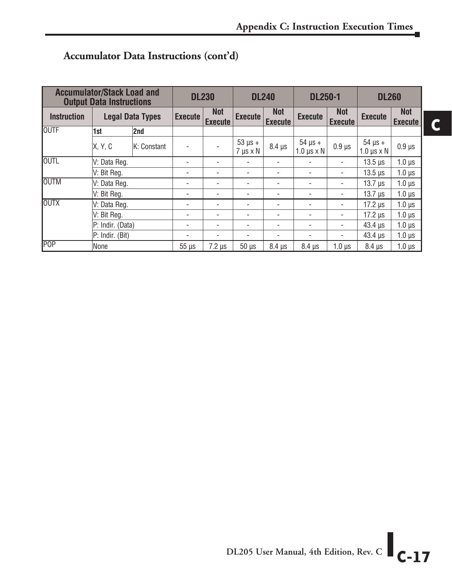**C**

|                    | <b>Accumulator/Stack Load and</b><br><b>Output Data Instructions</b> |     |                          | <b>DL230</b>                 |                                    | <b>DL240</b>                 | <b>DL250-1</b>                       |                              | <b>DL260</b>                         |                              |
|--------------------|----------------------------------------------------------------------|-----|--------------------------|------------------------------|------------------------------------|------------------------------|--------------------------------------|------------------------------|--------------------------------------|------------------------------|
| <b>Instruction</b> | <b>Legal Data Types</b>                                              |     | <b>Execute</b>           | <b>Not</b><br><b>Execute</b> | <b>Execute</b>                     | <b>Not</b><br><b>Execute</b> | <b>Execute</b>                       | <b>Not</b><br><b>Execute</b> | <b>Execute</b>                       | <b>Not</b><br><b>Execute</b> |
| <b>OUTF</b>        | 1st                                                                  | 2nd |                          |                              |                                    |                              |                                      |                              |                                      |                              |
|                    | X, Y, C<br>K: Constant                                               |     | $\blacksquare$           |                              | $53 \mu s +$<br>$7 \mu s \times N$ | $8.4 \,\mu s$                | $54 \mu s +$<br>$1.0 \mu s \times N$ | $0.9$ $\mu$ s                | $54 \mu s +$<br>$1.0 \mu s \times N$ | $0.9$ $\mu$ s                |
| <b>OUTL</b>        | V: Data Reg.                                                         |     | ۰                        | ۰                            | ٠                                  | ٠                            | ۰                                    | $\overline{\phantom{a}}$     | $13.5 \,\mu s$                       | $1.0 \mu s$                  |
|                    | V: Bit Reg.                                                          |     | ٠                        | ۰                            | ٠                                  | $\overline{\phantom{a}}$     | ۰                                    | $\overline{\phantom{a}}$     | $13.5 \,\mu s$                       | $1.0 \mu s$                  |
| <b>OUTM</b>        | V: Data Reg.                                                         |     | ۰                        | ۰                            | ۰                                  |                              | ۰                                    |                              | $13.7 \,\mu s$                       | $1.0 \mu s$                  |
|                    | V: Bit Reg.                                                          |     | ٠                        | ۰                            | ٠                                  | ٠                            | ۰                                    | $\overline{\phantom{a}}$     | $13.7 \,\mu s$                       | $1.0 \mu s$                  |
| <b>OUTX</b>        | V: Data Reg.                                                         |     | ٠                        | ۰                            | ٠                                  | $\blacksquare$               | ۰                                    | $\overline{\phantom{a}}$     | $17.2 \mu s$                         | $1.0 \mu s$                  |
|                    | V: Bit Reg.                                                          |     | $\overline{\phantom{a}}$ | ۰                            | ۰                                  | ٠                            | ۰                                    | $\overline{\phantom{a}}$     | $17.2 \mu s$                         | $1.0 \mu s$                  |
|                    | P: Indir. (Data)                                                     |     | ۰                        | ۰                            | ٠                                  | ٠                            | ۰                                    | $\overline{\phantom{a}}$     | $43.4 \,\mu s$                       | $1.0 \mu s$                  |
|                    | P: Indir. (Bit)                                                      |     | ۰                        | $\overline{\phantom{a}}$     | ۰                                  | ٠                            | ٠                                    | $\overline{\phantom{a}}$     | $43.4 \,\mu s$                       | $1.0 \mu s$                  |
| POP                | None                                                                 |     | $55 \mu s$               | $7.2 \mu s$                  | $50 \mu s$                         | $8.4 \mu s$                  | $8.4 \mu s$                          | $1.0 \mu s$                  | $8.4 \mu s$                          | $1.0 \,\mu s$                |

#### **Accumulator Data Instructions (cont'd)**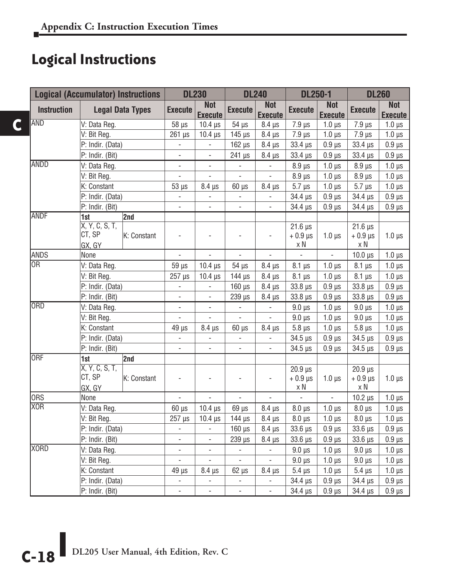## **Logical Instructions**

**C**

|                    | <b>Logical (Accumulator) Instructions</b>         |              |                          | <b>DL230</b><br><b>DL240</b> |                           | <b>DL250-1</b>               |                                        | <b>DL260</b>                 |                                         |                              |
|--------------------|---------------------------------------------------|--------------|--------------------------|------------------------------|---------------------------|------------------------------|----------------------------------------|------------------------------|-----------------------------------------|------------------------------|
| <b>Instruction</b> | <b>Legal Data Types</b>                           |              | <b>Execute</b>           | <b>Not</b><br><b>Execute</b> | <b>Execute</b>            | <b>Not</b><br><b>Execute</b> | <b>Execute</b>                         | <b>Not</b><br><b>Execute</b> | <b>Execute</b>                          | <b>Not</b><br><b>Execute</b> |
| <b>AND</b>         | V: Data Reg.                                      |              | $58 \mu s$               | $10.4 \,\mu s$               | $54 \mu s$                | $8.4 \,\mu s$                | $7.9 \,\mu s$                          | $1.0 \mu s$                  | $7.9 \,\mu s$                           | $1.0 \mu s$                  |
|                    | V: Bit Reg.                                       |              | $261 \,\mu s$            | $10.4$ $\mu$ s               | $145$ $\mu$ s             | $8.4 \mu s$                  | $7.9 \,\mu s$                          | $1.0 \mu s$                  | $7.9 \,\mu s$                           | $1.0 \mu s$                  |
|                    | P: Indir. (Data)                                  |              | $\overline{\phantom{a}}$ | $\Box$                       | $162 \mu s$               | $8.4 \mu s$                  | 33.4 µs                                | $0.9$ $\mu$ s                | 33.4 µs                                 | $0.9 \,\mu s$                |
|                    | P: Indir. (Bit)                                   |              | $\blacksquare$           | $\blacksquare$               | $241 \mu s$               | $8.4 \,\mu s$                | 33.4 µs                                | $0.9 \mu s$                  | 33.4 µs                                 | $0.9 \,\mu s$                |
| <b>ANDD</b>        | V: Data Reg.                                      |              | $\overline{\phantom{a}}$ | $\blacksquare$               | $\blacksquare$            | $\blacksquare$               | $8.9 \,\mu s$                          | $1.0 \,\mu s$                | $8.9 \,\mu s$                           | $1.0 \,\mu s$                |
|                    | V: Bit Reg.                                       |              | $\overline{a}$           | $\blacksquare$               | ÷,                        | $\blacksquare$               | 8.9 µs                                 | $1.0 \mu s$                  | $8.9 \text{ }\mu\text{s}$               | $1.0 \mu s$                  |
|                    | K: Constant                                       |              | $53 \mu s$               | $8.4 \,\mu s$                | $60 \mu s$                | $8.4 \,\mu s$                | $5.7 \mu s$                            | $1.0 \mu s$                  | $5.7 \mu s$                             | $1.0 \,\mu s$                |
|                    | P: Indir. (Data)                                  |              | $\overline{\phantom{a}}$ | $\overline{\phantom{a}}$     | ä,                        | $\Box$                       | 34.4 µs                                | $0.9 \,\mu s$                | 34.4 µs                                 | $0.9 \,\mu s$                |
|                    | P: Indir. (Bit)                                   |              | $\overline{a}$           | ÷,                           | ÷,                        |                              | 34.4 µs                                | 0.9 <sub>µs</sub>            | 34.4 µs                                 | $0.9 \,\mu s$                |
| ANDF               | 1st                                               | $\sqrt{2nd}$ |                          |                              |                           |                              |                                        |                              |                                         |                              |
|                    | X, Y, C, S, T,<br>CT, SP<br>K: Constant<br>GX, GY |              |                          |                              |                           | $\overline{\phantom{0}}$     | $21.6 \,\mu s$<br>$+0.9$ $\mu$ s<br>хN | $1.0 \mu s$                  | $21.6 \,\mu s$<br>$+0.9$ $\mu$ s<br>x N | $1.0 \,\mu s$                |
| ANDS               | None                                              |              | $\overline{a}$           | L.                           | L.                        | ä,                           | $\overline{\phantom{a}}$               | L,                           | $10.0 \,\mu s$                          | $1.0 \mu s$                  |
| <b>IOR</b>         | V: Data Reg.                                      |              | $59 \mu s$               | $10.4 \text{ }\mu\text{s}$   | $54$ $\mu s$              | $8.4 \,\mu s$                | $8.1 \,\mu s$                          | $1.0 \mu s$                  | $8.1 \mu s$                             | $1.0 \mu s$                  |
|                    | V: Bit Reg.                                       |              | 257 µs                   | $10.4 \,\mu s$               | $144 \mu s$               | $8.4 \,\mu s$                | $8.1 \,\mu s$                          | $1.0 \mu s$                  | $8.1 \,\mu s$                           | $1.0 \mu s$                  |
|                    | P: Indir. (Data)                                  |              | $\overline{\phantom{a}}$ | $\Box$                       | $160$ $\mu$ s             | $8.4 \mu s$                  | $33.8 \,\mu s$                         | $0.9$ $\mu$ s                | $33.8 \,\mu s$                          | $0.9 \,\mu s$                |
|                    | P: Indir. (Bit)                                   |              | $\blacksquare$           | $\overline{\phantom{a}}$     | 239 µs                    | 8.4 µs                       | 33.8 µs                                | 0.9 <sub>µs</sub>            | $33.8 \,\mu s$                          | $0.9 \,\mu s$                |
| <b>ORD</b>         | V: Data Reg.                                      |              | $\overline{\phantom{a}}$ | $\overline{\phantom{a}}$     | $\overline{\phantom{a}}$  | $\blacksquare$               | $9.0 \mu s$                            | $1.0 \mu s$                  | $9.0 \mu s$                             | $1.0 \,\mu s$                |
|                    | V: Bit Reg.                                       |              | $\overline{a}$           | $\frac{1}{2}$                | L,                        | $\overline{\phantom{a}}$     | $9.0 \mu s$                            | $1.0 \mu s$                  | $9.0 \text{ }\mu\text{s}$               | $1.0 \,\mu s$                |
|                    | K: Constant                                       |              | $49 \mu s$               | $8.4 \mu s$                  | $60 \mu s$                | 8.4 µs                       | $5.8 \mu s$                            | $1.0 \mu s$                  | $5.8 \mu s$                             | $1.0 \mu s$                  |
|                    | P: Indir. (Data)                                  |              | $\overline{a}$           | $\blacksquare$               | $\Box$                    | $\blacksquare$               | $34.5 \,\mu s$                         | $0.9 \mu s$                  | $34.5 \,\mu s$                          | $0.9 \,\mu s$                |
|                    | P: Indir. (Bit)                                   |              | $\overline{\phantom{a}}$ | $\overline{\phantom{a}}$     | $\blacksquare$            | $\overline{\phantom{a}}$     | $34.5 \,\mu s$                         | $0.9 \,\mu s$                | $34.5 \,\mu s$                          | $0.9 \,\mu s$                |
| <b>ORF</b>         | 1st                                               | 2nd          |                          |                              |                           |                              |                                        |                              |                                         |                              |
|                    | X, Y, C, S, T,<br>CT. SP<br>GX. GY                | K: Constant  | $\overline{\phantom{a}}$ | ÷,                           | ÷,                        | $\overline{\phantom{a}}$     | $20.9$ $\mu s$<br>$+0.9$ $\mu$ s<br>хN | $1.0 \mu s$                  | $20.9$ $\mu s$<br>$+0.9$ $\mu$ s<br>хN  | $1.0 \,\mu s$                |
| ORS                | None                                              |              |                          |                              | $\overline{a}$            | $\overline{a}$               | $\overline{a}$                         | ÷.                           | $10.2 \,\mu s$                          | $1.0 \mu s$                  |
| <b>XOR</b>         | V: Data Reg.                                      |              | $60 \mu s$               | $10.4 \,\mu s$               | 69 µs                     | $8.4 \mu s$                  | $8.0 \,\mu s$                          | $1.0 \mu s$                  | $8.0 \,\mu s$                           | $1.0 \mu s$                  |
|                    | V: Bit Reg.                                       |              | 257 µs                   | $10.4$ $\mu$ s               | $144$ $\mu$ s             | $8.4 \mu s$                  | $8.0 \text{ }\mu\text{s}$              | $1.0 \mu s$                  | $8.0 \text{ }\mu\text{s}$               | $1.0 \mu s$                  |
|                    | P: Indir. (Data)                                  |              | $\overline{a}$           | $\overline{\phantom{a}}$     | $160 \text{ }\mu\text{s}$ | $8.4 \,\mu s$                | 33.6 µs                                | $0.9 \,\mu s$                | 33.6 µs                                 | $0.9 \,\mu s$                |
|                    | P: Indir. (Bit)                                   |              | $\overline{\phantom{a}}$ | $\Box$                       | 239 µs                    | $8.4 \,\mu s$                | 33.6 µs                                | $0.9 \,\mu s$                | 33.6 µs                                 | $0.9 \,\mu s$                |
| <b>XORD</b>        | V: Data Reg.                                      |              | $\overline{a}$           | $\blacksquare$               | $\Box$                    | ÷,                           | $9.0 \text{ }\mu\text{s}$              | $1.0 \mu s$                  | $9.0 \text{ }\mu\text{s}$               | $1.0 \mu s$                  |
|                    | V: Bit Reg.                                       |              | $\overline{\phantom{a}}$ | $\overline{\phantom{a}}$     | $\Box$                    | $\overline{\phantom{a}}$     | $9.0 \mu s$                            | $1.0 \mu s$                  | $9.0 \mu s$                             | $1.0 \,\mu s$                |
|                    | K: Constant                                       |              | $49 \mu s$               | $8.4 \,\mu s$                | $62 \mu s$                | $8.4 \,\mu s$                | $5.4 \mu s$                            | $1.0 \mu s$                  | $5.4 \mu s$                             | $1.0 \,\mu s$                |
|                    | P: Indir. (Data)                                  |              | $\blacksquare$           | $\blacksquare$               | $\overline{\phantom{a}}$  | $\overline{\phantom{a}}$     | 34.4 µs                                | $0.9$ $\mu$ s                | 34.4 µs                                 | $0.9 \,\mu s$                |
|                    | P: Indir. (Bit)                                   |              | $\overline{a}$           | $\overline{a}$               | $\overline{\phantom{a}}$  | $\frac{1}{2}$                | 34.4 µs                                | $0.9 \mu s$                  | $34.4 \,\mu s$                          | $0.9 \,\mu s$                |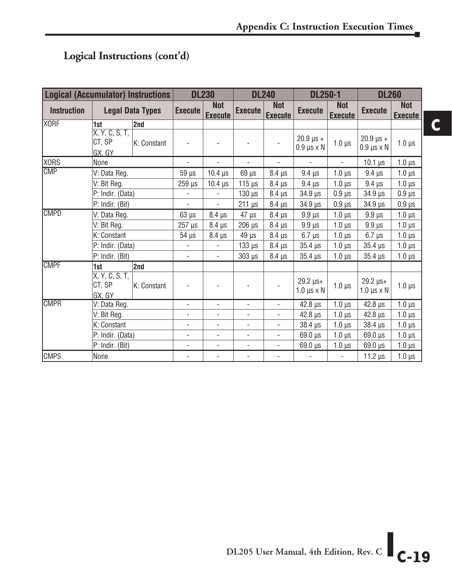#### **Logical Instructions (cont'd)**

| <b>Logical (Accumulator) Instructions</b> |                                    |             | <b>DL230</b>                 |                              | <b>DL240</b>             |                              | <b>DL250-1</b>                           |                              | <b>DL260</b>                             |                              |
|-------------------------------------------|------------------------------------|-------------|------------------------------|------------------------------|--------------------------|------------------------------|------------------------------------------|------------------------------|------------------------------------------|------------------------------|
| <b>Instruction</b>                        | <b>Legal Data Types</b>            |             | <b>Execute</b>               | <b>Not</b><br><b>Execute</b> | <b>Execute</b>           | <b>Not</b><br><b>Execute</b> | <b>Execute</b>                           | <b>Not</b><br><b>Execute</b> | <b>Execute</b>                           | <b>Not</b><br><b>Execute</b> |
| <b>XORF</b>                               | 1st                                | 2nd         |                              |                              |                          |                              |                                          |                              |                                          |                              |
|                                           | X, Y, C, S, T,<br>CT, SP<br>GX, GY | K: Constant |                              |                              |                          |                              | $20.9 \,\mu s +$<br>$0.9 \mu s \times N$ | $1.0 \mu s$                  | $20.9 \,\mu s +$<br>$0.9 \mu s \times N$ | $1.0 \mu s$                  |
| XORS                                      | None                               |             | $\overline{\phantom{a}}$     | $\overline{\phantom{a}}$     | $\overline{\phantom{a}}$ | $\overline{\phantom{a}}$     | $\blacksquare$                           | $\blacksquare$               | $10.1 \,\mu s$                           | $1.0 \,\mu s$                |
| <b>CMP</b>                                | V: Data Reg.                       |             | $59 \mu s$                   | $10.4 \mu s$                 | $69 \mu s$               | $8.4 \,\mu s$                | $9.4 \mu s$                              | $1.0 \mu s$                  | $9.4 \mu s$                              | $1.0 \mu s$                  |
|                                           | V: Bit Reg.                        |             | $259$ $\mu$ s                | $10.4$ $\mu$ s               | $115 \mu s$              | $8.4 \mu s$                  | $9.4 \mu s$                              | $1.0 \mu s$                  | $9.4 \mu s$                              | $1.0 \,\mu s$                |
|                                           | P: Indir. (Data)                   |             |                              |                              | $130$ $\mu$ s            | $8.4 \mu s$                  | $34.9 \,\mu s$                           | $0.9 \,\mu s$                | $34.9 \,\mu s$                           | $0.9 \mu s$                  |
|                                           | P: Indir. (Bit)                    |             | ä,                           | $\frac{1}{2}$                | $211 \mu s$              | $8.4 \,\mu s$                | $34.9 \,\mu s$                           | $0.9 \,\mu s$                | 34.9 µs                                  | $0.9 \,\mu s$                |
| <b>CMPD</b>                               | V: Data Reg.                       |             | $63 \mu s$                   | $8.4 \,\mu s$                | $47 \mu s$               | $8.4 \,\mu s$                | $9.9 \,\mu s$                            | $1.0 \,\mu s$                | $9.9$ $\mu s$                            | $1.0 \,\mu s$                |
|                                           | V: Bit Reg.                        |             | $257 \mu s$                  | $8.4 \mu s$                  | $206$ $\mu$ s            | $8.4 \mu s$                  | $9.9 \,\mu s$                            | $1.0 \mu s$                  | $9.9 \mu s$                              | $1.0 \,\mu s$                |
|                                           | K: Constant                        |             | 54 µs                        | $8.4 \,\mu s$                | $49 \mu s$               | $8.4 \,\mu s$                | $6.7 \mu s$                              | $1.0 \mu s$                  | $6.7 \mu s$                              | $1.0 \mu s$                  |
|                                           | P: Indir. (Data)                   |             | $\frac{1}{2}$                |                              | $133 \mu s$              | $8.4 \mu s$                  | $35.4 \,\mu s$                           | $1.0 \mu s$                  | $35.4 \,\mu s$                           | $1.0 \,\mu s$                |
|                                           | P: Indir. (Bit)                    |             |                              | $\overline{\phantom{a}}$     | $303 \mu s$              | $8.4 \,\mu s$                | $35.4 \,\mu s$                           | $1.0 \mu s$                  | $35.4 \,\mu s$                           | $1.0 \mu s$                  |
| <b>CMPF</b>                               | 1st                                | 2nd         |                              |                              |                          |                              |                                          |                              |                                          |                              |
|                                           | X, Y, C, S, T,<br>CT, SP<br>GX, GY | K: Constant |                              |                              |                          |                              | $29.2 \mu s +$<br>$1.0 \mu s \times N$   | $1.0 \mu s$                  | 29.2 µs+<br>$1.0 \mu s \times N$         | $1.0 \mu s$                  |
| <b>CMPR</b>                               | V: Data Reg.                       |             | ä,                           | $\overline{\phantom{0}}$     | $\blacksquare$           | $\overline{\phantom{a}}$     | $42.8 \,\mu s$                           | $1.0 \mu s$                  | $42.8 \,\mu s$                           | $1.0 \,\mu s$                |
|                                           | V: Bit Reg.                        |             | $\overline{\phantom{0}}$     | $\overline{\phantom{0}}$     |                          | ٠                            | $42.8 \,\mu s$                           | $1.0 \mu s$                  | $42.8 \,\mu s$                           | $1.0 \mu s$                  |
|                                           | K: Constant                        |             | $\qquad \qquad \blacksquare$ | $\overline{\phantom{a}}$     | $\overline{\phantom{a}}$ | $\overline{\phantom{a}}$     | $38.4 \,\mu s$                           | $1.0 \mu s$                  | $38.4 \,\mu s$                           | $1.0 \mu s$                  |
|                                           | P: Indir. (Data)                   |             | $\overline{\phantom{0}}$     | $\overline{\phantom{0}}$     | $\overline{\phantom{a}}$ | $\overline{\phantom{a}}$     | $69.0 \,\mu s$                           | $1.0 \mu s$                  | $69.0 \,\mu s$                           | $1.0 \mu s$                  |
|                                           | P: Indir. (Bit)                    |             | ٠                            | $\frac{1}{2}$                | $\frac{1}{2}$            | $\overline{\phantom{a}}$     | $69.0 \text{ }\mu\text{s}$               | $1.0 \mu s$                  | 69.0 µs                                  | $1.0 \,\mu s$                |
| <b>CMPS</b>                               | None                               |             |                              | $\overline{\phantom{0}}$     | $\overline{\phantom{0}}$ | ٠                            | $\overline{\phantom{a}}$                 | $\overline{\phantom{0}}$     | 11.2 $\mu$ s                             | $1.0 \,\mu s$                |

**C**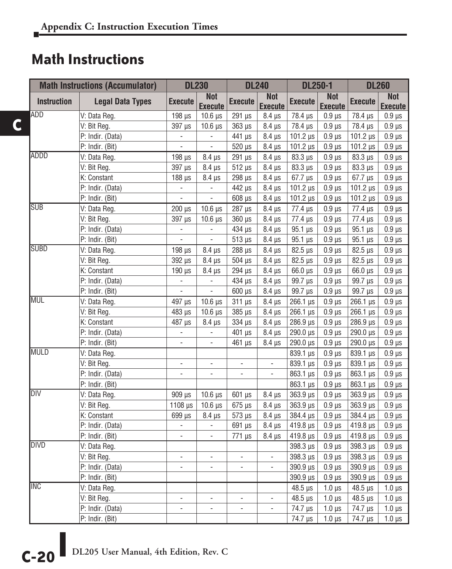### **Math Instructions**

|                    | <b>Math Instructions (Accumulator)</b> |                          | <b>DL230</b>                 |                          | <b>DL240</b>                 | <b>DL250-1</b>          |                              | <b>DL260</b>            |                              |
|--------------------|----------------------------------------|--------------------------|------------------------------|--------------------------|------------------------------|-------------------------|------------------------------|-------------------------|------------------------------|
| <b>Instruction</b> | <b>Legal Data Types</b>                | <b>Execute</b>           | <b>Not</b><br><b>Execute</b> | <b>Execute</b>           | <b>Not</b><br><b>Execute</b> | <b>Execute</b>          | <b>Not</b><br><b>Execute</b> | <b>Execute</b>          | <b>Not</b><br><b>Execute</b> |
| ADD                | V: Data Reg.                           | $198 \mu s$              | $10.6 \,\mu s$               | 291 µs                   | $8.4 \,\mu s$                | 78.4 µs                 | $0.9 \mu s$                  | 78.4 µs                 | $0.9 \,\mu s$                |
|                    | V: Bit Reg.                            | 397 µs                   | $10.6 \,\mu s$               | $363 \mu s$              | $8.4 \,\mu s$                | 78.4 µs                 | $0.9 \mu s$                  | 78.4 µs                 | $0.9 \,\mu s$                |
|                    | P: Indir. (Data)                       | $\Box$                   | $\blacksquare$               | 441 µs                   | $8.4 \,\mu s$                | $101.2 \,\mu s$         | $0.9 \ \mu s$                | 101.2 µs                | $0.9 \,\mu s$                |
|                    | P: Indir. (Bit)                        | $\blacksquare$           | $\blacksquare$               | 520 µs                   | $8.4 \mu s$                  | $101.2 \,\mu s$         | $0.9 \,\mu s$                | 101.2 µs                | $0.9 \,\mu s$                |
| ADDD               | V: Data Reg.                           | $198$ $\mu$ s            | $8.4 \mu s$                  | 291 µs                   | $8.4 \mu s$                  | $83.3 \,\mu s$          | 0.9 <sub>µs</sub>            | $83.3 \,\mu s$          | $0.9 \,\mu s$                |
|                    | V: Bit Reg.                            | 397 µs                   | $8.4 \,\mu s$                | $512 \mu s$              | $8.4 \,\mu s$                | 83.3 µs                 | 0.9 <sub>µs</sub>            | 83.3 µs                 | 0.9 <sub>µs</sub>            |
|                    | K: Constant                            | $188$ $\mu$ s            | $8.4 \mu s$                  | 298 µs                   | $8.4 \,\mu s$                | $67.7 \,\mu s$          | $0.9 \,\mu s$                | $67.7 \,\mu s$          | $0.9 \,\mu s$                |
|                    | P: Indir. (Data)                       | $\blacksquare$           | $\overline{\phantom{a}}$     | 442 µs                   | $8.4 \mu s$                  | 101.2 $\mu$ s           | $0.9 \ \mu s$                | 101.2 $\mu$ s           | $0.9 \,\mu s$                |
|                    | P: Indir. (Bit)                        | $\overline{\phantom{a}}$ | $\overline{\phantom{a}}$     | $608$ $\mu$ s            | $8.4 \,\mu s$                | 101.2 $\mu$ s           | $0.9 \,\mu s$                | 101.2 $\mu$ s           | $0.9 \,\mu s$                |
| <b>SUB</b>         | V: Data Reg.                           | $200 \ \mu s$            | $10.6 \,\mu s$               | 287 µs                   | $8.4 \,\mu s$                | 77.4 µs                 | $0.9 \,\mu s$                | 77.4 µs                 | $0.9 \,\mu s$                |
|                    | V: Bit Reg.                            | 397 µs                   | $10.6$ $\mu$ s               | 360 µs                   | $8.4 \,\mu s$                | 77.4 µs                 | $0.9$ $\mu$ s                | 77.4 µs                 | $0.9 \,\mu s$                |
|                    | P: Indir. (Data)                       | $\blacksquare$           | ÷                            | 434 µs                   | $8.4 \,\mu s$                | $95.1 \,\mu s$          | $0.9 \mu s$                  | $95.1 \,\mu s$          | $0.9 \,\mu s$                |
|                    | P: Indir. (Bit)                        | $\overline{\phantom{a}}$ | $\Box$                       | $513 \mu s$              | $8.4 \,\mu s$                | $95.1 \,\mu s$          | $0.9 \mu s$                  | $95.1 \,\mu s$          | $0.9 \,\mu s$                |
| <b>SUBD</b>        | V: Data Reg.                           | $198$ $\mu$ s            | $8.4 \,\mu s$                | $288 \mu s$              | $8.4 \,\mu s$                | $82.5 \,\mu s$          | $0.9 \mu s$                  | $82.5 \,\mu s$          | $0.9 \,\mu s$                |
|                    | $\overline{V}$ : Bit Reg.              | 392 µs                   | $8.4 \,\mu s$                | $504$ $\mu$ s            | $8.4 \,\mu s$                | $82.5 \,\mu s$          | $0.9 \,\mu s$                | $82.5 \,\mu s$          | $0.9 \,\mu s$                |
|                    | K: Constant                            | $190 \mu s$              | $8.4 \,\mu s$                | 294 µs                   | $8.4 \mu s$                  | $66.0 \,\mu s$          | $0.9 \mu s$                  | 66.0 µs                 | $0.9 \ \mu s$                |
|                    | P: Indir. (Data)                       | $\blacksquare$           | $\overline{\phantom{a}}$     | 434 µs                   | $8.4 \,\mu s$                | 99.7 µs                 | $0.9 \,\mu s$                | 99.7 µs                 | $0.9 \,\mu s$                |
|                    | P: Indir. (Bit)                        | $\overline{a}$           | L                            | $600 \mu s$              | $8.4 \,\mu s$                | 99.7 µs                 | $0.9 \mu s$                  | 99.7 µs                 | $0.9 \,\mu s$                |
| <b>MUL</b>         | V: Data Reg.                           | 497 µs                   | $10.6 \,\mu s$               | $311 \mu s$              | $8.4 \,\mu s$                | $266.1 \,\mu s$         | $0.9 \mu s$                  | $266.1$ $\mu$ s         | $0.9 \,\mu s$                |
|                    | V: Bit Reg.                            | 483 µs                   | $10.6 \,\mu s$               | $385 \mu s$              | $8.4 \,\mu s$                | $266.1 \,\mu s$         | $0.9 \mu s$                  | 266.1 µs                | $0.9 \,\mu s$                |
|                    | K: Constant                            | 487 µs                   | $8.4 \,\mu s$                | $334 \mu s$              | $8.4 \,\mu s$                | 286.9 µs                | $0.9 \mu s$                  | 286.9 µs                | $0.9 \,\mu s$                |
|                    | P: Indir. (Data)                       | $\Box$                   | $\overline{\phantom{a}}$     | $401 \,\mu s$            | $8.4 \,\mu s$                | 290.0 µs                | $0.9 \ \mu s$                | 290.0 µs                | $0.9 \,\mu s$                |
|                    | P: Indir. (Bit)                        | $\overline{\phantom{a}}$ | $\overline{\phantom{a}}$     | $461 \,\mu s$            | $8.4 \mu s$                  | 290.0 µs                | $0.9 \ \mu s$                | 290.0 µs                | $0.9 \,\mu s$                |
| <b>MULD</b>        | V: Data Reg.                           |                          |                              |                          |                              | 839.1 µs                | $0.9$ $\mu$ s                | 839.1 µs                | 0.9 <sub>µs</sub>            |
|                    | V: Bit Reg.                            | ÷,                       | ÷,                           |                          |                              | 839.1 µs                | 0.9 <sub>µs</sub>            | 839.1 µs                | 0.9 <sub>µs</sub>            |
|                    | P: Indir. (Data)                       | $\overline{\phantom{a}}$ | ÷,                           | $\Box$                   | $\overline{a}$               | 863.1 µs                | $0.9 \,\mu s$                | 863.1 µs                | $0.9 \,\mu s$                |
|                    | P: Indir. (Bit)                        |                          |                              |                          |                              | 863.1 µs                | $0.9 \mu s$                  | 863.1 µs                | $0.9 \,\mu s$                |
| DIV                | V: Data Reg.                           | 909 µs                   | $10.6 \,\mu s$               | $601 \,\mu s$            | $8.4 \,\mu s$                | $363.9$ $\mu s$         | $0.9 \mu s$                  | 363.9 µs                | $0.9 \,\mu s$                |
|                    | V: Bit Reg.                            | $1108$ $\mu$ s           | $10.6 \,\mu s$               | $675 \mu s$              | $8.4 \mu s$                  | $363.9$ $\mu s$         | $0.9 \mu s$                  | 363.9 µs                | $0.9 \,\mu s$                |
|                    | K: Constant                            | 699 µs                   | $8.4 \,\mu s$                | 573 µs                   | $8.4 \,\mu s$                | 384.4 µs                | $0.9 \,\mu s$                | 384.4 µs                | $0.9 \,\mu s$                |
|                    | P: Indir. (Data)                       | $\overline{\phantom{a}}$ | $\overline{\phantom{a}}$     | 691 µs                   | $8.4 \mu s$                  | 419.8 µs                | $0.9 \,\mu s$                | 419.8 µs                | $0.9 \,\mu s$                |
|                    | P: Indir. (Bit)                        | $\blacksquare$           | $\overline{\phantom{a}}$     | 771 µs                   | $8.4 \,\mu s$                | 419.8 µs                | $0.9 \mu s$                  | 419.8 µs                | $0.9 \,\mu s$                |
| <b>DIVD</b>        | V: Data Reg.                           |                          |                              |                          |                              | 398.3 µs                | $0.9 \mu s$                  | 398.3 µs                | $0.9 \,\mu s$                |
|                    | V: Bit Reg.                            | ä,                       | $\overline{\phantom{a}}$     | $\blacksquare$           | $\overline{\phantom{a}}$     | 398.3 µs                | $0.9 \mu s$                  | 398.3 µs                | $0.9 \,\mu s$                |
|                    | P: Indir. (Data)                       | $\overline{\phantom{a}}$ | $\overline{\phantom{a}}$     | $\blacksquare$           | $\blacksquare$               | 390.9 µs                | $0.9 \mu s$                  | 390.9 µs                | $0.9 \,\mu s$                |
|                    | P: Indir. (Bit)                        |                          |                              |                          |                              | 390.9 µs                | $0.9 \mu s$                  | 390.9 µs                | $0.9 \,\mu s$                |
| <b>INC</b>         | V: Data Reg.                           |                          |                              |                          |                              | $48.5 \,\mathrm{\mu s}$ | $1.0 \mu s$                  | $48.5 \,\mathrm{\mu s}$ | $1.0 \,\mu s$                |
|                    | V: Bit Reg.                            | ä,                       | ÷,                           | ÷,                       | $\blacksquare$               | $48.5 \,\mathrm{\mu s}$ | $1.0 \mu s$                  | $48.5 \,\mathrm{\mu s}$ | $1.0 \mu s$                  |
|                    | P: Indir. (Data)                       | $\overline{\phantom{a}}$ | $\blacksquare$               | $\overline{\phantom{a}}$ | $\overline{a}$               | 74.7 µs                 | $1.0 \mu s$                  | 74.7 µs                 | $1.0 \mu s$                  |
|                    | P: Indir. (Bit)                        |                          |                              |                          |                              | 74.7 µs                 | $1.0 \mu s$                  | 74.7 µs                 | $1.0 \,\mu s$                |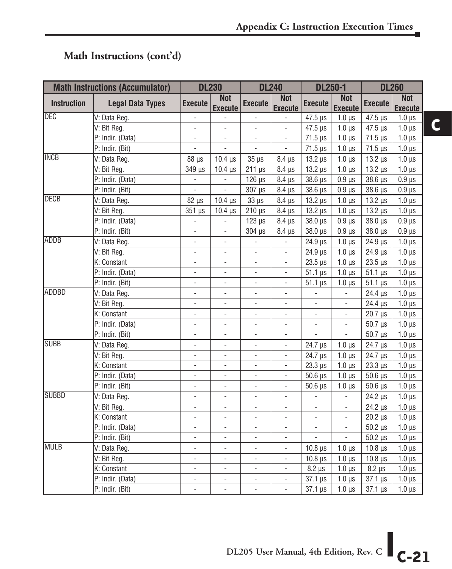#### **Math Instructions (cont'd)**

|                    | <b>Math Instructions (Accumulator)</b> |                          | <b>DL230</b>                 |                          | <b>DL240</b>                 | <b>DL250-1</b>           |                              |                | <b>DL260</b>                 |
|--------------------|----------------------------------------|--------------------------|------------------------------|--------------------------|------------------------------|--------------------------|------------------------------|----------------|------------------------------|
| <b>Instruction</b> | <b>Legal Data Types</b>                | <b>Execute</b>           | <b>Not</b><br><b>Execute</b> | <b>Execute</b>           | <b>Not</b><br><b>Execute</b> | <b>Execute</b>           | <b>Not</b><br><b>Execute</b> | <b>Execute</b> | <b>Not</b><br><b>Execute</b> |
| <b>DEC</b>         | V: Data Reg.                           |                          |                              |                          |                              | $47.5 \,\mu s$           | $1.0 \mu s$                  | $47.5 \,\mu s$ | $1.0 \mu s$                  |
|                    | V: Bit Reg.                            | $\Box$                   | ÷,                           | $\overline{a}$           | $\overline{\phantom{a}}$     | $47.5 \,\mu s$           | $1.0 \mu s$                  | 47.5 µs        | $1.0 \mu s$                  |
|                    | P: Indir. (Data)                       | ä,                       | $\Box$                       | $\overline{\phantom{a}}$ | $\frac{1}{2}$                | $71.5 \,\mu s$           | $1.0 \mu s$                  | $71.5 \,\mu s$ | $1.0 \mu s$                  |
|                    | P: Indir. (Bit)                        | $\blacksquare$           | $\overline{\phantom{a}}$     | $\overline{\phantom{a}}$ | $\overline{\phantom{a}}$     | $71.5 \,\mu s$           | $1.0 \,\mu s$                | $71.5 \,\mu s$ | $1.0 \mu s$                  |
| <b>INCB</b>        | V: Data Reg.                           | 88 µs                    | $10.4 \,\mu s$               | $35 \mu s$               | $8.4 \,\mu s$                | $13.2 \,\mu s$           | $1.0 \,\mu s$                | $13.2 \,\mu s$ | $1.0 \mu s$                  |
|                    | V: Bit Reg.                            | 349 µs                   | $10.4 \,\mu s$               | $211 \,\mu s$            | $8.4 \mu s$                  | $13.2 \mu s$             | $1.0 \mu s$                  | $13.2 \,\mu s$ | $1.0 \mu s$                  |
|                    | P: Indir. (Data)                       | $\overline{\phantom{a}}$ | $\overline{\phantom{a}}$     | $126 \mu s$              | $8.4 \,\mu s$                | $38.6 \,\mu s$           | $0.9 \,\mu s$                | $38.6 \,\mu s$ | $0.9 \,\mu s$                |
|                    | P: Indir. (Bit)                        | $\overline{\phantom{a}}$ |                              | 307 µs                   | $8.4 \mu s$                  | 38.6 µs                  | $0.9$ $\mu$ s                | $38.6 \mu s$   | $0.9$ $\mu$ s                |
| DECB               | V: Data Reg.                           | $82 \mu s$               | $10.4 \,\mu s$               | $33 \mu s$               | $8.4 \,\mu s$                | $13.2 \,\mu s$           | $1.0 \mu s$                  | $13.2 \,\mu s$ | $1.0 \mu s$                  |
|                    | V: Bit Reg.                            | 351 µs                   | $10.4$ $\mu$ s               | $210 \,\mu s$            | $8.4 \,\mu s$                | $13.2 \,\mu s$           | $1.0 \mu s$                  | $13.2 \,\mu s$ | $1.0 \mu s$                  |
|                    | P: Indir. (Data)                       | $\blacksquare$           | $\Box$                       | $123 \mu s$              | $8.4 \,\mu s$                | 38.0 µs                  | $0.9 \,\mu s$                | $38.0 \,\mu s$ | $0.9 \,\mu s$                |
|                    | P: Indir. (Bit)                        | $\overline{\phantom{a}}$ | $\overline{\phantom{a}}$     | 304 µs                   | $8.4 \mu s$                  | 38.0 µs                  | $0.9 \,\mu s$                | 38.0 µs        | $0.9$ $\mu$ s                |
| <b>ADDB</b>        | V: Data Reg.                           | ÷,                       | $\overline{\phantom{a}}$     |                          | l,                           | 24.9 µs                  | $1.0 \mu s$                  | $24.9 \,\mu s$ | $1.0 \mu s$                  |
|                    | V: Bit Reg.                            | $\overline{\phantom{a}}$ | $\overline{\phantom{a}}$     | $\overline{\phantom{a}}$ | $\overline{a}$               | $24.9$ $\mu s$           | $1.0 \mu s$                  | $24.9 \,\mu s$ | $1.0 \mu s$                  |
|                    | K: Constant                            | ÷,                       | ÷,                           | $\overline{\phantom{a}}$ | $\overline{a}$               | $23.5 \,\mu s$           | $1.0 \mu s$                  | $23.5 \,\mu s$ | $1.0 \mu s$                  |
|                    | P: Indir. (Data)                       | ÷,                       | $\overline{\phantom{a}}$     | $\overline{\phantom{a}}$ | L,                           | $51.1 \,\mu s$           | $1.0 \mu s$                  | $51.1 \,\mu s$ | $1.0 \mu s$                  |
|                    | P: Indir. (Bit)                        | $\overline{\phantom{a}}$ | $\overline{\phantom{a}}$     | $\overline{\phantom{a}}$ | $\frac{1}{2}$                | $51.1 \,\mu s$           | $1.0 \,\mu s$                | $51.1 \,\mu s$ | $1.0 \mu s$                  |
| ADDBD              | V: Data Reg.                           | $\overline{\phantom{a}}$ | $\overline{\phantom{a}}$     | $\overline{\phantom{a}}$ | $\frac{1}{2}$                | $\overline{\phantom{a}}$ | $\overline{\phantom{a}}$     | $24.4 \,\mu s$ | $1.0 \mu s$                  |
|                    | V: Bit Reg.                            | $\blacksquare$           | $\blacksquare$               | $\overline{\phantom{a}}$ | $\frac{1}{2}$                | $\blacksquare$           | $\blacksquare$               | $24.4 \,\mu s$ | $1.0 \mu s$                  |
|                    | K: Constant                            | ÷,                       | $\blacksquare$               | $\overline{\phantom{a}}$ | ÷,                           | $\overline{\phantom{a}}$ | $\overline{\phantom{a}}$     | $20.7 \,\mu s$ | $1.0 \mu s$                  |
|                    | P: Indir. (Data)                       | $\overline{\phantom{a}}$ | $\overline{\phantom{a}}$     | $\overline{\phantom{a}}$ | $\frac{1}{2}$                | $\overline{\phantom{a}}$ | $\blacksquare$               | $50.7 \,\mu s$ | $1.0 \mu s$                  |
|                    | P: Indir. (Bit)                        | ÷,                       | $\blacksquare$               | $\overline{\phantom{a}}$ | ÷,                           |                          | $\overline{\phantom{a}}$     | $50.7 \ \mu s$ | $1.0 \mu s$                  |
| <b>SUBB</b>        | V: Data Reg.                           | ÷,                       | $\overline{\phantom{a}}$     | $\overline{\phantom{a}}$ | $\overline{a}$               | $24.7 \,\mu s$           | $1.0 \mu s$                  | 24.7 µs        | $1.0 \mu s$                  |
|                    | V: Bit Reg.                            | $\overline{a}$           | $\overline{a}$               | $\overline{a}$           | $\overline{a}$               | 24.7 µs                  | $1.0 \mu s$                  | 24.7 µs        | $1.0 \mu s$                  |
|                    | K: Constant                            | $\overline{\phantom{a}}$ | $\overline{\phantom{a}}$     | $\overline{\phantom{a}}$ | $\frac{1}{2}$                | $23.3 \,\mu s$           | $1.0 \mu s$                  | $23.3 \,\mu s$ | $1.0 \mu s$                  |
|                    | P: Indir. (Data)                       | ÷,                       | $\overline{\phantom{a}}$     | $\overline{\phantom{a}}$ | ÷,                           | $50.6$ $\mu$ s           | $1.0 \mu s$                  | $50.6 \,\mu s$ | $1.0 \ \mu s$                |
|                    | P: Indir. (Bit)                        | $\overline{\phantom{a}}$ | $\overline{\phantom{a}}$     | $\overline{\phantom{a}}$ | ÷                            | $50.6 \,\mu s$           | $1.0 \,\mu s$                | $50.6 \,\mu s$ | $1.0 \mu s$                  |
| <b>SUBBD</b>       | V: Data Reg.                           | ÷,                       | ÷,                           | $\overline{a}$           | $\overline{\phantom{a}}$     | $\overline{\phantom{a}}$ | $\overline{\phantom{a}}$     | 24.2 µs        | $1.0 \mu s$                  |
|                    | V: Bit Reg.                            | $\overline{\phantom{a}}$ | $\overline{\phantom{a}}$     | $\overline{\phantom{a}}$ | ÷,                           | $\overline{\phantom{a}}$ | $\overline{\phantom{a}}$     | $24.2 \,\mu s$ | $1.0 \mu s$                  |
|                    | K: Constant                            | ÷,                       | ÷,                           |                          | L,                           |                          | $\overline{\phantom{a}}$     | $20.2 \,\mu s$ | $1.0 \mu s$                  |
|                    | P: Indir. (Data)                       | $\overline{a}$           | $\overline{a}$               | $\overline{a}$           | $\overline{a}$               | L,                       | $\overline{a}$               | $50.2 \,\mu s$ | $1.0 \mu s$                  |
|                    | P: Indir. (Bit)                        | $\blacksquare$           | $\blacksquare$               | $\overline{\phantom{a}}$ | L,                           | L,                       | $\overline{a}$               | $50.2 \,\mu s$ | $1.0 \,\mu s$                |
| <b>MULB</b>        | V: Data Reg.                           | ÷,                       | ÷,                           | $\overline{a}$           | $\overline{a}$               | $10.8$ $\mu$ s           | $1.0 \mu s$                  | $10.8 \,\mu s$ | $1.0 \mu s$                  |
|                    | V: Bit Reg.                            | $\frac{1}{2}$            | $\overline{\phantom{a}}$     | $\overline{\phantom{a}}$ | ÷,                           | $10.8 \,\mu s$           | $1.0 \mu s$                  | $10.8 \,\mu s$ | $1.0 \mu s$                  |
|                    | K: Constant                            |                          | $\overline{\phantom{a}}$     | $\overline{\phantom{a}}$ | ÷,                           | $8.2 \mu s$              | $1.0 \mu s$                  | $8.2 \mu s$    | $1.0 \mu s$                  |
|                    | P: Indir. (Data)                       | $\overline{\phantom{a}}$ | $\overline{\phantom{a}}$     | $\overline{\phantom{a}}$ | $\overline{\phantom{a}}$     | $37.1 \,\mu s$           | $1.0 \mu s$                  | $37.1 \,\mu s$ | $1.0 \mu s$                  |
|                    | P: Indir. (Bit)                        |                          | $\overline{a}$               | $\overline{\phantom{a}}$ | ÷,                           | $37.1 \,\mu s$           | $1.0 \mu s$                  | $37.1 \,\mu s$ | $1.0 \mu s$                  |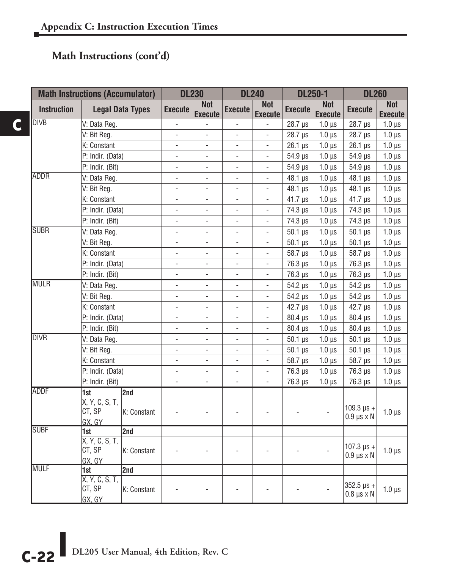#### **Math Instructions (cont'd)**

|                    | <b>Math Instructions (Accumulator)</b> |             |                              | <b>DL230</b>                 |                          | <b>DL240</b>                 | <b>DL250-1</b>             |                              | <b>DL260</b>                                  |                              |
|--------------------|----------------------------------------|-------------|------------------------------|------------------------------|--------------------------|------------------------------|----------------------------|------------------------------|-----------------------------------------------|------------------------------|
| <b>Instruction</b> | <b>Legal Data Types</b>                |             | <b>Execute</b>               | <b>Not</b><br><b>Execute</b> | <b>Execute</b>           | <b>Not</b><br><b>Execute</b> | <b>Execute</b>             | <b>Not</b><br><b>Execute</b> | <b>Execute</b>                                | <b>Not</b><br><b>Execute</b> |
| <b>DIVB</b>        | V: Data Reg.                           |             |                              |                              |                          |                              | $28.7 \,\mu s$             | $1.0 \mu s$                  | $28.7 \,\mu s$                                | $1.0 \mu s$                  |
|                    | V: Bit Reg.                            |             |                              | $\overline{a}$               |                          |                              | $28.7 \,\mu s$             | $1.0 \,\mu s$                | $28.7 \,\mu s$                                | $1.0 \mu s$                  |
|                    | K: Constant                            |             | L.                           | L.                           | ÷,                       | $\frac{1}{2}$                | $26.1 \,\mu s$             | $1.0 \,\mu s$                | $26.1 \,\mu s$                                | $1.0 \mu s$                  |
|                    | P: Indir. (Data)                       |             | ÷,                           | $\Box$                       | ÷,                       | $\Box$                       | $54.9 \,\mu s$             | $1.0 \,\mu s$                | $54.9 \,\mu s$                                | $1.0 \,\mu s$                |
|                    | P: Indir. (Bit)                        |             | ÷,                           | ÷,                           | ÷,                       | $\Box$                       | $54.9 \text{ }\mu\text{s}$ | $1.0 \,\mu s$                | $54.9 \,\mu s$                                | $1.0 \mu s$                  |
| <b>ADDR</b>        | V: Data Reg.                           |             | ÷,                           | ÷,                           | ÷,                       | $\blacksquare$               | $48.1 \,\mu s$             | $1.0 \,\mu s$                | $48.1 \,\mu s$                                | $1.0 \mu s$                  |
|                    | V: Bit Reg.                            |             | ÷,                           | ÷,                           | ÷,                       | $\overline{\phantom{a}}$     | 48.1 µs                    | $1.0 \mu s$                  | 48.1 µs                                       | $1.0 \mu s$                  |
|                    | K: Constant                            |             | -                            | -                            | -                        | $\overline{\phantom{a}}$     | $41.7 \,\mu s$             | $1.0 \mu s$                  | $41.7 \,\mu s$                                | $1.0 \mu s$                  |
|                    | P: Indir. (Data)                       |             | $\frac{1}{2}$                | $\frac{1}{2}$                | $\overline{\phantom{0}}$ | $\overline{\phantom{a}}$     | 74.3 µs                    | $1.0 \mu s$                  | 74.3 µs                                       | $1.0 \mu s$                  |
|                    | P: Indir. (Bit)                        |             | ÷,                           | ÷,                           | ÷,                       | $\overline{a}$               | 74.3 µs                    | $1.0 \mu s$                  | 74.3 µs                                       | $1.0 \mu s$                  |
| <b>SUBR</b>        | V: Data Reg.                           |             | ÷,                           | $\blacksquare$               | ÷,                       | $\blacksquare$               | $50.1 \,\mu s$             | $1.0 \mu s$                  | $50.1 \,\mu s$                                | $1.0 \mu s$                  |
|                    | V: Bit Reg.                            |             | ÷,                           | ÷,                           | ÷,                       | $\overline{\phantom{a}}$     | $50.1 \,\mu s$             | $1.0 \,\mu s$                | $50.1 \,\mu s$                                | $1.0 \mu s$                  |
|                    | K: Constant                            |             | $\frac{1}{2}$                | ÷,                           | ÷,                       | $\overline{a}$               | $58.7 \,\mu s$             | $1.0 \,\mu s$                | 58.7 µs                                       | $1.0 \mu s$                  |
|                    | P: Indir. (Data)                       |             | $\qquad \qquad \blacksquare$ | $\qquad \qquad \blacksquare$ | $\overline{\phantom{0}}$ |                              | $76.3 \,\mu s$             | $1.0 \,\mu s$                | 76.3 µs                                       | $1.0 \mu s$                  |
|                    | P: Indir. (Bit)                        |             | $\overline{a}$               | $\overline{a}$               | $\overline{\phantom{0}}$ | $\frac{1}{2}$                | $76.3 \,\mu s$             | $1.0 \mu s$                  | 76.3 µs                                       | $1.0 \mu s$                  |
| <b>MULR</b>        | V: Data Reg.                           |             | L.                           | $\frac{1}{2}$                | $\overline{\phantom{0}}$ | $\frac{1}{2}$                | 54.2 µs                    | $1.0 \mu s$                  | $54.2 \,\mu s$                                | $1.0 \mu s$                  |
|                    | V: Bit Reg.                            |             | ÷,                           | $\overline{a}$               | ÷,                       | $\overline{a}$               | $54.2 \,\mu s$             | $1.0 \mu s$                  | 54.2 µs                                       | $1.0 \mu s$                  |
|                    | K: Constant                            |             | ÷,                           | ÷,                           | ÷,                       | $\overline{\phantom{a}}$     | $42.7 \,\mu s$             | $1.0 \mu s$                  | $42.7 \,\mu s$                                | $1.0 \mu s$                  |
|                    | P: Indir. (Data)                       |             | ÷,                           | L,                           | ÷,                       | $\overline{a}$               | $80.4$ $\mu s$             | $1.0 \mu s$                  | $80.4 \,\mu s$                                | $1.0 \mu s$                  |
|                    | P: Indir. (Bit)                        |             | ÷,                           | ÷,                           | $\frac{1}{2}$            | $\overline{\phantom{a}}$     | 80.4 µs                    | $1.0 \mu s$                  | 80.4 µs                                       | $1.0 \,\mu s$                |
| <b>DIVR</b>        | V: Data Reg.                           |             | $\frac{1}{2}$                | $\frac{1}{2}$                | $\frac{1}{2}$            | $\overline{\phantom{a}}$     | $50.1$ $\mu$ s             | $1.0 \mu s$                  | $50.1$ $\mu$ s                                | $1.0 \,\mu s$                |
|                    | V: Bit Reg.                            |             | $\frac{1}{2}$                | $\frac{1}{2}$                | $\frac{1}{2}$            | $\overline{\phantom{a}}$     | $50.1 \,\mathrm{\mu s}$    | $1.0 \mu s$                  | $50.1 \,\mu s$                                | $1.0 \mu s$                  |
|                    | K: Constant                            |             | $\overline{a}$               | ÷,                           | ÷,                       | $\overline{\phantom{a}}$     | 58.7 µs                    | $1.0 \mu s$                  | 58.7 µs                                       | $1.0 \mu s$                  |
|                    | P: Indir. (Data)                       |             | ÷,                           | $\blacksquare$               | ÷,                       | $\blacksquare$               | 76.3 µs                    | $1.0 \,\mu s$                | 76.3 µs                                       | $1.0 \mu s$                  |
|                    | P: Indir. (Bit)                        |             | $\overline{a}$               | $\overline{a}$               | L.                       |                              | 76.3 µs                    | $1.0 \mu s$                  | 76.3 µs                                       | $1.0 \mu s$                  |
| <b>ADDF</b>        | 1st                                    | 2nd         |                              |                              |                          |                              |                            |                              |                                               |                              |
|                    | X, Y, C, S, T,<br>CT, SP<br>GX, GY     | K: Constant |                              |                              |                          |                              |                            |                              | $109.3 \,\text{µs} +$<br>$0.9 \mu s \times N$ | $1.0 \mu s$                  |
| <b>SUBF</b>        | 1st                                    | 2nd         |                              |                              |                          |                              |                            |                              |                                               |                              |
|                    | X, Y, C, S, T,<br>CT, SP<br>GX, GY     | K: Constant |                              |                              |                          |                              |                            |                              | $107.3 \,\mu s +$<br>$0.9 \,\mu s \times N$   | $1.0 \mu s$                  |
| <b>MULF</b>        | 1st                                    | 2nd         |                              |                              |                          |                              |                            |                              |                                               |                              |
|                    | X, Y, C, S, T,<br>CT, SP<br>GX, GY     | K: Constant |                              |                              |                          |                              |                            |                              | 352.5 µs +<br>$0.8 \mu s \times N$            | $1.0 \mu s$                  |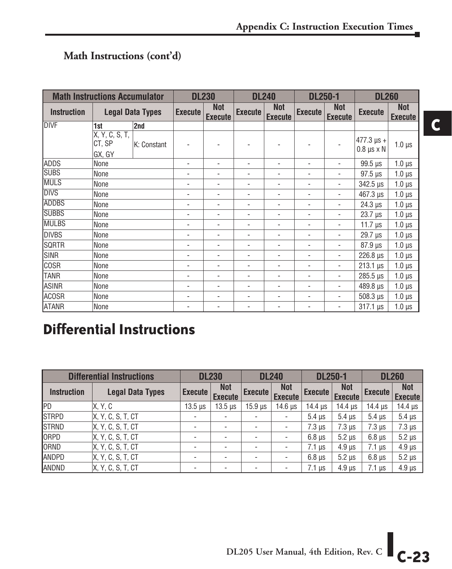#### **Math Instructions (cont'd)**

|                    | <b>Math Instructions Accumulator</b> |                         |                | <b>DL230</b>                 |                          | <b>DL240</b>                 | <b>DL250-1</b> |                              | <b>DL260</b>                              |                              |
|--------------------|--------------------------------------|-------------------------|----------------|------------------------------|--------------------------|------------------------------|----------------|------------------------------|-------------------------------------------|------------------------------|
| <b>Instruction</b> |                                      | <b>Legal Data Types</b> | <b>Execute</b> | <b>Not</b><br><b>Execute</b> | <b>Execute</b>           | <b>Not</b><br><b>Execute</b> | <b>Execute</b> | <b>Not</b><br><b>Execute</b> | <b>Execute</b>                            | <b>Not</b><br><b>Execute</b> |
| <b>IDIVF</b>       | 1st                                  | 2nd                     |                |                              |                          |                              |                |                              |                                           |                              |
|                    | X, Y, G, S, T,<br>CT, SP<br>GX, GY   | K: Constant             |                |                              |                          |                              |                |                              | $477.3 \,\mu s +$<br>$0.8 \mu s \times N$ | $1.0 \,\mu s$                |
| <b>ADDS</b>        | None                                 |                         | ٠              | ٠                            | $\overline{\phantom{0}}$ | ٠                            |                |                              | $99.5 \,\mu s$                            | $1.0 \mu s$                  |
| <b>SUBS</b>        | None                                 |                         | ٠              | ٠                            | $\blacksquare$           | ٠                            | ٠              | ٠                            | $97.5 \,\mu s$                            | $1.0 \mu s$                  |
| <b>MULS</b>        | None                                 |                         |                | ٠                            | $\overline{a}$           | ٠                            | ٠              |                              | $342.5 \,\mu s$                           | $1.0 \,\mu s$                |
| <b>DIVS</b>        | None                                 |                         |                | ٠                            | ٠                        | ٠                            | ٠              | ٠                            | $467.3 \,\mu s$                           | $1.0 \,\mu s$                |
| ADDBS              | None                                 |                         | ٠              | ٠                            | $\overline{\phantom{0}}$ | ٠                            | ٠              |                              | $24.3 \,\mu s$                            | $1.0 \mu s$                  |
| <b>SUBBS</b>       | None                                 |                         | ٠              | ٠                            | $\overline{\phantom{0}}$ | ٠                            | ٠              | ٠                            | $23.7 \,\mu s$                            | $1.0 \,\mu s$                |
| <b>MULBS</b>       | None                                 |                         | ٠              | ٠                            | $\overline{a}$           | ٠                            | ٠              |                              | $11.7 \,\mu s$                            | $1.0 \,\mu s$                |
| <b>IDIVBS</b>      | None                                 |                         |                |                              |                          |                              | ٠              |                              | 29.7 µs                                   | $1.0 \mu s$                  |
| <b>SQRTR</b>       | None                                 |                         | ٠              | ۰                            | $\overline{\phantom{a}}$ | ۰                            | ۰              | ۰                            | $87.9 \,\mu s$                            | $1.0 \mu s$                  |
| <b>I</b> SINR      | None                                 |                         |                | $\qquad \qquad \blacksquare$ | $\overline{\phantom{0}}$ | ٠                            | ٠              |                              | $226.8 \text{ }\mu\text{s}$               | $1.0 \mu s$                  |
| <b>COSR</b>        | None                                 |                         | ۰              | ۰                            | $\overline{\phantom{0}}$ | ۰                            | ۰              | ٠                            | $213.1 \,\mu s$                           | $1.0 \mu s$                  |
| <b>TANR</b>        | None                                 |                         |                | ٠                            |                          |                              |                | ٠                            | $285.5 \,\mu s$                           | $1.0 \mu s$                  |
| <b>ASINR</b>       | None                                 |                         |                | ٠                            |                          |                              |                |                              | 489.8 us                                  | $1.0 \mu s$                  |
| ACOSR              | None                                 |                         |                |                              |                          |                              |                |                              | $508.3 \text{ }\mu\text{s}$               | $1.0 \mu s$                  |
| <b>ATANR</b>       | None                                 |                         |                |                              |                          |                              |                |                              | $317.1 \,\mu s$                           | $1.0 \mu s$                  |

### **Differential Instructions**

|                    | <b>Differential Instructions</b> |                | <b>DL230</b>                 |                | <b>DL240</b>                 | <b>DL250-1</b> |                              |                | <b>DL260</b>                 |
|--------------------|----------------------------------|----------------|------------------------------|----------------|------------------------------|----------------|------------------------------|----------------|------------------------------|
| <b>Instruction</b> | <b>Legal Data Types</b>          | <b>Execute</b> | <b>Not</b><br><b>Execute</b> | <b>Execute</b> | <b>Not</b><br><b>Execute</b> | <b>Execute</b> | <b>Not</b><br><b>Execute</b> | <b>Execute</b> | <b>Not</b><br><b>Execute</b> |
| PD                 | X, Y, C                          | $13.5 \,\mu s$ | $13.5 \,\mu s$               | $15.9$ $\mu$ s | $14.6 \,\mu s$               | $14.4 \,\mu s$ | $14.4 \,\mu s$               | $14.4 \,\mu s$ | $14.4 \,\mu s$               |
| <b>STRPD</b>       | X, Y, C, S, T, CT                |                |                              |                |                              | $5.4 \mu s$    | $5.4 \mu s$                  | $5.4 \mu s$    | $5.4 \mu s$                  |
| <b>STRND</b>       | X, Y, C, S, T, CT                |                |                              |                |                              | $7.3 \mu s$    | $7.3 \mu s$                  | $7.3 \mu s$    | $7.3 \mu s$                  |
| ORPD               | X, Y, C, S, T, C                 |                | ۰                            |                |                              | $6.8 \mu s$    | $5.2 \mu s$                  | $6.8 \mu s$    | $5.2 \mu s$                  |
| ORND               | <b>X. Y. C. S. T. CT</b>         | ۰              | ۰                            |                |                              | $7.1$ us       | $4.9 \text{ }\mu\text{s}$    | $7.1 \mu s$    | $4.9 \text{ }\mu\text{s}$    |
| <b>ANDPD</b>       | X, Y, C, S, T, C                 |                |                              |                |                              | $6.8 \mu s$    | $5.2 \mu s$                  | $6.8 \mu s$    | $5.2 \mu s$                  |
| ANDND              | X, Y, C, S, T, C                 |                |                              |                |                              | $7.1 \mu s$    | $4.9$ $\mu$ s                | $7.1 \mu s$    | $4.9$ $\mu$ s                |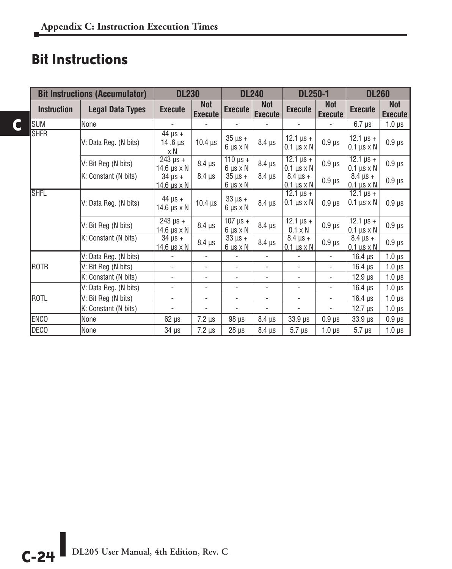### **Bit Instructions**

**C**

|                    | <b>Bit Instructions (Accumulator)</b> | <b>DL230</b>                                   |                              |                                              | <b>DL240</b>                 | <b>DL250-1</b>                                                                        |                              | <b>DL260</b>                                          |                              |
|--------------------|---------------------------------------|------------------------------------------------|------------------------------|----------------------------------------------|------------------------------|---------------------------------------------------------------------------------------|------------------------------|-------------------------------------------------------|------------------------------|
| <b>Instruction</b> | <b>Legal Data Types</b>               | <b>Execute</b>                                 | <b>Not</b><br><b>Execute</b> | <b>Execute</b>                               | <b>Not</b><br><b>Execute</b> | <b>Execute</b>                                                                        | <b>Not</b><br><b>Execute</b> | <b>Execute</b>                                        | <b>Not</b><br><b>Execute</b> |
| <b>SUM</b>         | None                                  |                                                |                              | $\overline{a}$                               |                              | $\overline{a}$                                                                        |                              | $6.7 \,\mu s$                                         | $1.0 \mu s$                  |
| <b>SHFR</b>        | V: Data Reg. (N bits)                 | $44 \mu s +$<br>14.6 $\mu$ s<br>x N            | $10.4 \,\mu s$               | $35 \mu s +$<br>$6 \mu s \times N$           | $8.4 \mu s$                  | 12.1 $\mu s +$<br>$0.1 \,\mu s \times N$                                              | $0.9 \,\mu s$                | $12.1 \,\mu s +$<br>$0.1 \mu s \times N$              | $0.9 \,\mu s$                |
|                    | V: Bit Reg (N bits)                   | $\overline{243}$ $\mu s +$<br>14.6 $\mu$ s x N | $8.4 \,\mu s$                | $110 \mu s +$<br>$6 \mu s \times N$          | $8.4 \,\mu s$                | $12.1 \,\mu s +$<br>$0.1 \mu s \times N$                                              | $0.9 \,\mu s$                | $\frac{12.1}{12.1}$ $\mu s +$<br>$0.1 \mu s \times N$ | $0.9 \,\mu s$                |
|                    | K: Constant (N bits)                  | $34 \mu s +$<br>$14.6 \mu s \times N$          | $8.4 \mu s$                  | $35 \mu s +$<br>$6 \mu s \times N$           | $8.4 \,\mathrm{\mu s}$       | $8.4 \,\mu s +$<br>$0.1 \mu s \times N$                                               | $0.9 \,\mu s$                | $8.4 \,\mu s +$<br>$0.1 \mu s \times N$               | $0.9 \,\mu s$                |
| <b>SHFL</b>        | V: Data Reg. (N bits)                 | $44 \mu s +$<br>14.6 $\mu$ s x N               | $10.4 \,\mu s$               | $33 \mu s +$<br>$6 \mu s \times N$           | $8.4 \mu s$                  | $\frac{12.1 \text{ }\mu\text{s}}{12.1 \text{ }\mu\text{s}} +$<br>$0.1 \mu s \times N$ | $0.9$ $\mu$ s                | $12.1 \,\mu s +$<br>$0.1 \mu s \times N$              | $0.9 \,\mu s$                |
|                    | V: Bit Reg (N bits)                   | $243 \mu s +$<br>14.6 $\mu$ s x N              | $8.4 \,\mu s$                | $\frac{107}{107}$ µs +<br>$6 \mu s \times N$ | $8.4 \,\mu s$                | $\frac{12.1 \text{ }\mu\text{s}}{}$ +<br>$0.1 \times N$                               | $0.9 \,\mu s$                | $\frac{12.1}{12.1}$ $\mu s +$<br>$0.1 \mu s \times N$ | $0.9 \,\mu s$                |
|                    | K: Constant (N bits)                  | $34 \mu s +$<br>$14.6 \mu s \times N$          | $8.4 \,\mu s$                | $33 \mu s +$<br>$6 \mu s \times N$           | $8.4 \,\mu s$                | $8.4 \,\mu s +$<br>$0.1 \mu s \times N$                                               | $0.9 \,\mu s$                | $8.4 \,\mu s +$<br>$0.1 \mu s \times N$               | $0.9 \,\mu s$                |
|                    | V: Data Reg. (N bits)                 | $\overline{\phantom{a}}$                       | $\overline{\phantom{a}}$     | ٠                                            | $\overline{\phantom{a}}$     | $\overline{\phantom{a}}$                                                              | $\overline{\phantom{a}}$     | 16.4 $\mu$ s                                          | $1.0 \mu s$                  |
| <b>ROTR</b>        | V: Bit Reg (N bits)                   | $\overline{\phantom{a}}$                       | $\blacksquare$               | ÷.                                           | $\overline{\phantom{0}}$     | $\blacksquare$                                                                        | $\overline{\phantom{a}}$     | $16.4 \,\mu s$                                        | $1.0 \mu s$                  |
|                    | K: Constant (N bits)                  | $\blacksquare$                                 | $\overline{\phantom{a}}$     | $\blacksquare$                               | $\blacksquare$               | $\blacksquare$                                                                        | $\overline{\phantom{0}}$     | $12.9 \,\mu s$                                        | $1.0 \mu s$                  |
|                    | V: Data Reg. (N bits)                 | ÷,                                             | $\overline{\phantom{a}}$     | $\blacksquare$                               | $\overline{\phantom{0}}$     | $\blacksquare$                                                                        | ÷,                           | $16.4 \,\mu s$                                        | $1.0 \,\mu s$                |
| <b>ROTL</b>        | V: Bit Reg (N bits)                   | ÷,                                             | $\overline{\phantom{a}}$     | ٠                                            | $\blacksquare$               | $\blacksquare$                                                                        | $\overline{\phantom{a}}$     | $16.4 \,\mu s$                                        | $1.0 \,\mu s$                |
|                    | K: Constant (N bits)                  | $\overline{\phantom{a}}$                       | $\overline{\phantom{a}}$     |                                              | $\overline{\phantom{a}}$     | $\blacksquare$                                                                        | $\overline{\phantom{a}}$     | $12.7 \,\mu s$                                        | $1.0 \mu s$                  |
| <b>ENCO</b>        | None                                  | $62 \mu s$                                     | $7.2 \,\mu s$                | $98 \mu s$                                   | $8.4 \mu s$                  | $33.9 \,\mu s$                                                                        | $0.9 \ \mu s$                | $33.9 \,\mu s$                                        | $0.9 \,\mu s$                |
| <b>DECO</b>        | None                                  | 34 µs                                          | $7.2 \mu s$                  | $28 \mu s$                                   | $8.4 \,\mu s$                | $5.7 \,\mu s$                                                                         | $1.0 \mu s$                  | $5.7 \mu s$                                           | $1.0 \,\mu s$                |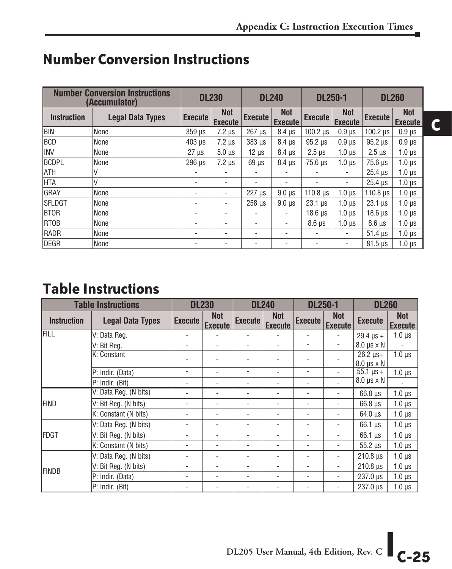|                    | <b>Number Conversion Instructions</b><br>(Accumulator) | <b>DL230</b>   |                              | <b>DL240</b>              |                              | <b>DL250-1</b>            |                              | <b>DL260</b>    |                              |
|--------------------|--------------------------------------------------------|----------------|------------------------------|---------------------------|------------------------------|---------------------------|------------------------------|-----------------|------------------------------|
| <b>Instruction</b> | <b>Legal Data Types</b>                                | <b>Execute</b> | <b>Not</b><br><b>Execute</b> | <b>Execute</b>            | <b>Not</b><br><b>Execute</b> | <b>Execute</b>            | <b>Not</b><br><b>Execute</b> | <b>Execute</b>  | <b>Not</b><br><b>Execute</b> |
| Ibin               | None                                                   | 359 µs         | $7.2 \mu s$                  | $267$ $\mu$ s             | $8.4 \mu s$                  | $100.2$ $\mu$ s           | $0.9$ $\mu$ s                | $100.2 \,\mu s$ | $0.9$ $\mu$ s                |
| <b>BCD</b>         | None                                                   | $403$ $\mu$ s  | $7.2 \mu s$                  | 383 µs                    | $8.4 \mu s$                  | 95.2 us                   | $0.9$ us                     | 95.2 us         | $0.9$ $\mu$ s                |
| <b>IINV</b>        | None                                                   | $27 \mu s$     | $5.0 \,\mathrm{\mu s}$       | $12 \mu s$                | $8.4 \mu s$                  | $2.5 \text{ }\mu\text{s}$ | $1.0 \mu s$                  | $2.5 \,\mu s$   | $1.0 \mu s$                  |
| <b>BCDPL</b>       | None                                                   | 296 us         | $7.2 \mu s$                  | $69$ $\mu$ s              | 8.4 us                       | $75.6 \,\mu s$            | 1.0 <sub>us</sub>            | 75.6 us         | $1.0 \,\mu s$                |
| <b>ATH</b>         | V                                                      |                |                              |                           | $\overline{\phantom{a}}$     |                           | $\overline{\phantom{a}}$     | $25.4 \,\mu s$  | $1.0 \mu s$                  |
| <b>HTA</b>         | V                                                      |                |                              | ٠                         | $\overline{\phantom{a}}$     | ٠                         | $\overline{\phantom{a}}$     | $25.4 \,\mu s$  | $1.0 \mu s$                  |
| <b>GRAY</b>        | None                                                   |                | $\overline{\phantom{a}}$     | $227 \text{ }\mu\text{s}$ | $9.0 \mu s$                  | 110.8 $\mu$ s             | $1.0 \mu s$                  | $110.8$ $\mu$ s | $1.0 \mu s$                  |
| <b>SFLDGT</b>      | None                                                   |                |                              | 258 us                    | $9.0$ us                     | $23.1 \,\mu s$            | $1.0 \mu s$                  | $23.1 \,\mu s$  | $1.0 \mu s$                  |
| <b>BTOR</b>        | None                                                   |                |                              | ٠                         | ٠                            | $18.6 \,\mu s$            | $1.0 \mu s$                  | $18.6 \,\mu s$  | $1.0 \mu s$                  |
| <b>RTOB</b>        | None                                                   |                |                              | ۰                         | $\overline{\phantom{a}}$     | $8.6 \text{ }\mu\text{s}$ | $1.0 \mu s$                  | $8.6 \mu s$     | $1.0 \mu s$                  |
| <b>RADR</b>        | None                                                   | ۰              | ٠                            | ٠                         | $\overline{\phantom{a}}$     | ٠                         | $\overline{\phantom{a}}$     | $51.4 \,\mu s$  | $1.0 \,\mu s$                |
| DEGR               | None                                                   |                |                              | ٠                         | ٠                            |                           | ۰                            | $81.5 \,\mu s$  | $1.0 \mu s$                  |

#### **Number Conversion Instructions**

### **Table Instructions**

|                    | <b>Table Instructions</b> |                | <b>DL230</b>                 |                | <b>DL240</b>                 | <b>DL250-1</b> |                              | <b>DL260</b>                               |                              |
|--------------------|---------------------------|----------------|------------------------------|----------------|------------------------------|----------------|------------------------------|--------------------------------------------|------------------------------|
| <b>Instruction</b> | <b>Legal Data Types</b>   | <b>Execute</b> | <b>Not</b><br><b>Execute</b> | <b>Execute</b> | <b>Not</b><br><b>Execute</b> | <b>Execute</b> | <b>Not</b><br><b>Execute</b> | <b>Execute</b>                             | <b>Not</b><br><b>Execute</b> |
| FILL               | V: Data Reg.              |                |                              |                |                              |                |                              | $29.4 \,\mu s +$                           | $1.0 \mu s$                  |
|                    | V: Bit Reg.               |                |                              |                |                              |                | ٠                            | $8.0 \,\mu s \times N$                     |                              |
|                    | K: Constant               |                |                              |                |                              |                |                              | $26.2 \,\mu s +$<br>$8.0 \,\mu s \times N$ | $1.0 \mu s$                  |
|                    | P: Indir. (Data)          | ٠              | ٠                            | ٠              | $\overline{\phantom{0}}$     | ۰              |                              | $\overline{55.1}$ µs +                     | $1.0 \mu s$                  |
|                    | P: Indir. (Bit)           |                |                              | ۰              | ٠                            |                |                              | $8.0 \,\mu s \times N$                     |                              |
|                    | V: Data Reg. (N bits)     | ٠              |                              | ۰              |                              |                |                              | $66.8 \text{ }\mu\text{s}$                 | $1.0 \mu s$                  |
| <b>FIND</b>        | V: Bit Reg. (N bits)      | ٠              | -                            | ۰              | $\overline{\phantom{0}}$     | ۰              | ٠                            | $66.8 \text{ }\mu\text{s}$                 | $1.0 \mu s$                  |
|                    | K: Constant (N bits)      | ٠              |                              |                |                              |                |                              | $64.0 \text{ }\mu\text{s}$                 | $1.0 \mu s$                  |
|                    | V: Data Reg. (N bits)     | ۰              |                              |                |                              |                |                              | $66.1 \,\mu s$                             | $1.0 \mu s$                  |
| <b>IFDGT</b>       | V: Bit Reg. (N bits)      |                |                              |                |                              |                |                              | $66.1 \,\mu s$                             | $1.0 \mu s$                  |
|                    | K: Constant (N bits)      | ٠              | -                            | ۰              | ٠                            | ۰              | ٠                            | $55.2 \mu s$                               | $1.0 \mu s$                  |
|                    | V: Data Reg. (N bits)     |                |                              |                |                              |                |                              | $210.8$ $\mu$ s                            | $1.0 \mu s$                  |
|                    | V: Bit Reg. (N bits)      | ۰              |                              | ۰              | ٠                            |                |                              | $210.8$ $\mu$ s                            | $1.0 \mu s$                  |
| <b>FINDB</b>       | P: Indir. (Data)          |                |                              |                |                              |                |                              | $237.0 \text{ }\mu\text{s}$                | $1.0 \mu s$                  |
|                    | P: Indir. (Bit)           |                |                              |                |                              |                |                              | $237.0 \,\mu s$                            | $1.0 \mu s$                  |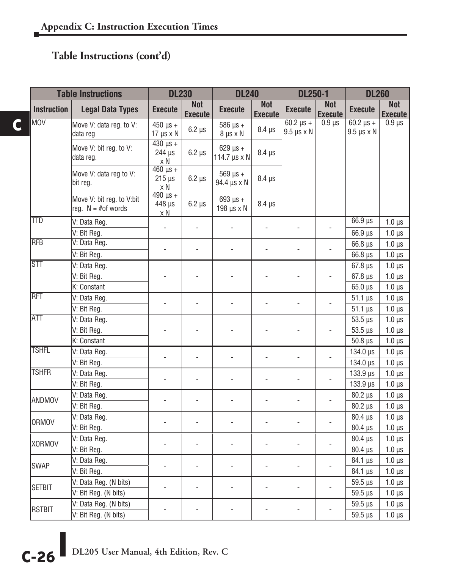#### **Table Instructions (cont'd)**

**C**

|                         | <b>Table Instructions</b>                          | <b>DL230</b>                            |                              | <b>DL240</b>                                     |                              | <b>DL250-1</b>                             |                              | <b>DL260</b>                               |                              |
|-------------------------|----------------------------------------------------|-----------------------------------------|------------------------------|--------------------------------------------------|------------------------------|--------------------------------------------|------------------------------|--------------------------------------------|------------------------------|
| <b>Instruction</b>      | <b>Legal Data Types</b>                            | <b>Execute</b>                          | <b>Not</b><br><b>Execute</b> | <b>Execute</b>                                   | <b>Not</b><br><b>Execute</b> | <b>Execute</b>                             | <b>Not</b><br><b>Execute</b> | <b>Execute</b>                             | <b>Not</b><br><b>Execute</b> |
| <b>MOV</b>              | Move V: data reg. to V:<br>data reg                | $450 \,\mu s +$<br>$17 \mu s \times N$  | $6.2 \mu s$                  | $586$ $\mu$ s +<br>$8 \mu s \times N$            | $8.4 \mu s$                  | $60.2 \,\mu s +$<br>$9.5 \,\mu s \times N$ | $0.9 \mu s$                  | $60.2 \,\mu s +$<br>$9.5 \,\mu s \times N$ | $0.9 \,\mu s$                |
|                         | Move V: bit reg. to V:<br>data reg.                | $430 \mu s +$<br>$244 \mu s$<br>x N     | $6.2 \mu s$                  | $629 \text{ }\mu\text{s} +$<br>114.7 $\mu$ s x N | $8.4 \,\mu s$                |                                            |                              |                                            |                              |
|                         | Move V: data reg to V:<br>bit reg.                 | $460 \,\mu s +$<br>$215 \,\mu s$<br>x N | $6.2 \mu s$                  | $569 \,\mu s +$<br>94.4 µs x N                   | $8.4 \,\mu s$                |                                            |                              |                                            |                              |
|                         | Move V: bit reg. to V:bit<br>req. $N = #$ of words | $490 \mu s +$<br>448 µs<br>$\times N$   | $6.2 \mu s$                  | $693 \text{ }\mu\text{s} +$<br>198 $\mu$ s x N   | $8.4 \,\mu s$                |                                            |                              |                                            |                              |
| <b>TTD</b>              | V: Data Reg.                                       | $\overline{a}$                          | $\overline{a}$               |                                                  | $\overline{a}$               |                                            | ÷,                           | $66.9 \,\mu s$                             | $1.0 \mu s$                  |
|                         | V: Bit Reg.                                        |                                         |                              |                                                  |                              |                                            |                              | $66.9 \,\mu s$                             | $1.0 \mu s$                  |
| <b>RFB</b>              | V: Data Reg.                                       | L.                                      |                              |                                                  |                              |                                            |                              | $66.8 \,\mu s$                             | $1.0 \mu s$                  |
|                         | V: Bit Reg.                                        |                                         |                              |                                                  |                              |                                            |                              | 66.8 µs                                    | $1.0 \mu s$                  |
| $\overline{\text{STT}}$ | V: Data Reg.                                       |                                         |                              |                                                  |                              |                                            |                              | $67.8 \,\mu s$                             | $1.0 \mu s$                  |
|                         | V: Bit Reg.                                        |                                         |                              |                                                  |                              |                                            |                              | $67.8 \,\mu s$                             | $1.0 \mu s$                  |
|                         | K: Constant                                        |                                         |                              |                                                  |                              |                                            |                              | $65.0 \,\mu s$                             | $1.0 \mu s$                  |
| <b>RFT</b>              | V: Data Reg.                                       |                                         |                              |                                                  |                              |                                            |                              | $51.1 \,\mu s$                             | $1.0 \mu s$                  |
|                         | V: Bit Reg.                                        |                                         |                              |                                                  |                              |                                            |                              | $51.1 \,\mu s$                             | $1.0 \mu s$                  |
| <b>ATT</b>              | V: Data Reg.                                       |                                         |                              |                                                  |                              |                                            |                              | $53.5 \,\mu s$                             | $1.0 \mu s$                  |
|                         | V: Bit Reg.                                        |                                         |                              |                                                  |                              |                                            |                              | $53.5 \,\mu s$                             | $1.0 \mu s$                  |
|                         | K: Constant                                        |                                         |                              |                                                  |                              |                                            |                              | $50.8$ $\mu$ s                             | $1.0 \ \mu s$                |
| <b>TSHFL</b>            | V: Data Reg.                                       |                                         |                              |                                                  |                              |                                            |                              | 134.0 µs                                   | $1.0 \mu s$                  |
|                         | V: Bit Reg.                                        |                                         |                              |                                                  |                              |                                            |                              | 134.0 µs                                   | $1.0 \mu s$                  |
| <b>TSHFR</b>            | V: Data Reg.                                       |                                         | $\overline{a}$               |                                                  |                              |                                            |                              | 133.9 µs                                   | $1.0 \mu s$                  |
|                         | V: Bit Reg.                                        |                                         |                              |                                                  |                              |                                            |                              | 133.9 µs                                   | $1.0 \mu s$                  |
| <b>ANDMOV</b>           | V: Data Reg.                                       |                                         |                              |                                                  |                              |                                            |                              | $80.2 \,\mu s$                             | $1.0 \mu s$                  |
|                         | V: Bit Reg.                                        |                                         |                              |                                                  |                              |                                            |                              | 80.2 µs                                    | $1.0 \ \mu s$                |
| <b>ORMOV</b>            | V: Data Reg.                                       |                                         | $\overline{a}$               |                                                  | $\overline{a}$               | $\overline{a}$                             |                              | $80.4 \,\mu s$                             | $1.0 \mu s$                  |
|                         | V: Bit Reg.                                        |                                         |                              |                                                  |                              |                                            |                              | $80.4 \,\mu s$                             | $1.0 \mu s$                  |
| <b>XORMOV</b>           | V: Data Reg.                                       | ÷,                                      | L,                           | $\overline{a}$                                   | ÷,                           |                                            |                              | $80.4 \,\mu s$                             | $1.0 \mu s$                  |
|                         | V: Bit Reg.                                        |                                         |                              |                                                  |                              |                                            |                              | $80.4 \,\mu s$                             | $1.0 \mu s$                  |
| <b>SWAP</b>             | V: Data Reg.                                       |                                         | $\overline{a}$               |                                                  |                              |                                            |                              | 84.1 µs                                    | $1.0 \mu s$                  |
|                         | V: Bit Reg.                                        |                                         |                              |                                                  |                              |                                            |                              | 84.1 µs                                    | $1.0 \mu s$                  |
|                         | V: Data Reg. (N bits)                              |                                         |                              |                                                  |                              |                                            |                              | $59.5 \,\mu s$                             | $1.0 \mu s$                  |
| <b>SETBIT</b>           | V: Bit Reg. (N bits)                               |                                         |                              |                                                  |                              |                                            |                              | $59.5 \,\mu s$                             | $1.0 \mu s$                  |
|                         | V: Data Reg. (N bits)                              |                                         |                              |                                                  |                              |                                            |                              | $59.5 \,\mu s$                             | $1.0 \mu s$                  |
| <b>RSTBIT</b>           | V: Bit Reg. (N bits)                               |                                         |                              |                                                  |                              |                                            |                              | 59.5 µs                                    | $1.0 \mu s$                  |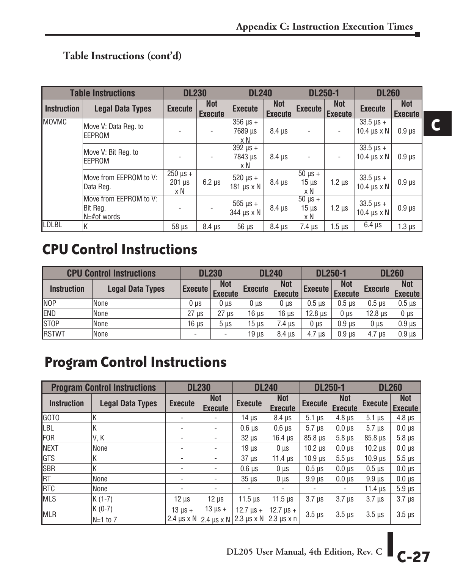#### **Table Instructions (cont'd)**

|                    | <b>Table Instructions</b>                              | <b>DL230</b>                                      |                              | <b>DL240</b>                                |                              | <b>DL250-1</b>                                |                              | <b>DL260</b>                                         |                              |
|--------------------|--------------------------------------------------------|---------------------------------------------------|------------------------------|---------------------------------------------|------------------------------|-----------------------------------------------|------------------------------|------------------------------------------------------|------------------------------|
| <b>Instruction</b> | <b>Legal Data Types</b>                                | <b>Execute</b>                                    | <b>Not</b><br><b>Execute</b> | <b>Execute</b>                              | <b>Not</b><br><b>Execute</b> | <b>Execute</b>                                | <b>Not</b><br><b>Execute</b> | <b>Execute</b>                                       | <b>Not</b><br><b>Execute</b> |
| <b>MOVMC</b>       | Move V: Data Reg. to<br>EEPROM                         |                                                   | $\overline{\phantom{0}}$     | $\overline{3}56 \mu s +$<br>7689 µs<br>хN   | $8.4 \mu s$                  | ٠                                             | $\overline{\phantom{a}}$     | $33.5 \,\mu s +$<br>10.4 $\mu$ s x N                 | $0.9$ $\mu$ s                |
|                    | Move V: Bit Reg. to<br>EEPROM                          |                                                   | $\overline{\phantom{0}}$     | $\overline{392}$ $\mu s +$<br>7843 µs<br>хN | $8.4 \mu s$                  | ۰                                             | $\overline{\phantom{a}}$     | $33.5 \,\mu s +$<br>10.4 $\text{us} \times \text{N}$ | $0.9$ $\mu$ s                |
|                    | Move from EEPROM to V:<br> Data Reg.                   | $250 \text{ }\mu\text{s} +$<br>$201 \mu s$<br>x N | $6.2 \mu s$                  | $520 \,\mu s +$<br>181 $\mu$ s x N          | $8.4 \mu s$                  | $\overline{50}$ $\mu$ s +<br>$15 \mu s$<br>хN | $1.2 \mu s$                  | $33.5 \,\mu s +$<br>10.4 $\mu$ s x N                 | $0.9 \,\mu s$                |
|                    | Move from EEPROM to V:<br>Bit Reg.<br>$N = #$ of words |                                                   |                              | $565 \,\mu s +$<br>344 µs x N               | $8.4 \mu s$                  | $50 \mu s +$<br>$15 \mu s$<br>хN              | $1.2 \mu s$                  | $33.5 \,\mu s +$<br>10.4 $\mu$ s x N                 | $0.9 \mu s$                  |
| <b>LDLBL</b>       | ΙK                                                     | $58 \mu s$                                        | $8.4 \mu s$                  | $56 \mu s$                                  | $8.4 \mu s$                  | $7.4 \mu s$                                   | $1.5 \,\mathrm{\mu s}$       | $6.4 \mu s$                                          | $1.3 \mu s$                  |

### **CPU Control Instructions**

|                    | <b>CPU Control Instructions</b> | <b>DL230</b>    |                              | <b>DL240</b>   |                              | <b>DL250-1</b> |                              | <b>DL260</b>    |                              |
|--------------------|---------------------------------|-----------------|------------------------------|----------------|------------------------------|----------------|------------------------------|-----------------|------------------------------|
| <b>Instruction</b> | <b>Legal Data Types</b>         | <b>Execute</b>  | <b>Not</b><br><b>Execute</b> | <b>Execute</b> | <b>Not</b><br><b>Execute</b> | <b>Execute</b> | <b>Not</b><br><b>Execute</b> | <b>Execute</b>  | <b>Not</b><br><b>Execute</b> |
| <b>NOP</b>         | None                            | 0 <sub>µs</sub> | $0 \mu s$                    | $0 \mu s$      | $0 \mu s$                    | $0.5$ us       | $0.5$ us                     | $0.5$ us        | $0.5$ $\mu$ s                |
| END                | None                            | $27 \mu s$      | $27 \text{ }\mu\text{s}$     | 16 µs          | 16 us                        | $12.8 \,\mu s$ | 0 µs                         | $12.8 \,\mu s$  | $0 \mu s$                    |
| <b>STOP</b>        | None                            | 16 µs           | 5 <sub>µs</sub>              | 15 us          | 7.4 us                       | 0 µs           | $0.9$ us                     | 0 <sub>µs</sub> | $0.9$ $\mu$ s                |
| <b>RSTWT</b>       | None                            |                 |                              | 19 us          | 8.4 us                       | 4.7 us         | 0.9 <sub>µs</sub>            | $4.7 \mu s$     | $0.9$ $\mu$ s                |

### **Program Control Instructions**

|                    | <b>Program Control Instructions</b> |                | <b>DL230</b>                                      |                                                        | <b>DL240</b>                                         | <b>DL250-1</b>         |                              |                      | <b>DL260</b>                 |
|--------------------|-------------------------------------|----------------|---------------------------------------------------|--------------------------------------------------------|------------------------------------------------------|------------------------|------------------------------|----------------------|------------------------------|
| <b>Instruction</b> | <b>Legal Data Types</b>             | <b>Execute</b> | <b>Not</b><br><b>Execute</b>                      | <b>Execute</b>                                         | <b>Not</b><br><b>Execute</b>                         | <b>Execute</b>         | <b>Not</b><br><b>Execute</b> | <b>Execute</b>       | <b>Not</b><br><b>Execute</b> |
| GOTO               | ΙK                                  |                | $\overline{\phantom{a}}$                          | $14 \mu s$                                             | $8.4 \mu s$                                          | $5.1 \,\mu s$          | $4.8 \mu s$                  | $5.1 \,\mu s$        | $4.8 \mu s$                  |
| <b>LBL</b>         | ΙK                                  |                |                                                   | $0.6$ $\mu$ s                                          | 0.6 <sub>µs</sub>                                    | $5.7 \,\mathrm{u}$ s   | $0.0 \mu s$                  | $5.7 \,\mathrm{u}$ s | $0.0 \mu s$                  |
| FOR                | IV. K                               |                | $\overline{\phantom{a}}$                          | $32 \mu s$                                             | $16.4 \,\mu s$                                       | $85.8 \,\mu s$         | $5.8 \mu s$                  | $85.8 \,\mu s$       | $5.8 \,\mu s$                |
| NEXT               | None                                |                | $\overline{\phantom{a}}$                          | $19 \mu s$                                             | $0 \mu s$                                            | $10.2 \mu s$           | $0.0 \mu s$                  | $10.2 \mu s$         | $0.0 \mu s$                  |
| <b>GTS</b>         | ΙK                                  |                |                                                   | $37 \mu s$                                             | 11.4 $\mu$ s                                         | $10.9$ $\mu$ s         | $5.5 \,\mu s$                | $10.9$ $\mu$ s       | $5.5 \,\mu s$                |
| SBR                | ΙK                                  |                | $\overline{\phantom{a}}$                          | $0.6$ $\mu$ s                                          | $0 \mu s$                                            | $0.5 \,\mathrm{\mu s}$ | $0.0 \mu s$                  | $0.5$ us             | $0.0 \mu s$                  |
| <b>RT</b>          | None                                |                | ۰                                                 | 35 <sub>us</sub>                                       | $0 \mu s$                                            | $9.9$ us               | $0.0$ us                     | $9.9 \,\mu s$        | $0.0 \mu s$                  |
| RTC                | None                                |                |                                                   |                                                        | $\overline{\phantom{a}}$                             |                        | $\overline{\phantom{a}}$     | $11.4$ us            | $5.9 \,\mu s$                |
| MLS                | $K(1-7)$                            | $12 \mu s$     | $12 \mu s$                                        | $11.5 \,\mu s$                                         | $11.5 \,\mu s$                                       | $3.7 \mu s$            | $3.7 \mu s$                  | $3.7 \mu s$          | $3.7 \mu s$                  |
| <b>MLR</b>         | $K(0-7)$<br>$N=1$ to $7$            | $13 \mu s +$   | $13 \mu s +$<br>2.4 $\mu$ s x N   2.4 $\mu$ s x N | $12.7 \text{ }\mu\text{s}$ +<br>$2.3 \,\mu s \times N$ | $12.7 \text{ }\mu\text{s} +$<br>$2.3 \mu s \times n$ | $3.5 \,\mu s$          | $3.5 \,\mu s$                | $3.5 \,\mu s$        | $3.5 \,\mu s$                |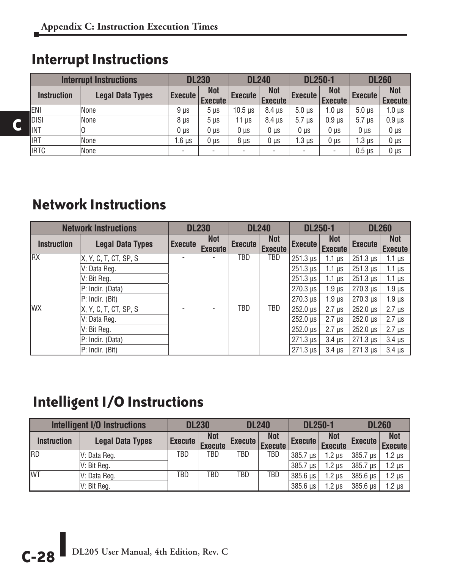### **Interrupt Instructions**

**C**

|                    | <b>Interrupt Instructions</b> | <b>DL230</b>    |                              | <b>DL240</b>               |                              | <b>DL250-1</b> |                              | <b>DL260</b>         |                              |
|--------------------|-------------------------------|-----------------|------------------------------|----------------------------|------------------------------|----------------|------------------------------|----------------------|------------------------------|
| <b>Instruction</b> | <b>Legal Data Types</b>       | <b>Execute</b>  | <b>Not</b><br><b>Execute</b> | <b>Execute</b>             | <b>Not</b><br><b>Execute</b> | <b>Execute</b> | <b>Not</b><br><b>Execute</b> | <b>Execute</b>       | <b>Not</b><br><b>Execute</b> |
| -Jeni              | None                          | $9 \mu s$       | $5 \mu s$                    | $10.5 \text{ }\mu\text{s}$ | $8.4 \mu s$                  | $5.0 \mu s$    | $1.0 \,\mu s$                | $5.0 \,\mu s$        | 1.0 µs                       |
| Idisi              | None                          | 8 us            | $5 \mu s$                    | 11 <sub>us</sub>           | $8.4 \mu s$                  | $5.7 \mu s$    | $0.9$ $\mu$ s                | $5.7 \,\mathrm{u}$ s | $0.9$ $\mu$ s                |
| <b>I</b> INT       | 10                            | 0 <sub>us</sub> | 0 <sub>µs</sub>              | $0 \mu s$                  | 0 <sub>µs</sub>              | $0 \mu s$      | $0 \mu s$                    | $0 \mu s$            | $0 \mu s$                    |
| <b>I</b> IRT       | None                          | 1.6 µs          | $0 \mu s$                    | $8 \mu s$                  | 0 <sub>µs</sub>              | .3 µs          | 0 <sub>µ</sub>               | $1.3 \mu s$          | $0 \mu s$                    |
| IIRTC              | None                          |                 | $\overline{\phantom{a}}$     |                            |                              |                | $\overline{\phantom{a}}$     | $0.5$ $\mu$ s        | $0 \mu s$                    |

### **Network Instructions**

|                    | <b>Network Instructions</b> |                | <b>DL230</b>          |                | <b>DL240</b>                 | <b>DL250-1</b>              |                              |                             | <b>DL260</b>          |
|--------------------|-----------------------------|----------------|-----------------------|----------------|------------------------------|-----------------------------|------------------------------|-----------------------------|-----------------------|
| <b>Instruction</b> | <b>Legal Data Types</b>     | <b>Execute</b> | Not<br><b>Execute</b> | <b>Execute</b> | <b>Not</b><br><b>Execute</b> | <b>Execute</b>              | <b>Not</b><br><b>Execute</b> | <b>Execute</b>              | Not<br><b>Execute</b> |
| <b>RX</b>          | X, Y, C, T, CT, SP, S       |                |                       | TBD            | TBD                          | $251.3 \,\mu s$             | $1.1 \mu s$                  | $251.3 \,\mu s$             | 1.1 $\mu$ s           |
|                    | V: Data Reg.                |                |                       |                |                              | $251.3 \,\mu s$             | $1.1 \mu s$                  | $251.3 \,\mu s$             | 1.1 $\mu$ s           |
|                    | V: Bit Reg.                 |                |                       |                |                              | $251.3 \,\mu s$             | 1.1 $\mu$ s                  | $251.3 \,\mu s$             | 1.1 $\mu$ s           |
|                    | P: Indir. (Data)            |                |                       |                |                              | $270.3 \text{ }\mu\text{s}$ | 1.9 <sub>µs</sub>            | $270.3 \text{ }\mu\text{s}$ | $1.9 \,\mu s$         |
|                    | $P: Indir.$ (Bit)           |                |                       |                |                              | $270.3 \text{ }\mu\text{s}$ | 1.9 <sub>µs</sub>            | $270.3 \text{ }\mu\text{s}$ | $1.9 \,\mu s$         |
| <b>WX</b>          | X, Y, C, T, CT, SP, S       |                |                       | TBD            | TBD                          | $252.0 \text{ }\mu\text{s}$ | $2.7 \mu s$                  | $252.0 \text{ }\mu\text{s}$ | $2.7 \,\mu s$         |
|                    | V: Data Reg.                |                |                       |                |                              | $252.0 \text{ }\mu\text{s}$ | $2.7$ us                     | $252.0 \text{ }\mu\text{s}$ | $2.7 \mu s$           |
|                    | V: Bit Reg.                 |                |                       |                |                              | $252.0 \,\mu s$             | $2.7$ us                     | $252.0 \text{ }\mu\text{s}$ | $2.7 \,\mu s$         |
|                    | P: Indir. (Data)            |                |                       |                |                              | $271.3 \,\mu s$             | $3.4$ us                     | $271.3 \,\mu s$             | $3.4 \mu s$           |
|                    | $P: Indir.$ (Bit)           |                |                       |                |                              | $271.3 \,\mu s$             | $3.4$ us                     | $271.3 \,\mu s$             | $3.4 \mu s$           |

## **Intelligent I/O Instructions**

|                    | <b>Intelligent I/O Instructions</b> | <b>DL230</b>   |                              | <b>DL240</b> |                              | <b>DL250-1</b>             |                              | <b>DL260</b>    |                              |
|--------------------|-------------------------------------|----------------|------------------------------|--------------|------------------------------|----------------------------|------------------------------|-----------------|------------------------------|
| <b>Instruction</b> | <b>Legal Data Types</b>             | <b>Execute</b> | <b>Not</b><br><b>Execute</b> | Execute      | <b>Not</b><br><b>Execute</b> | Execute                    | <b>Not</b><br><b>Execute</b> | <b>Execute</b>  | <b>Not</b><br><b>Execute</b> |
| <b>RD</b>          | IV: Data Reg.                       | TBD            | TBD                          | TBD          | TBD                          | 385.7 us                   | $1.2$ us                     | 385.7 us        | $1.2 \mu s$                  |
|                    | V: Bit Reg.                         |                |                              |              |                              | 385.7 us                   | $1.2$ us                     | $385.7 \,\mu s$ | $1.2 \mu s$                  |
| <b>WT</b>          | V: Data Reg.                        | TBD            | TBD                          | TBD          | TBD                          | 385.6 us                   | $1.2$ us                     | 385.6 us        | $1.2 \mu s$                  |
|                    | V: Bit Reg.                         |                |                              |              |                              | $385.6 \,\mathrm{\upmu s}$ | $1.2$ us                     | $385.6 \,\mu s$ | $1.2 \mu s$                  |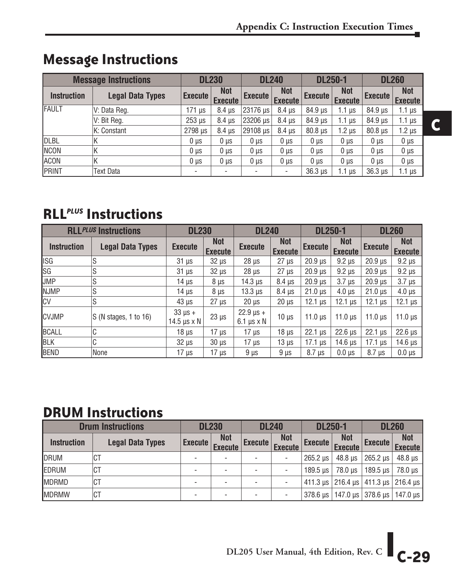| <b>Message Instructions</b> |                         | <b>DL230</b>    |                              | <b>DL240</b>   |                              | <b>DL250-1</b>             |                              | <b>DL260</b>   |                              |
|-----------------------------|-------------------------|-----------------|------------------------------|----------------|------------------------------|----------------------------|------------------------------|----------------|------------------------------|
| <b>Instruction</b>          | <b>Legal Data Types</b> | <b>Execute</b>  | <b>Not</b><br><b>Execute</b> | <b>Execute</b> | <b>Not</b><br><b>Execute</b> | <b>Execute</b>             | <b>Not</b><br><b>Execute</b> | <b>Execute</b> | <b>Not</b><br><b>Execute</b> |
| <b>IFAULT</b>               | V: Data Reg.            | $171 \mu s$     | $8.4 \mu s$                  | 23176 us       | $8.4 \mu s$                  | 84.9 µs                    | $1.1 \mu s$                  | $84.9 \,\mu s$ | 1.1 $\mu$ s                  |
|                             | V: Bit Reg.             | 253 us          | 8.4 us                       | 23206 us       | $8.4 \mu s$                  | 84.9 µs                    | 1.1 $\mu$ s                  | $84.9 \,\mu s$ | 1.1 $\mu$ s                  |
|                             | K: Constant             | 2798 us         | 8.4 us                       | 29108 us       | 8.4 us                       | $80.8$ $\mu$ s             | $1.2 \mu s$                  | $80.8 \,\mu s$ | $1.2 \mu s$                  |
| <b>I</b> DLBL               | ΙK                      | $0 \mu s$       | $0 \mu s$                    | $0 \mu s$      | $0 \mu s$                    | $0 \mu s$                  | $0 \mu s$                    | $0 \mu s$      | $0 \mu s$                    |
| INCON                       | К                       | 0 <sub>us</sub> | $0 \mu s$                    | $0 \mu s$      | $0 \mu s$                    | $0 \mu s$                  | $0 \mu s$                    | $0 \mu s$      | $0 \mu s$                    |
| <b>ACON</b>                 | К                       | $0 \mu s$       | $0 \mu s$                    | $0 \mu s$      | $0 \mu s$                    | $0 \mu s$                  | $0 \mu s$                    | $0 \mu s$      | $0 \mu s$                    |
| PRINT                       | Text Data               |                 |                              |                |                              | $36.3 \text{ }\mu\text{s}$ | 1.1 $\mu$ s                  | $36.3 \,\mu s$ | 1.1 µs                       |

### **Message Instructions**

#### **RLL***PLUS* **Instructions**

| <b>RLLPLUS Instructions</b> |                         | <b>DL230</b>                            |                              | <b>DL240</b>                                           |                              | <b>DL250-1</b> |                              | <b>DL260</b>   |                              |
|-----------------------------|-------------------------|-----------------------------------------|------------------------------|--------------------------------------------------------|------------------------------|----------------|------------------------------|----------------|------------------------------|
| <b>Instruction</b>          | <b>Legal Data Types</b> | <b>Execute</b>                          | <b>Not</b><br><b>Execute</b> | <b>Execute</b>                                         | <b>Not</b><br><b>Execute</b> | <b>Execute</b> | <b>Not</b><br><b>Execute</b> | <b>Execute</b> | <b>Not</b><br><b>Execute</b> |
| ISG                         | lS                      | $31 \mu s$                              | $32 \mu s$                   | $28 \mu s$                                             | $27 \mu s$                   | $20.9$ $\mu$ s | $9.2 \mu s$                  | $20.9$ $\mu$ s | $9.2 \mu s$                  |
| $\overline{\text{SG}}$      | lS                      | $31 \mu s$                              | $32 \mu s$                   | $28 \mu s$                                             | $27 \mu s$                   | $20.9$ $\mu s$ | $9.2 \mu s$                  | $20.9$ $\mu$ s | $9.2 \mu s$                  |
| <b>JMP</b>                  | lS                      | $14 \mu s$                              | $8 \mu s$                    | $14.3 \,\mu s$                                         | $8.4 \mu s$                  | $20.9$ $\mu s$ | $3.7 \mu s$                  | $20.9$ $\mu$ s | $3.7 \mu s$                  |
| <b>NJMP</b>                 | ls                      | $14 \mu s$                              | $8 \mu s$                    | $13.3 \,\mu s$                                         | $8.4 \mu s$                  | $21.0 \,\mu s$ | $4.0 \mu s$                  | $21.0 \,\mu s$ | $4.0 \mu s$                  |
| <b>CV</b>                   | ls                      | $43 \mu s$                              | $27 \mu s$                   | $20 \mu s$                                             | $20 \mu s$                   | $12.1 \,\mu s$ | $12.1 \,\mu s$               | $12.1 \,\mu s$ | $12.1 \,\mu s$               |
| <b>ICVJMP</b>               | S(N stages, 1 to 16)    | $33 \mu s +$<br>$14.5 \,\mu s \times N$ | $23 \mu s$                   | $22.9 \text{ }\mu\text{s} +$<br>$6.1 \,\mu s \times N$ | $10 \mu s$                   | $11.0 \,\mu s$ | $11.0 \,\mu s$               | $11.0 \,\mu s$ | $11.0 \,\mu s$               |
| <b>BCALL</b>                | IC                      | $18 \mu s$                              | $17 \mu s$                   | $17 \mu s$                                             | $18 \mu s$                   | $22.1 \,\mu s$ | $22.6 \,\mu s$               | $22.1 \,\mu s$ | $22.6 \,\mu s$               |
| BLK                         | IC                      | $32 \mu s$                              | $30 \mu s$                   | $17 \mu s$                                             | $13 \mu s$                   | $17.1 \,\mu s$ | $14.6 \,\mu s$               | $17.1 \,\mu s$ | $14.6 \,\mu s$               |
| BEND                        | None                    | 17 <sub>us</sub>                        | 17 <sub>us</sub>             | 9 <sub>µs</sub>                                        | $9 \mu s$                    | $8.7 \mu s$    | $0.0 \mu s$                  | $8.7 \,\mu s$  | $0.0 \mu s$                  |

### **DRUM Instructions**

| <b>Drum Instructions</b> |                         | <b>DL230</b>   |                              | <b>DL240</b>   |                              | <b>DL250-1</b>     |                                                               | <b>DL260</b>               |                              |
|--------------------------|-------------------------|----------------|------------------------------|----------------|------------------------------|--------------------|---------------------------------------------------------------|----------------------------|------------------------------|
| <b>Instruction</b>       | <b>Legal Data Types</b> | <b>Execute</b> | <b>Not</b><br><b>Execute</b> | <b>Execute</b> | <b>Not</b><br><b>Execute</b> | Execute            | <b>Not</b><br><b>Execute</b>                                  | Execute                    | <b>Not</b><br><b>Execute</b> |
| <b>DRUM</b>              | СT                      |                |                              |                |                              | $265.2$ us         | 48.8 us                                                       | $265.2$ µs                 | $48.8 \,\mu s$               |
| EDRUM                    | СT                      |                |                              |                |                              | $189.5$ us $\vert$ | 78.0 us                                                       | $189.5 \,\mathrm{\upmu s}$ | 78.0 µs                      |
| <b>MDRMD</b>             | СT                      |                |                              |                |                              |                    | 411.3 $\mu$ s   216.4 $\mu$ s   411.3 $\mu$ s   216.4 $\mu$ s |                            |                              |
| <b>IMDRMW</b>            | СT                      |                |                              |                |                              |                    | 378.6 us   147.0 us   378.6 us   147.0 us                     |                            |                              |